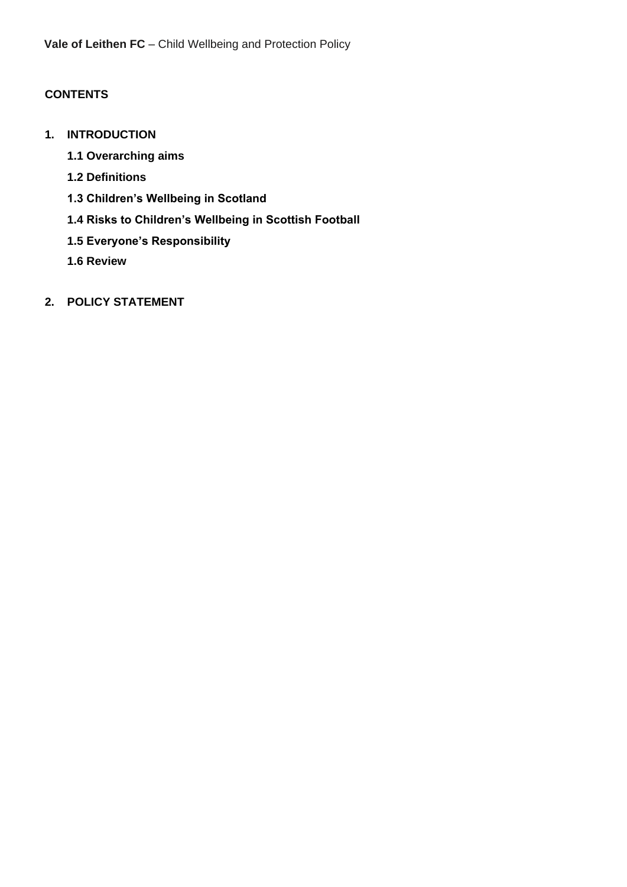## **CONTENTS**

- **1. INTRODUCTION**
	- **1.1 Overarching aims**
	- **1.2 Definitions**
	- **1.3 Children's Wellbeing in Scotland**
	- **1.4 Risks to Children's Wellbeing in Scottish Football**
	- **1.5 Everyone's Responsibility**
	- **1.6 Review**
- **2. POLICY STATEMENT**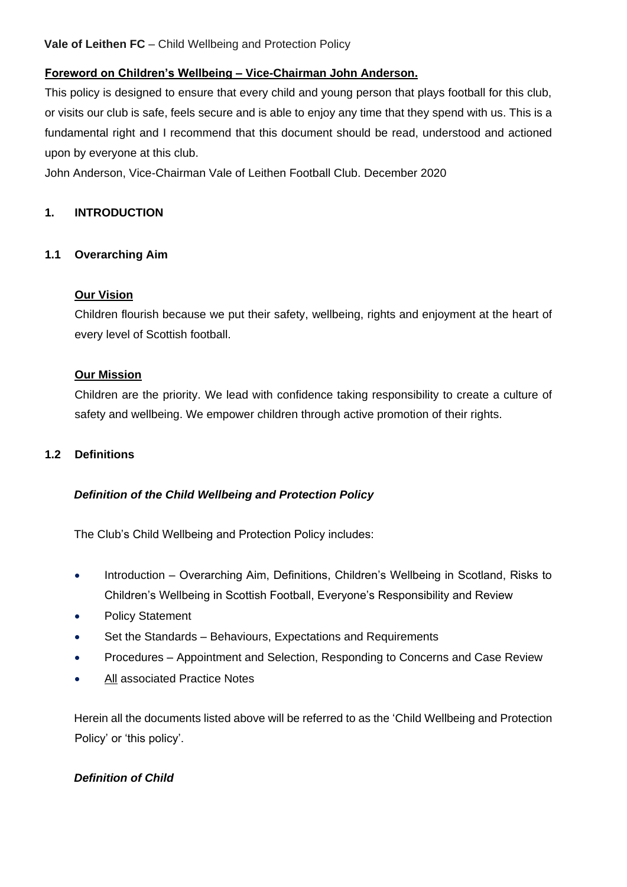#### **Foreword on Children's Wellbeing – Vice-Chairman John Anderson.**

This policy is designed to ensure that every child and young person that plays football for this club, or visits our club is safe, feels secure and is able to enjoy any time that they spend with us. This is a fundamental right and I recommend that this document should be read, understood and actioned upon by everyone at this club.

John Anderson, Vice-Chairman Vale of Leithen Football Club. December 2020

#### **1. INTRODUCTION**

#### **1.1 Overarching Aim**

#### **Our Vision**

Children flourish because we put their safety, wellbeing, rights and enjoyment at the heart of every level of Scottish football.

#### **Our Mission**

Children are the priority. We lead with confidence taking responsibility to create a culture of safety and wellbeing. We empower children through active promotion of their rights.

#### **1.2 Definitions**

#### *Definition of the Child Wellbeing and Protection Policy*

The Club's Child Wellbeing and Protection Policy includes:

- Introduction Overarching Aim, Definitions, Children's Wellbeing in Scotland, Risks to Children's Wellbeing in Scottish Football, Everyone's Responsibility and Review
- Policy Statement
- Set the Standards Behaviours, Expectations and Requirements
- Procedures Appointment and Selection, Responding to Concerns and Case Review
- All associated Practice Notes

Herein all the documents listed above will be referred to as the 'Child Wellbeing and Protection Policy' or 'this policy'.

#### *Definition of Child*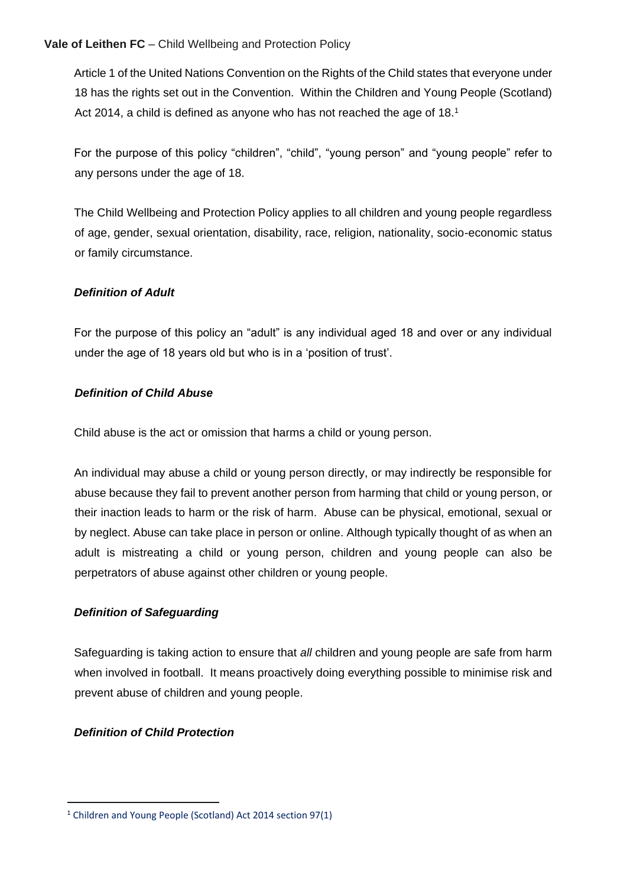Article 1 of the United Nations Convention on the Rights of the Child states that everyone under 18 has the rights set out in the Convention. Within the Children and Young People (Scotland) Act 2014, a child is defined as anyone who has not reached the age of 18.<sup>1</sup>

For the purpose of this policy "children", "child", "young person" and "young people" refer to any persons under the age of 18.

The Child Wellbeing and Protection Policy applies to all children and young people regardless of age, gender, sexual orientation, disability, race, religion, nationality, socio-economic status or family circumstance.

#### *Definition of Adult*

For the purpose of this policy an "adult" is any individual aged 18 and over or any individual under the age of 18 years old but who is in a 'position of trust'.

#### *Definition of Child Abuse*

Child abuse is the act or omission that harms a child or young person.

An individual may abuse a child or young person directly, or may indirectly be responsible for abuse because they fail to prevent another person from harming that child or young person, or their inaction leads to harm or the risk of harm. Abuse can be physical, emotional, sexual or by neglect. Abuse can take place in person or online. Although typically thought of as when an adult is mistreating a child or young person, children and young people can also be perpetrators of abuse against other children or young people.

#### *Definition of Safeguarding*

Safeguarding is taking action to ensure that *all* children and young people are safe from harm when involved in football. It means proactively doing everything possible to minimise risk and prevent abuse of children and young people.

#### *Definition of Child Protection*

<sup>1</sup> Children and Young People (Scotland) Act 2014 section 97(1)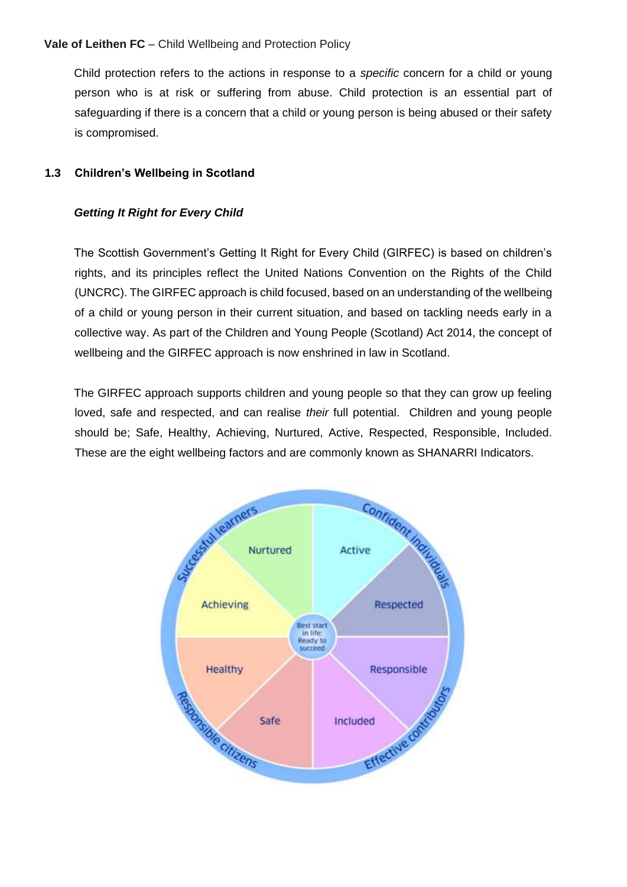Child protection refers to the actions in response to a *specific* concern for a child or young person who is at risk or suffering from abuse. Child protection is an essential part of safeguarding if there is a concern that a child or young person is being abused or their safety is compromised.

#### **1.3 Children's Wellbeing in Scotland**

#### *Getting It Right for Every Child*

The Scottish Government's Getting It Right for Every Child (GIRFEC) is based on children's rights, and its principles reflect the United Nations Convention on the Rights of the Child (UNCRC). The GIRFEC approach is child focused, based on an understanding of the wellbeing of a child or young person in their current situation, and based on tackling needs early in a collective way. As part of the Children and Young People (Scotland) Act 2014, the concept of wellbeing and the GIRFEC approach is now enshrined in law in Scotland.

The GIRFEC approach supports children and young people so that they can grow up feeling loved, safe and respected, and can realise *their* full potential. Children and young people should be; Safe, Healthy, Achieving, Nurtured, Active, Respected, Responsible, Included. These are the eight wellbeing factors and are commonly known as SHANARRI Indicators.

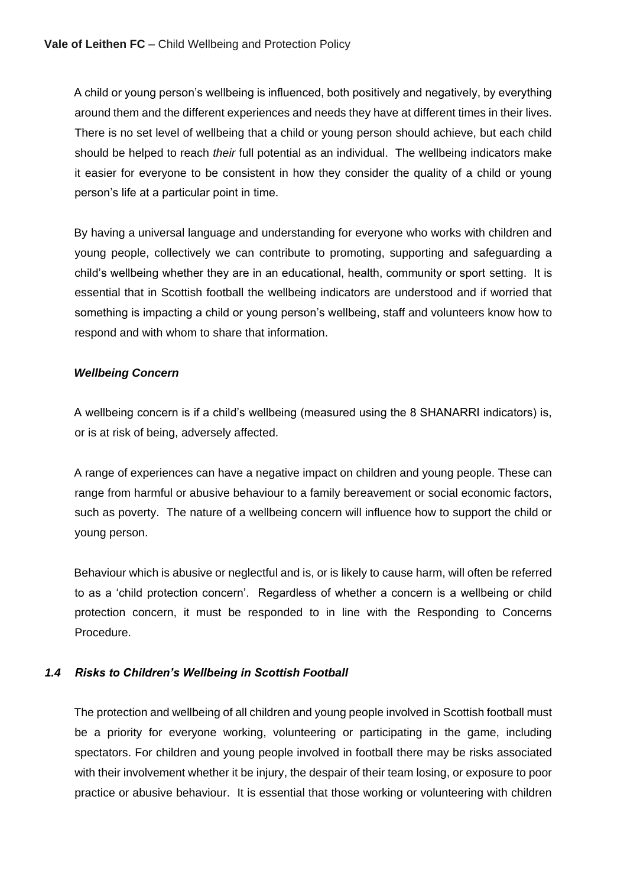A child or young person's wellbeing is influenced, both positively and negatively, by everything around them and the different experiences and needs they have at different times in their lives. There is no set level of wellbeing that a child or young person should achieve, but each child should be helped to reach *their* full potential as an individual. The wellbeing indicators make it easier for everyone to be consistent in how they consider the quality of a child or young person's life at a particular point in time.

By having a universal language and understanding for everyone who works with children and young people, collectively we can contribute to promoting, supporting and safeguarding a child's wellbeing whether they are in an educational, health, community or sport setting. It is essential that in Scottish football the wellbeing indicators are understood and if worried that something is impacting a child or young person's wellbeing, staff and volunteers know how to respond and with whom to share that information.

#### *Wellbeing Concern*

A wellbeing concern is if a child's wellbeing (measured using the 8 SHANARRI indicators) is, or is at risk of being, adversely affected.

A range of experiences can have a negative impact on children and young people. These can range from harmful or abusive behaviour to a family bereavement or social economic factors, such as poverty. The nature of a wellbeing concern will influence how to support the child or young person.

Behaviour which is abusive or neglectful and is, or is likely to cause harm, will often be referred to as a 'child protection concern'. Regardless of whether a concern is a wellbeing or child protection concern, it must be responded to in line with the Responding to Concerns Procedure.

#### *1.4 Risks to Children's Wellbeing in Scottish Football*

The protection and wellbeing of all children and young people involved in Scottish football must be a priority for everyone working, volunteering or participating in the game, including spectators. For children and young people involved in football there may be risks associated with their involvement whether it be injury, the despair of their team losing, or exposure to poor practice or abusive behaviour. It is essential that those working or volunteering with children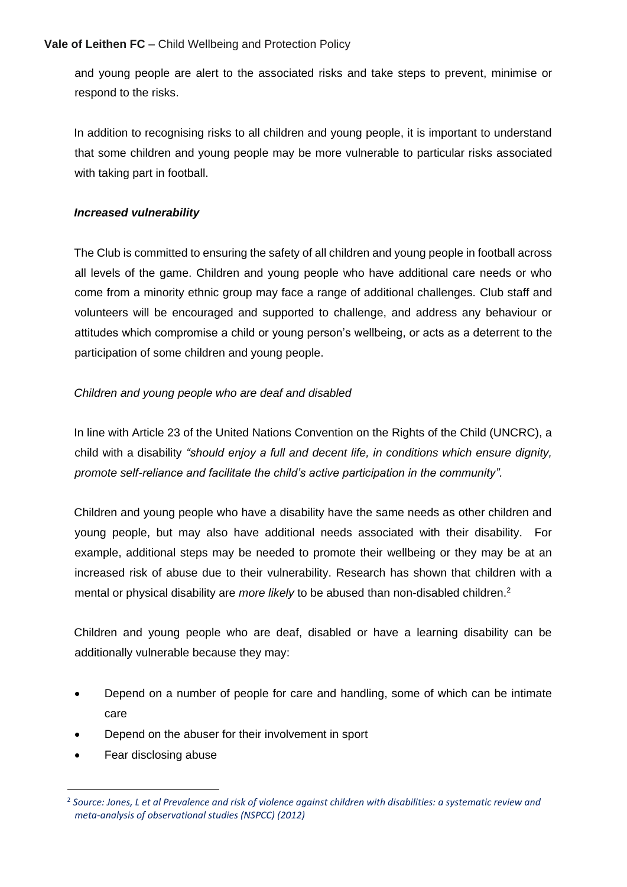and young people are alert to the associated risks and take steps to prevent, minimise or respond to the risks.

In addition to recognising risks to all children and young people, it is important to understand that some children and young people may be more vulnerable to particular risks associated with taking part in football.

#### *Increased vulnerability*

The Club is committed to ensuring the safety of all children and young people in football across all levels of the game. Children and young people who have additional care needs or who come from a minority ethnic group may face a range of additional challenges. Club staff and volunteers will be encouraged and supported to challenge, and address any behaviour or attitudes which compromise a child or young person's wellbeing, or acts as a deterrent to the participation of some children and young people.

#### *Children and young people who are deaf and disabled*

In line with Article 23 of the United Nations Convention on the Rights of the Child (UNCRC), a child with a disability *"should enjoy a full and decent life, in conditions which ensure dignity, promote self-reliance and facilitate the child's active participation in the community".* 

Children and young people who have a disability have the same needs as other children and young people, but may also have additional needs associated with their disability. For example, additional steps may be needed to promote their wellbeing or they may be at an increased risk of abuse due to their vulnerability. Research has shown that children with a mental or physical disability are *more likely* to be abused than non-disabled children.<sup>2</sup>

Children and young people who are deaf, disabled or have a learning disability can be additionally vulnerable because they may:

- Depend on a number of people for care and handling, some of which can be intimate care
- Depend on the abuser for their involvement in sport
- Fear disclosing abuse

<sup>2</sup> *Source: Jones, L et al Prevalence and risk of violence against children with disabilities: a systematic review and meta-analysis of observational studies (NSPCC) (2012)*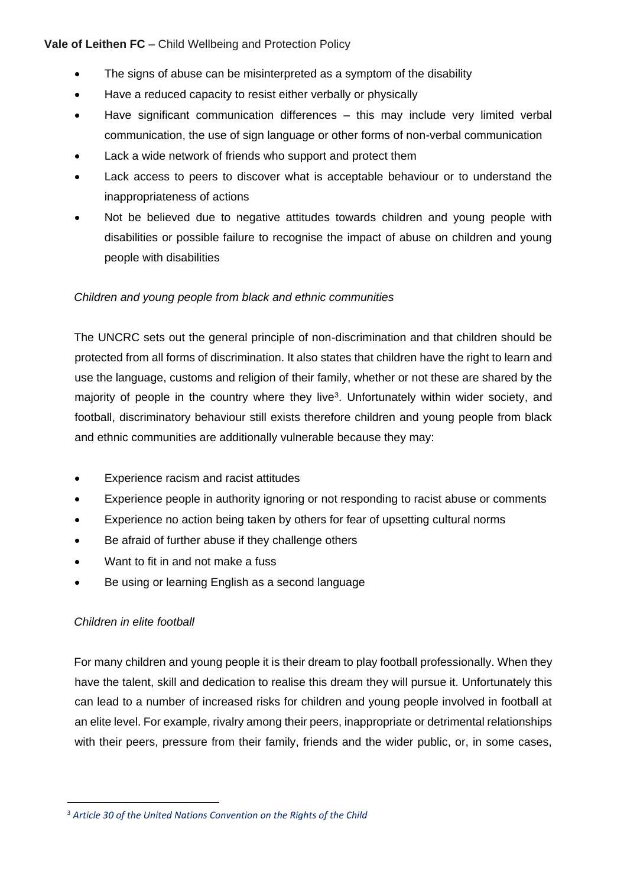- The signs of abuse can be misinterpreted as a symptom of the disability
- Have a reduced capacity to resist either verbally or physically
- Have significant communication differences this may include very limited verbal communication, the use of sign language or other forms of non-verbal communication
- Lack a wide network of friends who support and protect them
- Lack access to peers to discover what is acceptable behaviour or to understand the inappropriateness of actions
- Not be believed due to negative attitudes towards children and young people with disabilities or possible failure to recognise the impact of abuse on children and young people with disabilities

#### *Children and young people from black and ethnic communities*

The UNCRC sets out the general principle of non-discrimination and that children should be protected from all forms of discrimination. It also states that children have the right to learn and use the language, customs and religion of their family, whether or not these are shared by the majority of people in the country where they live<sup>3</sup>. Unfortunately within wider society, and football, discriminatory behaviour still exists therefore children and young people from black and ethnic communities are additionally vulnerable because they may:

- Experience racism and racist attitudes
- Experience people in authority ignoring or not responding to racist abuse or comments
- Experience no action being taken by others for fear of upsetting cultural norms
- Be afraid of further abuse if they challenge others
- Want to fit in and not make a fuss
- Be using or learning English as a second language

#### *Children in elite football*

For many children and young people it is their dream to play football professionally. When they have the talent, skill and dedication to realise this dream they will pursue it. Unfortunately this can lead to a number of increased risks for children and young people involved in football at an elite level. For example, rivalry among their peers, inappropriate or detrimental relationships with their peers, pressure from their family, friends and the wider public, or, in some cases,

<sup>3</sup> *Article 30 of the United Nations Convention on the Rights of the Child*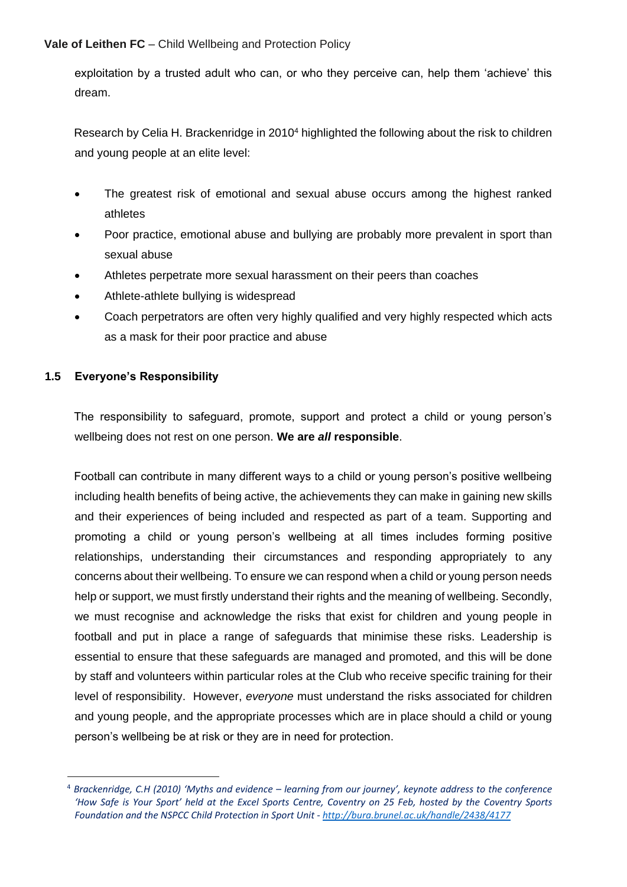exploitation by a trusted adult who can, or who they perceive can, help them 'achieve' this dream.

Research by Celia H. Brackenridge in 2010<sup>4</sup> highlighted the following about the risk to children and young people at an elite level:

- The greatest risk of emotional and sexual abuse occurs among the highest ranked athletes
- Poor practice, emotional abuse and bullying are probably more prevalent in sport than sexual abuse
- Athletes perpetrate more sexual harassment on their peers than coaches
- Athlete-athlete bullying is widespread
- Coach perpetrators are often very highly qualified and very highly respected which acts as a mask for their poor practice and abuse

#### **1.5 Everyone's Responsibility**

The responsibility to safeguard, promote, support and protect a child or young person's wellbeing does not rest on one person. **We are** *all* **responsible**.

Football can contribute in many different ways to a child or young person's positive wellbeing including health benefits of being active, the achievements they can make in gaining new skills and their experiences of being included and respected as part of a team. Supporting and promoting a child or young person's wellbeing at all times includes forming positive relationships, understanding their circumstances and responding appropriately to any concerns about their wellbeing. To ensure we can respond when a child or young person needs help or support, we must firstly understand their rights and the meaning of wellbeing. Secondly, we must recognise and acknowledge the risks that exist for children and young people in football and put in place a range of safeguards that minimise these risks. Leadership is essential to ensure that these safeguards are managed and promoted, and this will be done by staff and volunteers within particular roles at the Club who receive specific training for their level of responsibility. However, *everyone* must understand the risks associated for children and young people, and the appropriate processes which are in place should a child or young person's wellbeing be at risk or they are in need for protection.

<sup>4</sup> *Brackenridge, C.H (2010) 'Myths and evidence – learning from our journey', keynote address to the conference 'How Safe is Your Sport' held at the Excel Sports Centre, Coventry on 25 Feb, hosted by the Coventry Sports Foundation and the NSPCC Child Protection in Sport Unit - <http://bura.brunel.ac.uk/handle/2438/4177>*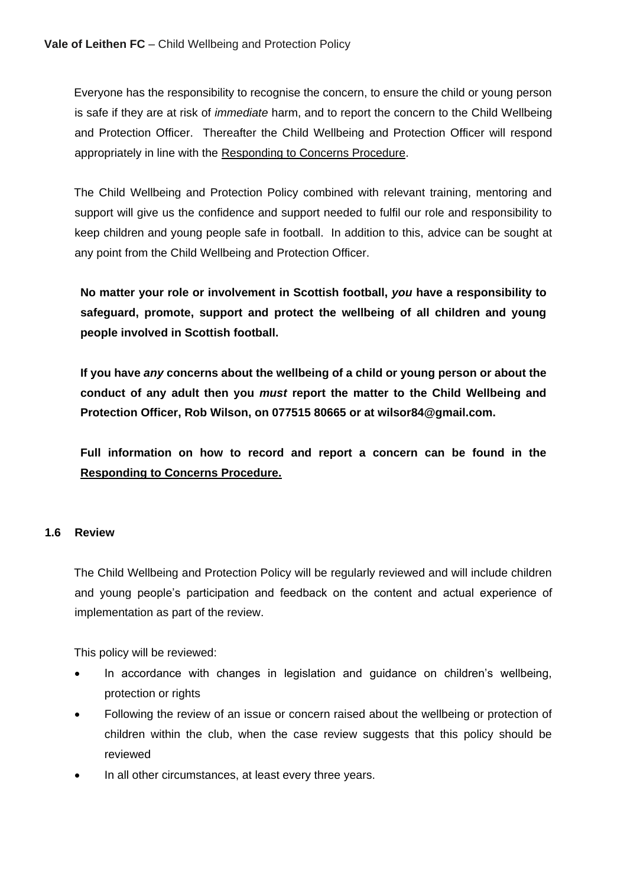Everyone has the responsibility to recognise the concern, to ensure the child or young person is safe if they are at risk of *immediate* harm, and to report the concern to the Child Wellbeing and Protection Officer. Thereafter the Child Wellbeing and Protection Officer will respond appropriately in line with the Responding to Concerns Procedure.

The Child Wellbeing and Protection Policy combined with relevant training, mentoring and support will give us the confidence and support needed to fulfil our role and responsibility to keep children and young people safe in football. In addition to this, advice can be sought at any point from the Child Wellbeing and Protection Officer.

**No matter your role or involvement in Scottish football,** *you* **have a responsibility to safeguard, promote, support and protect the wellbeing of all children and young people involved in Scottish football.** 

**If you have** *any* **concerns about the wellbeing of a child or young person or about the conduct of any adult then you** *must* **report the matter to the Child Wellbeing and Protection Officer, Rob Wilson, on 077515 80665 or at wilsor84@gmail.com.**

**Full information on how to record and report a concern can be found in the Responding to Concerns Procedure.**

#### **1.6 Review**

The Child Wellbeing and Protection Policy will be regularly reviewed and will include children and young people's participation and feedback on the content and actual experience of implementation as part of the review.

This policy will be reviewed:

- In accordance with changes in legislation and guidance on children's wellbeing, protection or rights
- Following the review of an issue or concern raised about the wellbeing or protection of children within the club, when the case review suggests that this policy should be reviewed
- In all other circumstances, at least every three years.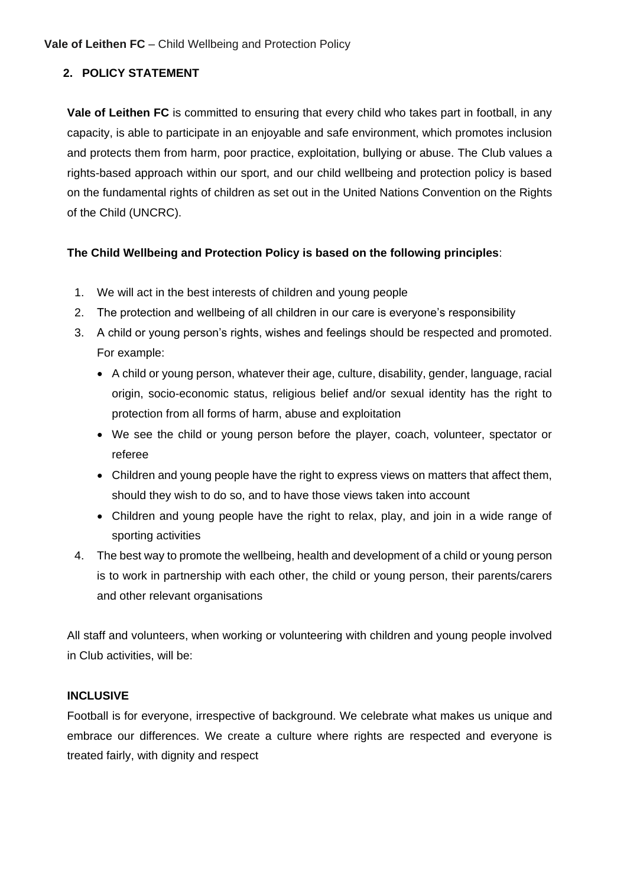#### **2. POLICY STATEMENT**

**Vale of Leithen FC** is committed to ensuring that every child who takes part in football, in any capacity, is able to participate in an enjoyable and safe environment, which promotes inclusion and protects them from harm, poor practice, exploitation, bullying or abuse. The Club values a rights-based approach within our sport, and our child wellbeing and protection policy is based on the fundamental rights of children as set out in the United Nations Convention on the Rights of the Child (UNCRC).

#### **The Child Wellbeing and Protection Policy is based on the following principles**:

- 1. We will act in the best interests of children and young people
- 2. The protection and wellbeing of all children in our care is everyone's responsibility
- 3. A child or young person's rights, wishes and feelings should be respected and promoted. For example:
	- A child or young person, whatever their age, culture, disability, gender, language, racial origin, socio-economic status, religious belief and/or sexual identity has the right to protection from all forms of harm, abuse and exploitation
	- We see the child or young person before the player, coach, volunteer, spectator or referee
	- Children and young people have the right to express views on matters that affect them, should they wish to do so, and to have those views taken into account
	- Children and young people have the right to relax, play, and join in a wide range of sporting activities
- 4. The best way to promote the wellbeing, health and development of a child or young person is to work in partnership with each other, the child or young person, their parents/carers and other relevant organisations

All staff and volunteers, when working or volunteering with children and young people involved in Club activities, will be:

#### **INCLUSIVE**

Football is for everyone, irrespective of background. We celebrate what makes us unique and embrace our differences. We create a culture where rights are respected and everyone is treated fairly, with dignity and respect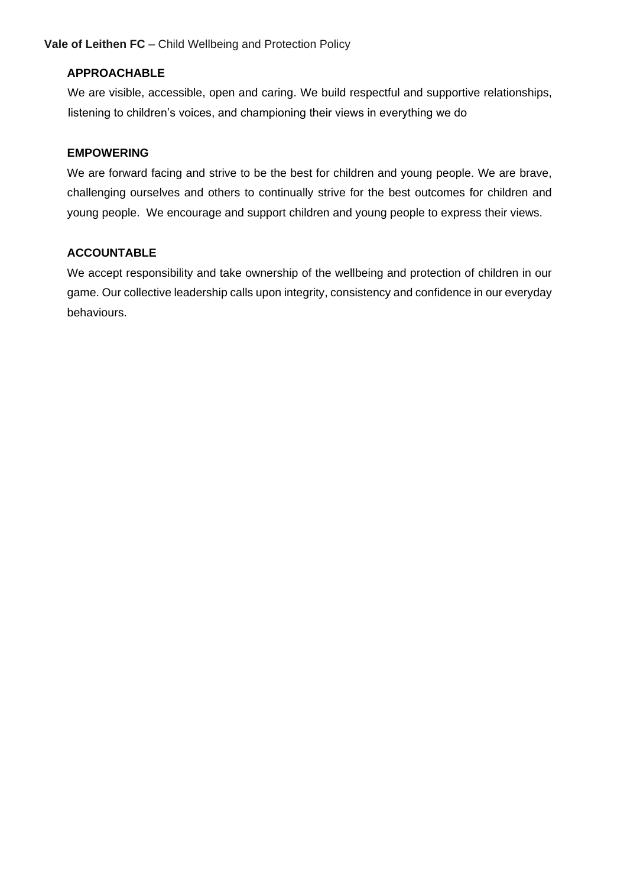#### **APPROACHABLE**

We are visible, accessible, open and caring. We build respectful and supportive relationships, listening to children's voices, and championing their views in everything we do

#### **EMPOWERING**

We are forward facing and strive to be the best for children and young people. We are brave, challenging ourselves and others to continually strive for the best outcomes for children and young people. We encourage and support children and young people to express their views.

#### **ACCOUNTABLE**

We accept responsibility and take ownership of the wellbeing and protection of children in our game. Our collective leadership calls upon integrity, consistency and confidence in our everyday behaviours.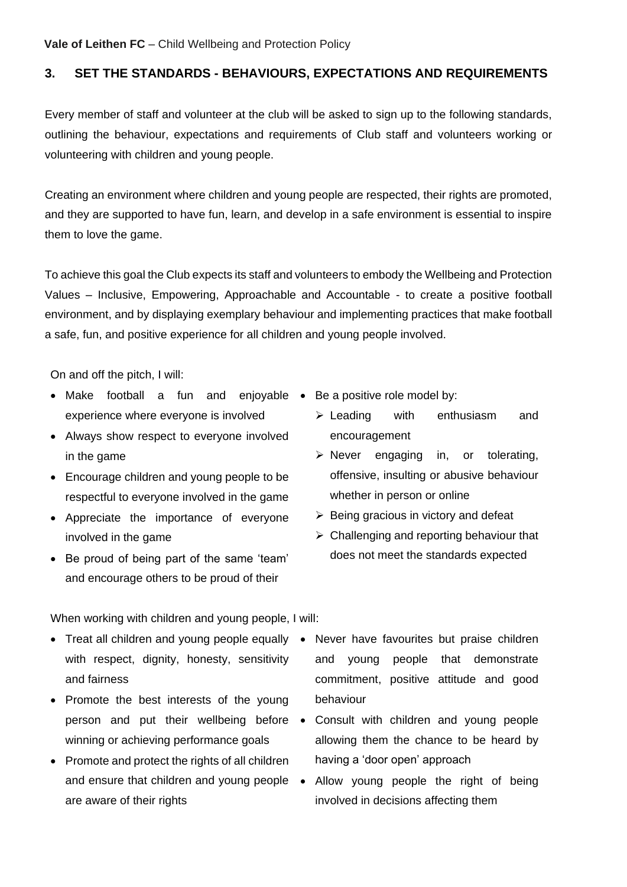## **3. SET THE STANDARDS - BEHAVIOURS, EXPECTATIONS AND REQUIREMENTS**

Every member of staff and volunteer at the club will be asked to sign up to the following standards, outlining the behaviour, expectations and requirements of Club staff and volunteers working or volunteering with children and young people.

Creating an environment where children and young people are respected, their rights are promoted, and they are supported to have fun, learn, and develop in a safe environment is essential to inspire them to love the game.

To achieve this goal the Club expects its staff and volunteers to embody the Wellbeing and Protection Values – Inclusive, Empowering, Approachable and Accountable - to create a positive football environment, and by displaying exemplary behaviour and implementing practices that make football a safe, fun, and positive experience for all children and young people involved.

On and off the pitch, I will:

- Make football a fun and enjoyable Be a positive role model by: experience where everyone is involved
- Always show respect to everyone involved in the game
- Encourage children and young people to be respectful to everyone involved in the game
- Appreciate the importance of everyone involved in the game
- Be proud of being part of the same 'team' and encourage others to be proud of their
- - ➢ Leading with enthusiasm and encouragement
	- ➢ Never engaging in, or tolerating, offensive, insulting or abusive behaviour whether in person or online
	- $\triangleright$  Being gracious in victory and defeat
	- $\triangleright$  Challenging and reporting behaviour that does not meet the standards expected

When working with children and young people, I will:

- Treat all children and young people equally Never have favourites but praise children with respect, dignity, honesty, sensitivity and fairness
- Promote the best interests of the young winning or achieving performance goals
- Promote and protect the rights of all children and ensure that children and young people  $\bullet$ are aware of their rights
- and young people that demonstrate commitment, positive attitude and good behaviour
- person and put their wellbeing before Consult with children and young people allowing them the chance to be heard by having a 'door open' approach
	- Allow young people the right of being involved in decisions affecting them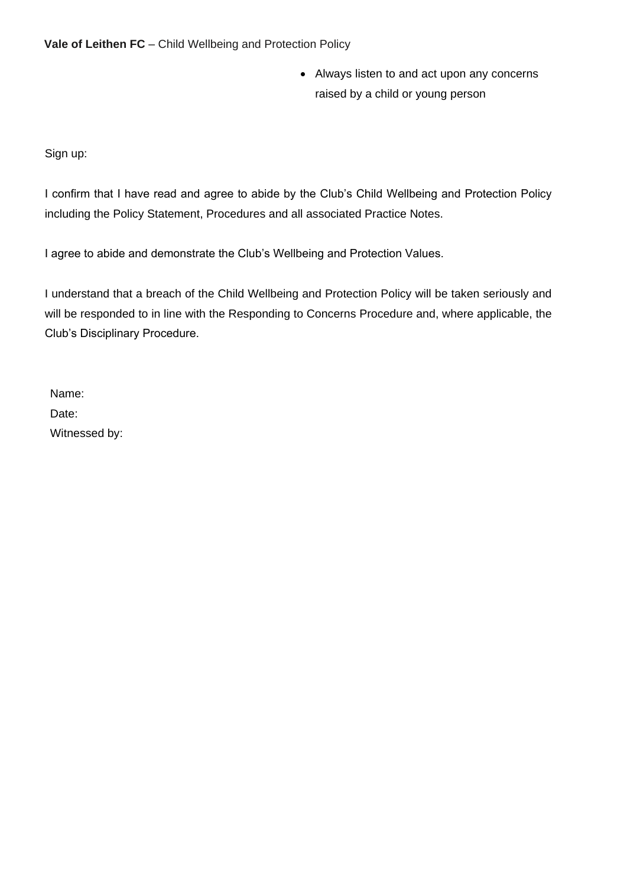• Always listen to and act upon any concerns raised by a child or young person

Sign up:

I confirm that I have read and agree to abide by the Club's Child Wellbeing and Protection Policy including the Policy Statement, Procedures and all associated Practice Notes.

I agree to abide and demonstrate the Club's Wellbeing and Protection Values.

I understand that a breach of the Child Wellbeing and Protection Policy will be taken seriously and will be responded to in line with the Responding to Concerns Procedure and, where applicable, the Club's Disciplinary Procedure.

Name: Date: Witnessed by: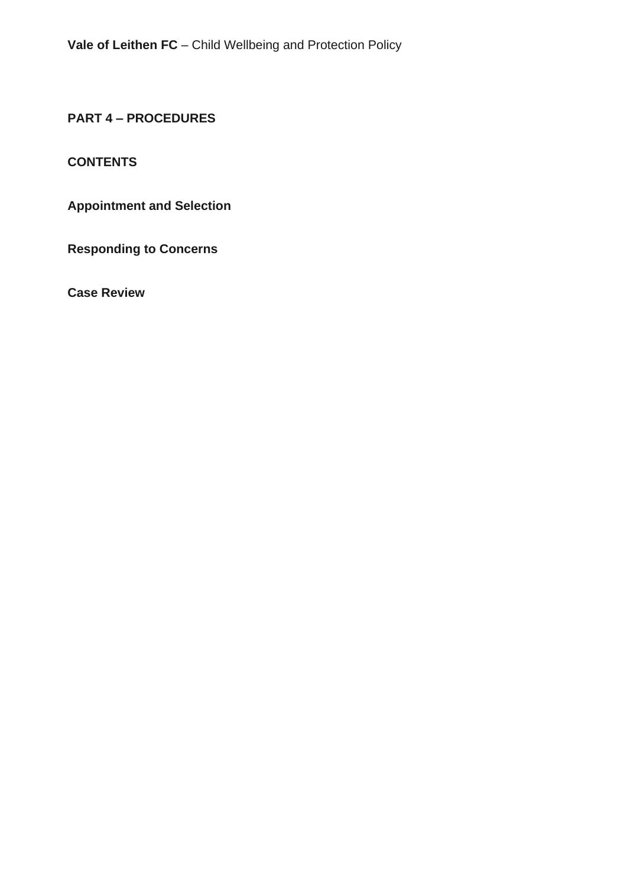**PART 4 – PROCEDURES** 

## **CONTENTS**

**Appointment and Selection** 

**Responding to Concerns**

**Case Review**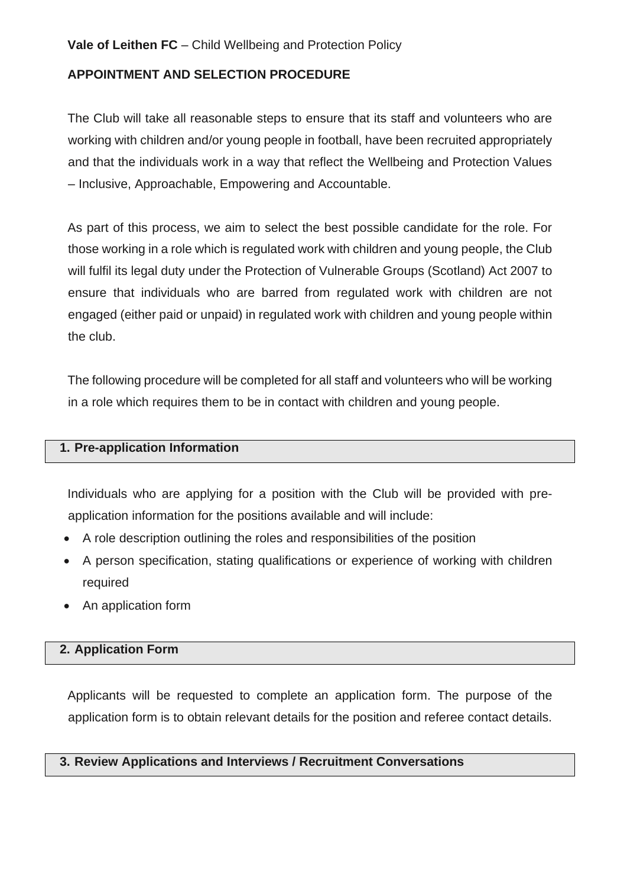## **APPOINTMENT AND SELECTION PROCEDURE**

The Club will take all reasonable steps to ensure that its staff and volunteers who are working with children and/or young people in football, have been recruited appropriately and that the individuals work in a way that reflect the Wellbeing and Protection Values – Inclusive, Approachable, Empowering and Accountable.

As part of this process, we aim to select the best possible candidate for the role. For those working in a role which is regulated work with children and young people, the Club will fulfil its legal duty under the Protection of Vulnerable Groups (Scotland) Act 2007 to ensure that individuals who are barred from regulated work with children are not engaged (either paid or unpaid) in regulated work with children and young people within the club.

The following procedure will be completed for all staff and volunteers who will be working in a role which requires them to be in contact with children and young people.

## **1. Pre-application Information**

Individuals who are applying for a position with the Club will be provided with preapplication information for the positions available and will include:

- A role description outlining the roles and responsibilities of the position
- A person specification, stating qualifications or experience of working with children required
- An application form

#### **2. Application Form**

Applicants will be requested to complete an application form. The purpose of the application form is to obtain relevant details for the position and referee contact details.

#### **3. Review Applications and Interviews / Recruitment Conversations**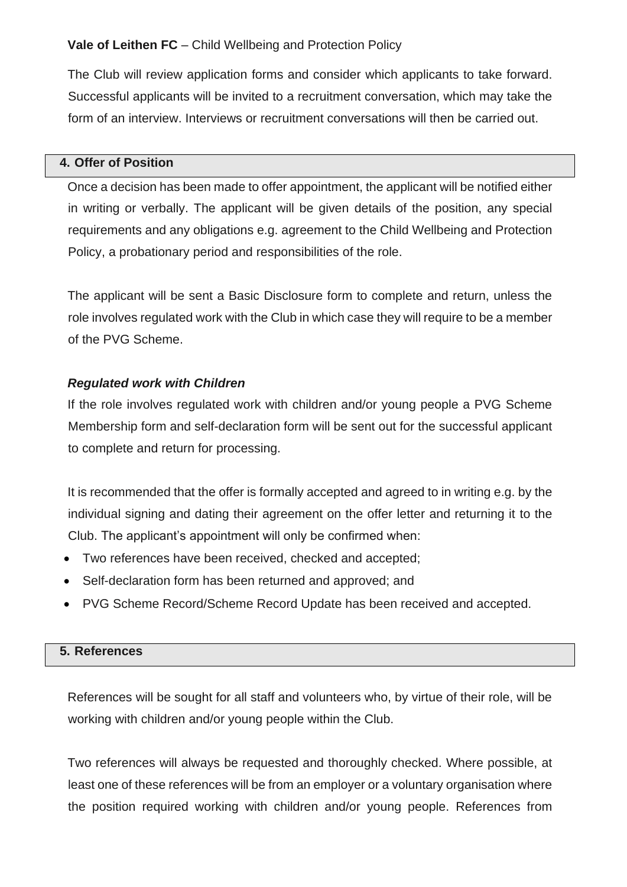The Club will review application forms and consider which applicants to take forward. Successful applicants will be invited to a recruitment conversation, which may take the form of an interview. Interviews or recruitment conversations will then be carried out.

## **4. Offer of Position**

Once a decision has been made to offer appointment, the applicant will be notified either in writing or verbally. The applicant will be given details of the position, any special requirements and any obligations e.g. agreement to the Child Wellbeing and Protection Policy, a probationary period and responsibilities of the role.

The applicant will be sent a Basic Disclosure form to complete and return, unless the role involves regulated work with the Club in which case they will require to be a member of the PVG Scheme.

## *Regulated work with Children*

If the role involves regulated work with children and/or young people a PVG Scheme Membership form and self-declaration form will be sent out for the successful applicant to complete and return for processing.

It is recommended that the offer is formally accepted and agreed to in writing e.g. by the individual signing and dating their agreement on the offer letter and returning it to the Club. The applicant's appointment will only be confirmed when:

- Two references have been received, checked and accepted;
- Self-declaration form has been returned and approved; and
- PVG Scheme Record/Scheme Record Update has been received and accepted.

#### **5. References**

References will be sought for all staff and volunteers who, by virtue of their role, will be working with children and/or young people within the Club.

Two references will always be requested and thoroughly checked. Where possible, at least one of these references will be from an employer or a voluntary organisation where the position required working with children and/or young people. References from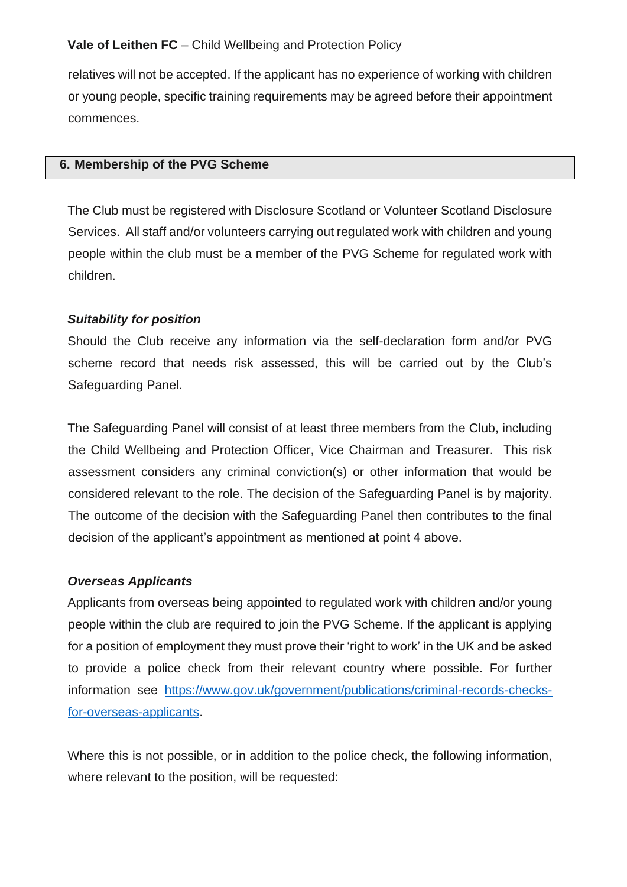relatives will not be accepted. If the applicant has no experience of working with children or young people, specific training requirements may be agreed before their appointment commences.

#### **6. Membership of the PVG Scheme**

The Club must be registered with Disclosure Scotland or Volunteer Scotland Disclosure Services. All staff and/or volunteers carrying out regulated work with children and young people within the club must be a member of the PVG Scheme for regulated work with children.

## *Suitability for position*

Should the Club receive any information via the self-declaration form and/or PVG scheme record that needs risk assessed, this will be carried out by the Club's Safeguarding Panel.

The Safeguarding Panel will consist of at least three members from the Club, including the Child Wellbeing and Protection Officer, Vice Chairman and Treasurer. This risk assessment considers any criminal conviction(s) or other information that would be considered relevant to the role. The decision of the Safeguarding Panel is by majority. The outcome of the decision with the Safeguarding Panel then contributes to the final decision of the applicant's appointment as mentioned at point 4 above.

#### *Overseas Applicants*

Applicants from overseas being appointed to regulated work with children and/or young people within the club are required to join the PVG Scheme. If the applicant is applying for a position of employment they must prove their 'right to work' in the UK and be asked to provide a police check from their relevant country where possible. For further information see [https://www.gov.uk/government/publications/criminal-records-checks](https://www.gov.uk/government/publications/criminal-records-checks-for-overseas-applicants)[for-overseas-applicants.](https://www.gov.uk/government/publications/criminal-records-checks-for-overseas-applicants)

Where this is not possible, or in addition to the police check, the following information, where relevant to the position, will be requested: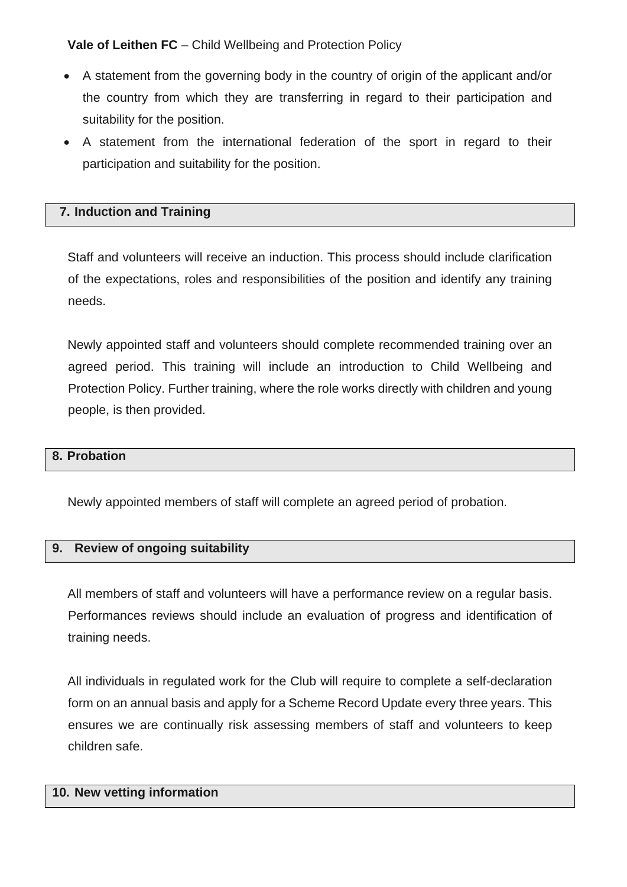- A statement from the governing body in the country of origin of the applicant and/or the country from which they are transferring in regard to their participation and suitability for the position.
- A statement from the international federation of the sport in regard to their participation and suitability for the position.

## **7. Induction and Training**

Staff and volunteers will receive an induction. This process should include clarification of the expectations, roles and responsibilities of the position and identify any training needs.

Newly appointed staff and volunteers should complete recommended training over an agreed period. This training will include an introduction to Child Wellbeing and Protection Policy. Further training, where the role works directly with children and young people, is then provided.

#### **8. Probation**

Newly appointed members of staff will complete an agreed period of probation.

#### **9. Review of ongoing suitability**

All members of staff and volunteers will have a performance review on a regular basis. Performances reviews should include an evaluation of progress and identification of training needs.

All individuals in regulated work for the Club will require to complete a self-declaration form on an annual basis and apply for a Scheme Record Update every three years. This ensures we are continually risk assessing members of staff and volunteers to keep children safe.

#### **10. New vetting information**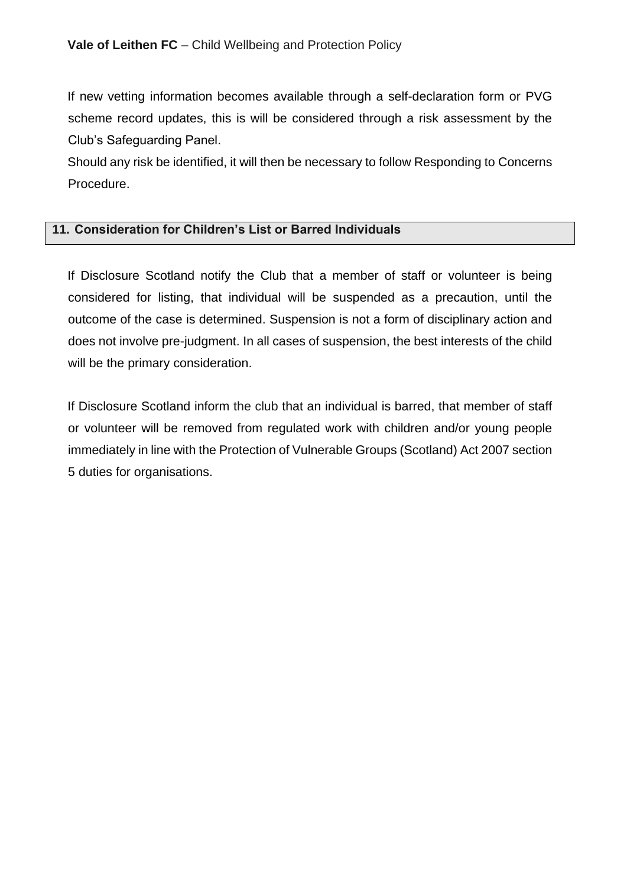If new vetting information becomes available through a self-declaration form or PVG scheme record updates, this is will be considered through a risk assessment by the Club's Safeguarding Panel.

Should any risk be identified, it will then be necessary to follow Responding to Concerns Procedure.

## **11. Consideration for Children's List or Barred Individuals**

If Disclosure Scotland notify the Club that a member of staff or volunteer is being considered for listing, that individual will be suspended as a precaution, until the outcome of the case is determined. Suspension is not a form of disciplinary action and does not involve pre-judgment. In all cases of suspension, the best interests of the child will be the primary consideration.

If Disclosure Scotland inform the club that an individual is barred, that member of staff or volunteer will be removed from regulated work with children and/or young people immediately in line with the Protection of Vulnerable Groups (Scotland) Act 2007 section 5 duties for organisations.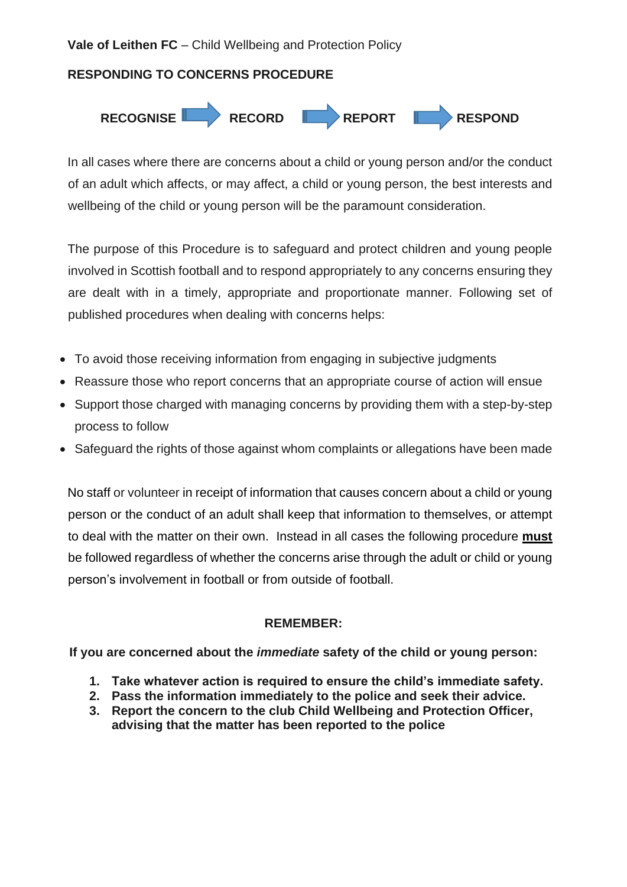## **RESPONDING TO CONCERNS PROCEDURE**



In all cases where there are concerns about a child or young person and/or the conduct of an adult which affects, or may affect, a child or young person, the best interests and wellbeing of the child or young person will be the paramount consideration.

The purpose of this Procedure is to safeguard and protect children and young people involved in Scottish football and to respond appropriately to any concerns ensuring they are dealt with in a timely, appropriate and proportionate manner. Following set of published procedures when dealing with concerns helps:

- To avoid those receiving information from engaging in subjective judgments
- Reassure those who report concerns that an appropriate course of action will ensue
- Support those charged with managing concerns by providing them with a step-by-step process to follow
- Safeguard the rights of those against whom complaints or allegations have been made

No staff or volunteer in receipt of information that causes concern about a child or young person or the conduct of an adult shall keep that information to themselves, or attempt to deal with the matter on their own. Instead in all cases the following procedure **must** be followed regardless of whether the concerns arise through the adult or child or young person's involvement in football or from outside of football.

## **REMEMBER:**

**If you are concerned about the** *immediate* **safety of the child or young person:**

- **1. Take whatever action is required to ensure the child's immediate safety.**
- **2. Pass the information immediately to the police and seek their advice.**
- **3. Report the concern to the club Child Wellbeing and Protection Officer, advising that the matter has been reported to the police**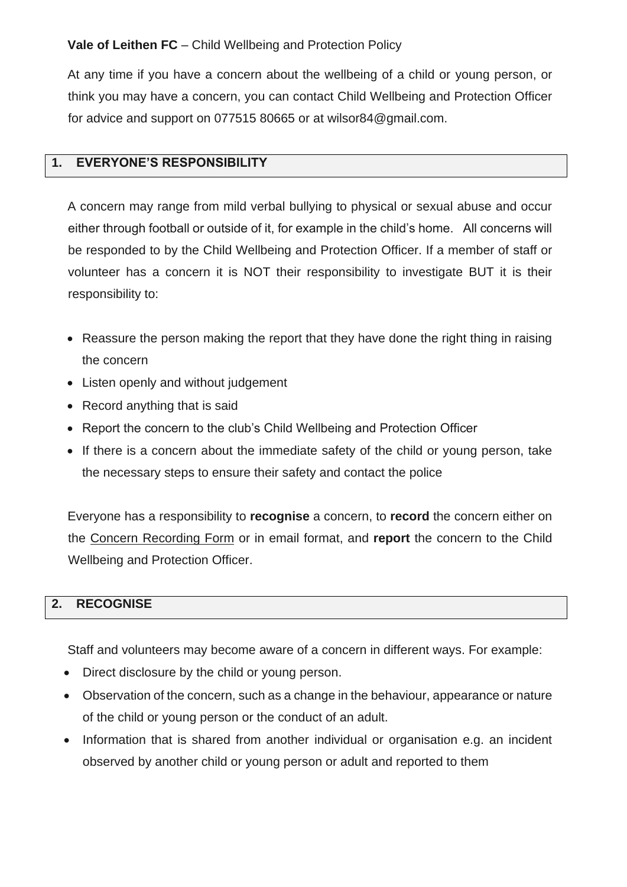At any time if you have a concern about the wellbeing of a child or young person, or think you may have a concern, you can contact Child Wellbeing and Protection Officer for advice and support on 077515 80665 or at wilsor84@gmail.com.

## **1. EVERYONE'S RESPONSIBILITY**

A concern may range from mild verbal bullying to physical or sexual abuse and occur either through football or outside of it, for example in the child's home. All concerns will be responded to by the Child Wellbeing and Protection Officer. If a member of staff or volunteer has a concern it is NOT their responsibility to investigate BUT it is their responsibility to:

- Reassure the person making the report that they have done the right thing in raising the concern
- Listen openly and without judgement
- Record anything that is said
- Report the concern to the club's Child Wellbeing and Protection Officer
- If there is a concern about the immediate safety of the child or young person, take the necessary steps to ensure their safety and contact the police

Everyone has a responsibility to **recognise** a concern, to **record** the concern either on the Concern Recording Form or in email format, and **report** the concern to the Child Wellbeing and Protection Officer.

## **2. RECOGNISE**

Staff and volunteers may become aware of a concern in different ways. For example:

- Direct disclosure by the child or young person.
- Observation of the concern, such as a change in the behaviour, appearance or nature of the child or young person or the conduct of an adult.
- Information that is shared from another individual or organisation e.g. an incident observed by another child or young person or adult and reported to them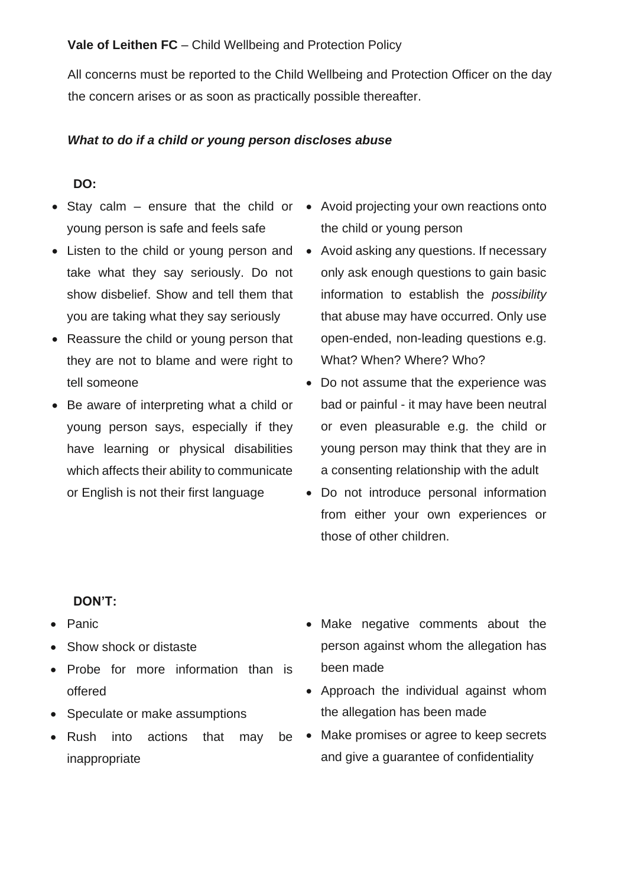All concerns must be reported to the Child Wellbeing and Protection Officer on the day the concern arises or as soon as practically possible thereafter.

#### *What to do if a child or young person discloses abuse*

#### **DO:**

- Stay calm ensure that the child or Avoid projecting your own reactions onto young person is safe and feels safe
- Listen to the child or young person and take what they say seriously. Do not show disbelief. Show and tell them that you are taking what they say seriously
- Reassure the child or young person that they are not to blame and were right to tell someone
- Be aware of interpreting what a child or young person says, especially if they have learning or physical disabilities which affects their ability to communicate or English is not their first language
- the child or young person
- Avoid asking any questions. If necessary only ask enough questions to gain basic information to establish the *possibility* that abuse may have occurred. Only use open-ended, non-leading questions e.g. What? When? Where? Who?
- Do not assume that the experience was bad or painful - it may have been neutral or even pleasurable e.g. the child or young person may think that they are in a consenting relationship with the adult
- Do not introduce personal information from either your own experiences or those of other children.

#### **DON'T:**

- Panic
- Show shock or distaste
- Probe for more information than is offered
- Speculate or make assumptions
- Rush into actions that may be inappropriate
- Make negative comments about the person against whom the allegation has been made
- Approach the individual against whom the allegation has been made
- Make promises or agree to keep secrets and give a guarantee of confidentiality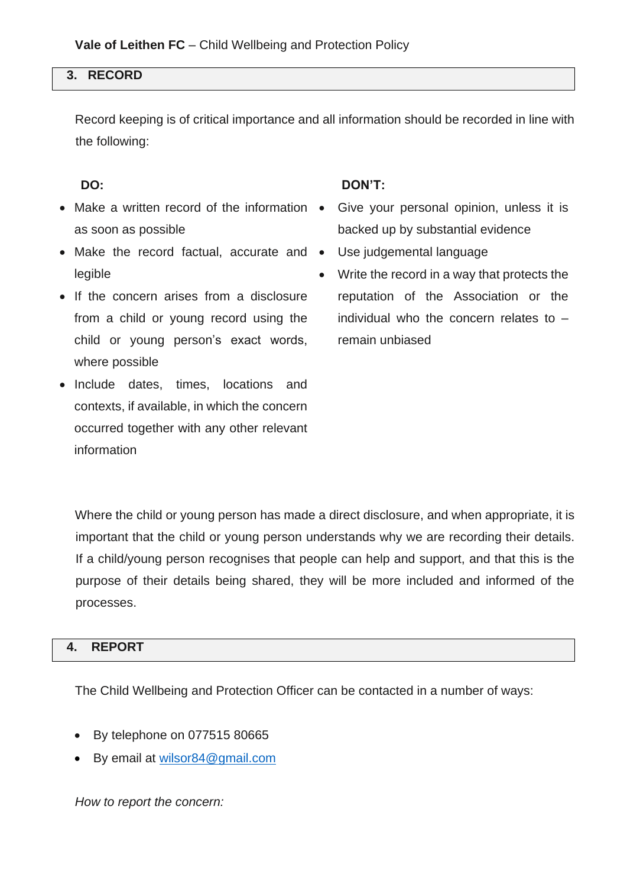## **3. RECORD**

Record keeping is of critical importance and all information should be recorded in line with the following:

- Make a written record of the information as soon as possible
- Make the record factual, accurate and Use judgemental language legible
- If the concern arises from a disclosure from a child or young record using the child or young person's exact words, where possible
- Include dates, times, locations and contexts, if available, in which the concern occurred together with any other relevant information

## **DO: DON'T:**

- Give your personal opinion, unless it is backed up by substantial evidence
- 
- Write the record in a way that protects the reputation of the Association or the individual who the concern relates to – remain unbiased

Where the child or young person has made a direct disclosure, and when appropriate, it is important that the child or young person understands why we are recording their details. If a child/young person recognises that people can help and support, and that this is the purpose of their details being shared, they will be more included and informed of the processes.

## **4. REPORT**

The Child Wellbeing and Protection Officer can be contacted in a number of ways:

- By telephone on 077515 80665
- By email at [wilsor84@gmail.com](mailto:wilsor84@gmail.com)

*How to report the concern:*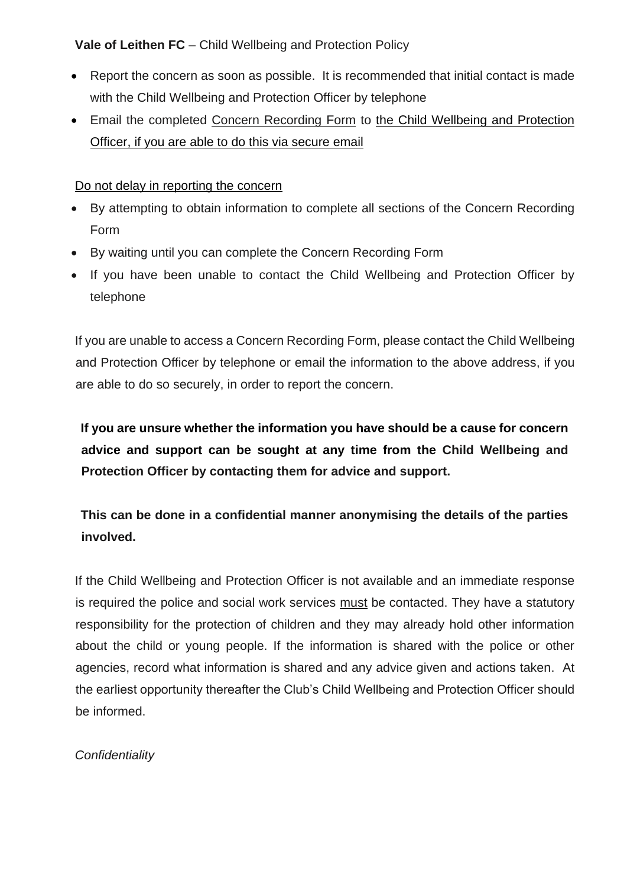- Report the concern as soon as possible. It is recommended that initial contact is made with the Child Wellbeing and Protection Officer by telephone
- Email the completed Concern Recording Form to the Child Wellbeing and Protection Officer, if you are able to do this via secure email

## Do not delay in reporting the concern

- By attempting to obtain information to complete all sections of the Concern Recording Form
- By waiting until you can complete the Concern Recording Form
- If you have been unable to contact the Child Wellbeing and Protection Officer by telephone

If you are unable to access a Concern Recording Form, please contact the Child Wellbeing and Protection Officer by telephone or email the information to the above address, if you are able to do so securely, in order to report the concern.

**If you are unsure whether the information you have should be a cause for concern advice and support can be sought at any time from the Child Wellbeing and Protection Officer by contacting them for advice and support.** 

**This can be done in a confidential manner anonymising the details of the parties involved.** 

If the Child Wellbeing and Protection Officer is not available and an immediate response is required the police and social work services must be contacted. They have a statutory responsibility for the protection of children and they may already hold other information about the child or young people. If the information is shared with the police or other agencies, record what information is shared and any advice given and actions taken. At the earliest opportunity thereafter the Club's Child Wellbeing and Protection Officer should be informed.

## *Confidentiality*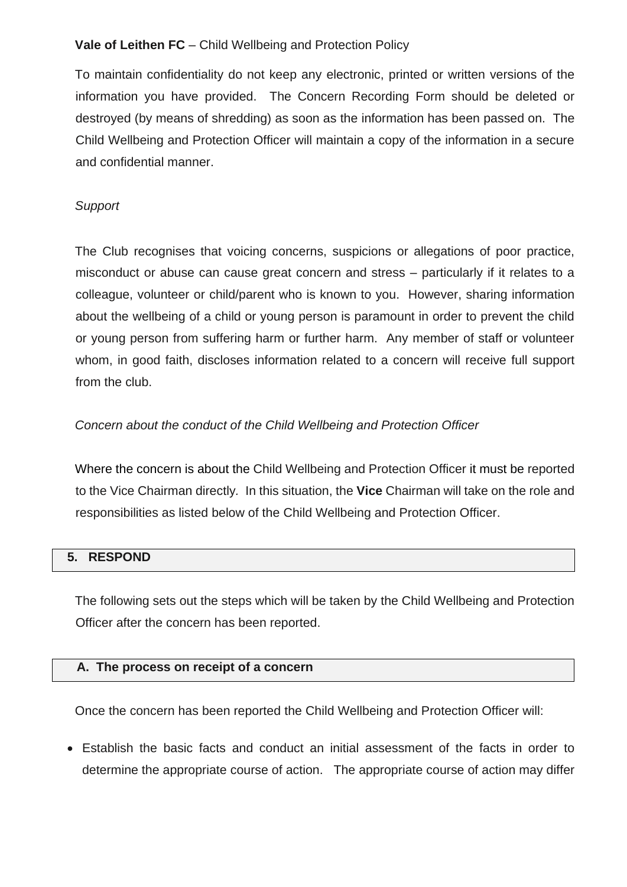To maintain confidentiality do not keep any electronic, printed or written versions of the information you have provided. The Concern Recording Form should be deleted or destroyed (by means of shredding) as soon as the information has been passed on. The Child Wellbeing and Protection Officer will maintain a copy of the information in a secure and confidential manner.

## *Support*

The Club recognises that voicing concerns, suspicions or allegations of poor practice, misconduct or abuse can cause great concern and stress – particularly if it relates to a colleague, volunteer or child/parent who is known to you. However, sharing information about the wellbeing of a child or young person is paramount in order to prevent the child or young person from suffering harm or further harm. Any member of staff or volunteer whom, in good faith, discloses information related to a concern will receive full support from the club.

## *Concern about the conduct of the Child Wellbeing and Protection Officer*

Where the concern is about the Child Wellbeing and Protection Officer it must be reported to the Vice Chairman directly*.* In this situation, the **Vice** Chairman will take on the role and responsibilities as listed below of the Child Wellbeing and Protection Officer.

## **5. RESPOND**

The following sets out the steps which will be taken by the Child Wellbeing and Protection Officer after the concern has been reported.

## **A. The process on receipt of a concern**

Once the concern has been reported the Child Wellbeing and Protection Officer will:

• Establish the basic facts and conduct an initial assessment of the facts in order to determine the appropriate course of action. The appropriate course of action may differ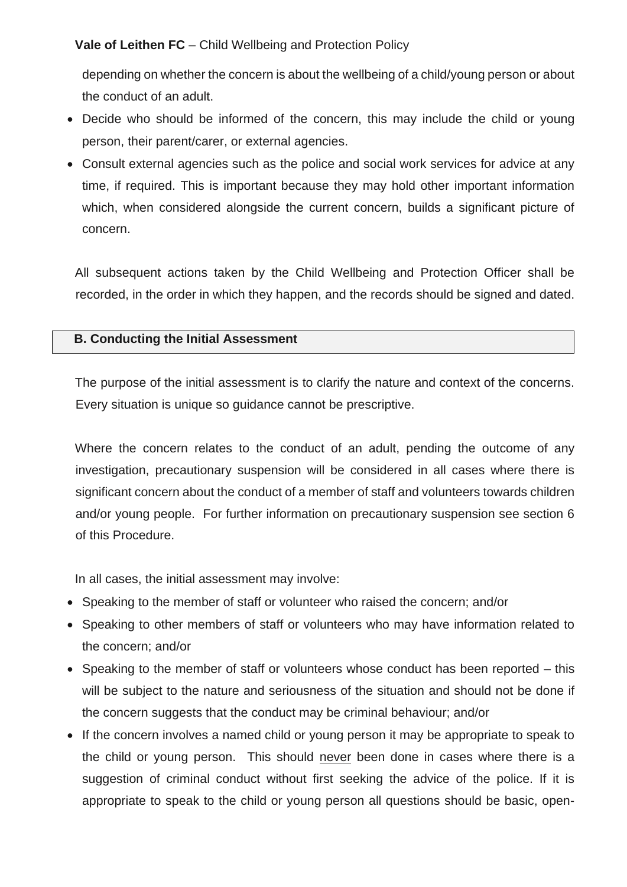depending on whether the concern is about the wellbeing of a child/young person or about the conduct of an adult.

- Decide who should be informed of the concern, this may include the child or young person, their parent/carer, or external agencies.
- Consult external agencies such as the police and social work services for advice at any time, if required. This is important because they may hold other important information which, when considered alongside the current concern, builds a significant picture of concern.

All subsequent actions taken by the Child Wellbeing and Protection Officer shall be recorded, in the order in which they happen, and the records should be signed and dated.

## **B. Conducting the Initial Assessment**

The purpose of the initial assessment is to clarify the nature and context of the concerns. Every situation is unique so guidance cannot be prescriptive.

Where the concern relates to the conduct of an adult, pending the outcome of any investigation, precautionary suspension will be considered in all cases where there is significant concern about the conduct of a member of staff and volunteers towards children and/or young people. For further information on precautionary suspension see section 6 of this Procedure.

In all cases, the initial assessment may involve:

- Speaking to the member of staff or volunteer who raised the concern; and/or
- Speaking to other members of staff or volunteers who may have information related to the concern; and/or
- Speaking to the member of staff or volunteers whose conduct has been reported this will be subject to the nature and seriousness of the situation and should not be done if the concern suggests that the conduct may be criminal behaviour; and/or
- If the concern involves a named child or voung person it may be appropriate to speak to the child or young person. This should never been done in cases where there is a suggestion of criminal conduct without first seeking the advice of the police. If it is appropriate to speak to the child or young person all questions should be basic, open-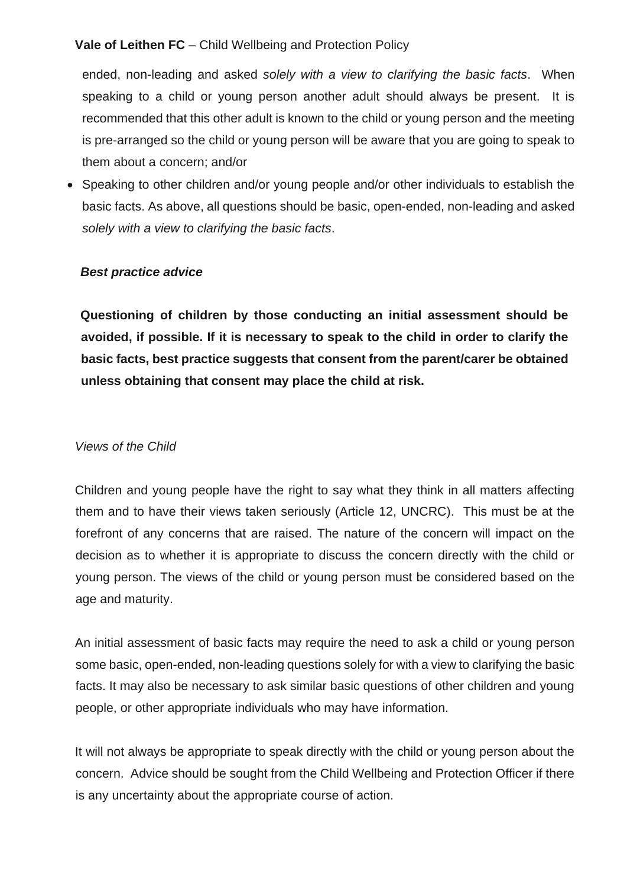ended, non-leading and asked *solely with a view to clarifying the basic facts*. When speaking to a child or young person another adult should always be present. It is recommended that this other adult is known to the child or young person and the meeting is pre-arranged so the child or young person will be aware that you are going to speak to them about a concern; and/or

• Speaking to other children and/or young people and/or other individuals to establish the basic facts. As above, all questions should be basic, open-ended, non-leading and asked *solely with a view to clarifying the basic facts*.

## *Best practice advice*

**Questioning of children by those conducting an initial assessment should be avoided, if possible. If it is necessary to speak to the child in order to clarify the basic facts, best practice suggests that consent from the parent/carer be obtained unless obtaining that consent may place the child at risk.**

## *Views of the Child*

Children and young people have the right to say what they think in all matters affecting them and to have their views taken seriously (Article 12, UNCRC). This must be at the forefront of any concerns that are raised. The nature of the concern will impact on the decision as to whether it is appropriate to discuss the concern directly with the child or young person. The views of the child or young person must be considered based on the age and maturity.

An initial assessment of basic facts may require the need to ask a child or young person some basic, open-ended, non-leading questions solely for with a view to clarifying the basic facts. It may also be necessary to ask similar basic questions of other children and young people, or other appropriate individuals who may have information.

It will not always be appropriate to speak directly with the child or young person about the concern. Advice should be sought from the Child Wellbeing and Protection Officer if there is any uncertainty about the appropriate course of action.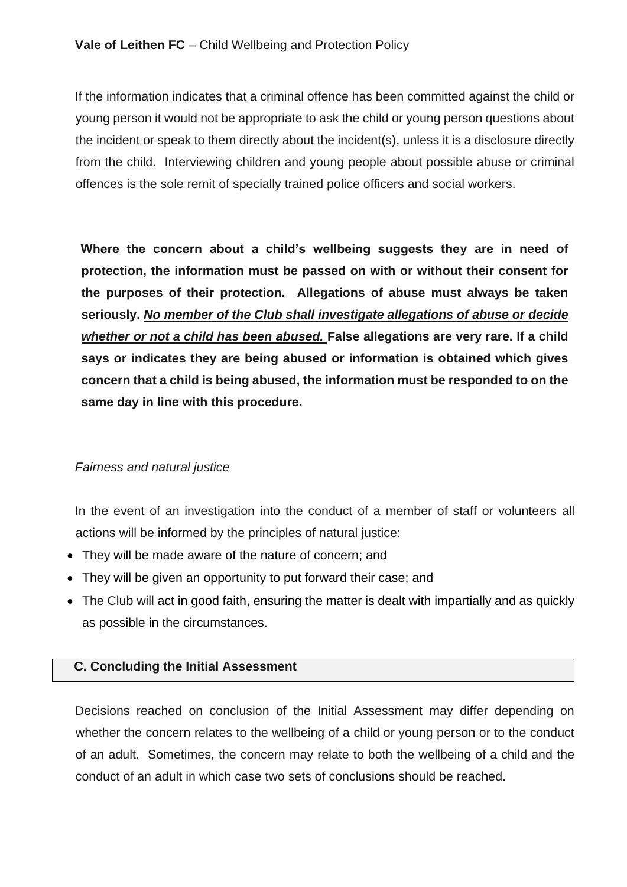If the information indicates that a criminal offence has been committed against the child or young person it would not be appropriate to ask the child or young person questions about the incident or speak to them directly about the incident(s), unless it is a disclosure directly from the child. Interviewing children and young people about possible abuse or criminal offences is the sole remit of specially trained police officers and social workers.

**Where the concern about a child's wellbeing suggests they are in need of protection, the information must be passed on with or without their consent for the purposes of their protection. Allegations of abuse must always be taken seriously.** *No member of the Club shall investigate allegations of abuse or decide whether or not a child has been abused.* **False allegations are very rare. If a child says or indicates they are being abused or information is obtained which gives concern that a child is being abused, the information must be responded to on the same day in line with this procedure.** 

## *Fairness and natural justice*

In the event of an investigation into the conduct of a member of staff or volunteers all actions will be informed by the principles of natural justice:

- They will be made aware of the nature of concern; and
- They will be given an opportunity to put forward their case; and
- The Club will act in good faith, ensuring the matter is dealt with impartially and as quickly as possible in the circumstances.

## **C. Concluding the Initial Assessment**

Decisions reached on conclusion of the Initial Assessment may differ depending on whether the concern relates to the wellbeing of a child or young person or to the conduct of an adult. Sometimes, the concern may relate to both the wellbeing of a child and the conduct of an adult in which case two sets of conclusions should be reached.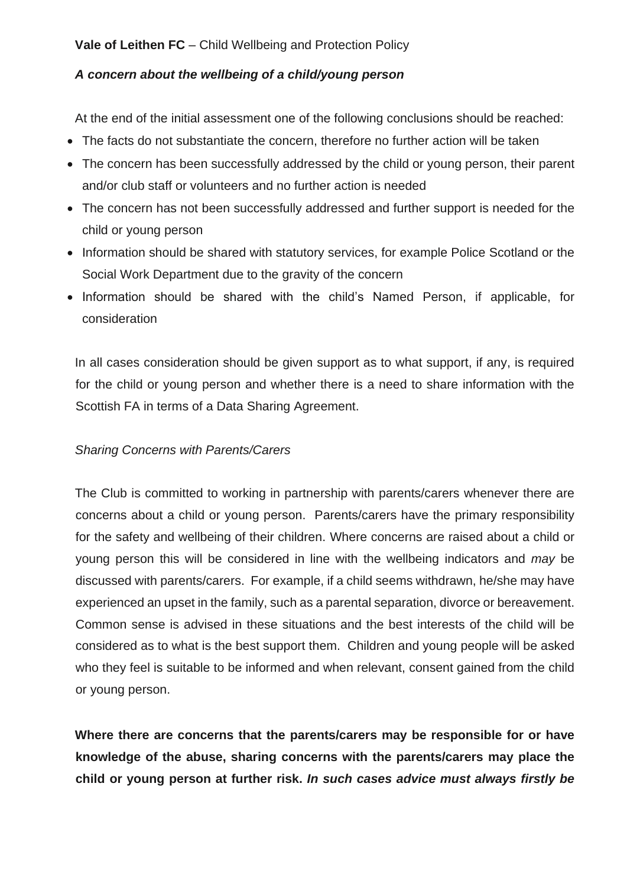## *A concern about the wellbeing of a child/young person*

At the end of the initial assessment one of the following conclusions should be reached:

- The facts do not substantiate the concern, therefore no further action will be taken
- The concern has been successfully addressed by the child or young person, their parent and/or club staff or volunteers and no further action is needed
- The concern has not been successfully addressed and further support is needed for the child or young person
- Information should be shared with statutory services, for example Police Scotland or the Social Work Department due to the gravity of the concern
- Information should be shared with the child's Named Person, if applicable, for consideration

In all cases consideration should be given support as to what support, if any, is required for the child or young person and whether there is a need to share information with the Scottish FA in terms of a Data Sharing Agreement.

## *Sharing Concerns with Parents/Carers*

The Club is committed to working in partnership with parents/carers whenever there are concerns about a child or young person. Parents/carers have the primary responsibility for the safety and wellbeing of their children. Where concerns are raised about a child or young person this will be considered in line with the wellbeing indicators and *may* be discussed with parents/carers. For example, if a child seems withdrawn, he/she may have experienced an upset in the family, such as a parental separation, divorce or bereavement. Common sense is advised in these situations and the best interests of the child will be considered as to what is the best support them. Children and young people will be asked who they feel is suitable to be informed and when relevant, consent gained from the child or young person.

**Where there are concerns that the parents/carers may be responsible for or have knowledge of the abuse, sharing concerns with the parents/carers may place the child or young person at further risk.** *In such cases advice must always firstly be*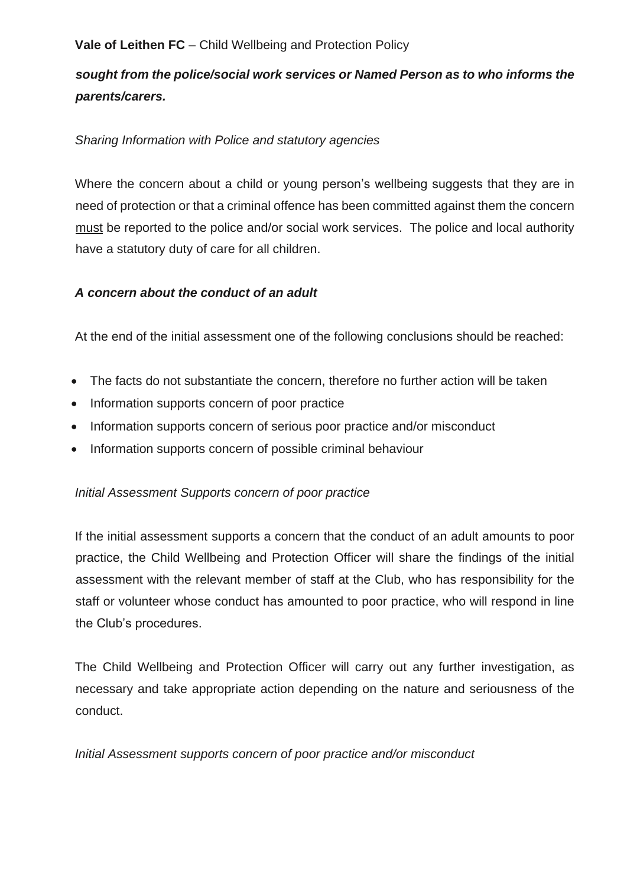# *sought from the police/social work services or Named Person as to who informs the parents/carers.*

## *Sharing Information with Police and statutory agencies*

Where the concern about a child or young person's wellbeing suggests that they are in need of protection or that a criminal offence has been committed against them the concern must be reported to the police and/or social work services. The police and local authority have a statutory duty of care for all children.

## *A concern about the conduct of an adult*

At the end of the initial assessment one of the following conclusions should be reached:

- The facts do not substantiate the concern, therefore no further action will be taken
- Information supports concern of poor practice
- Information supports concern of serious poor practice and/or misconduct
- Information supports concern of possible criminal behaviour

## *Initial Assessment Supports concern of poor practice*

If the initial assessment supports a concern that the conduct of an adult amounts to poor practice, the Child Wellbeing and Protection Officer will share the findings of the initial assessment with the relevant member of staff at the Club, who has responsibility for the staff or volunteer whose conduct has amounted to poor practice, who will respond in line the Club's procedures.

The Child Wellbeing and Protection Officer will carry out any further investigation, as necessary and take appropriate action depending on the nature and seriousness of the conduct.

*Initial Assessment supports concern of poor practice and/or misconduct*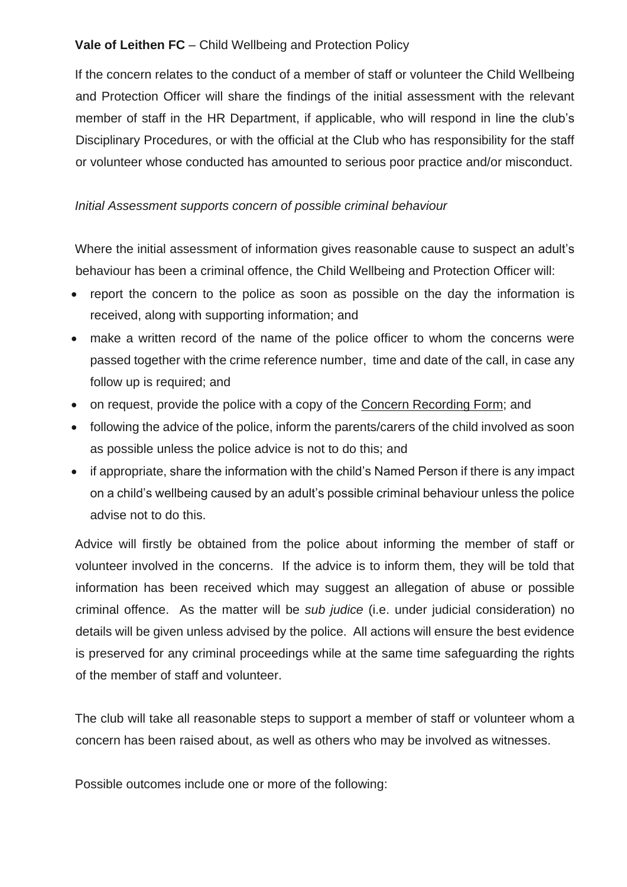If the concern relates to the conduct of a member of staff or volunteer the Child Wellbeing and Protection Officer will share the findings of the initial assessment with the relevant member of staff in the HR Department, if applicable, who will respond in line the club's Disciplinary Procedures, or with the official at the Club who has responsibility for the staff or volunteer whose conducted has amounted to serious poor practice and/or misconduct.

## *Initial Assessment supports concern of possible criminal behaviour*

Where the initial assessment of information gives reasonable cause to suspect an adult's behaviour has been a criminal offence, the Child Wellbeing and Protection Officer will:

- report the concern to the police as soon as possible on the day the information is received, along with supporting information; and
- make a written record of the name of the police officer to whom the concerns were passed together with the crime reference number, time and date of the call, in case any follow up is required; and
- on request, provide the police with a copy of the Concern Recording Form; and
- following the advice of the police, inform the parents/carers of the child involved as soon as possible unless the police advice is not to do this; and
- if appropriate, share the information with the child's Named Person if there is any impact on a child's wellbeing caused by an adult's possible criminal behaviour unless the police advise not to do this.

Advice will firstly be obtained from the police about informing the member of staff or volunteer involved in the concerns. If the advice is to inform them, they will be told that information has been received which may suggest an allegation of abuse or possible criminal offence. As the matter will be *sub judice* (i.e. under judicial consideration) no details will be given unless advised by the police. All actions will ensure the best evidence is preserved for any criminal proceedings while at the same time safeguarding the rights of the member of staff and volunteer.

The club will take all reasonable steps to support a member of staff or volunteer whom a concern has been raised about, as well as others who may be involved as witnesses.

Possible outcomes include one or more of the following: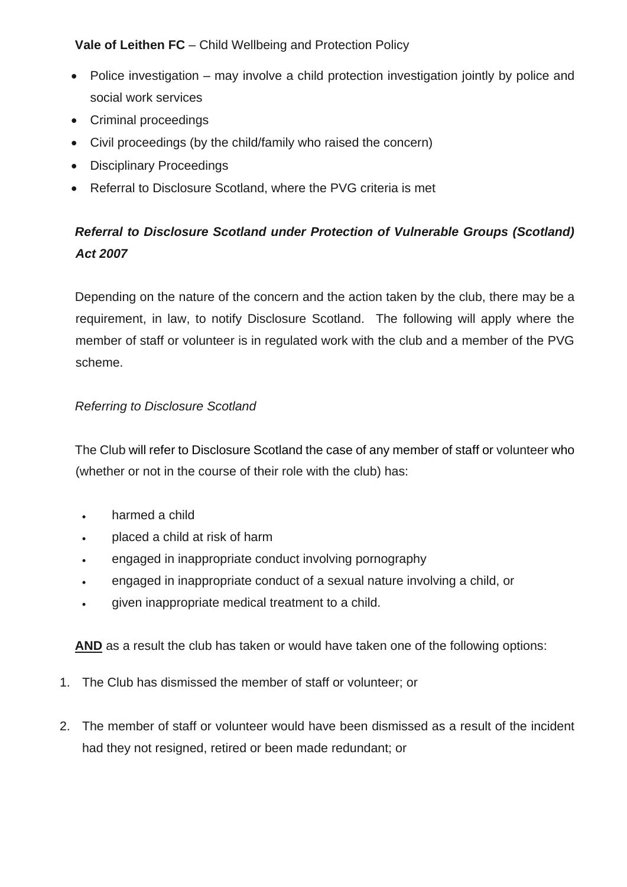- Police investigation may involve a child protection investigation jointly by police and social work services
- Criminal proceedings
- Civil proceedings (by the child/family who raised the concern)
- Disciplinary Proceedings
- Referral to Disclosure Scotland, where the PVG criteria is met

# *Referral to Disclosure Scotland under Protection of Vulnerable Groups (Scotland) Act 2007*

Depending on the nature of the concern and the action taken by the club, there may be a requirement, in law, to notify Disclosure Scotland. The following will apply where the member of staff or volunteer is in regulated work with the club and a member of the PVG scheme.

## *Referring to Disclosure Scotland*

The Club will refer to Disclosure Scotland the case of any member of staff or volunteer who (whether or not in the course of their role with the club) has:

- harmed a child
- placed a child at risk of harm
- engaged in inappropriate conduct involving pornography
- engaged in inappropriate conduct of a sexual nature involving a child, or
- given inappropriate medical treatment to a child.

**AND** as a result the club has taken or would have taken one of the following options:

- 1. The Club has dismissed the member of staff or volunteer; or
- 2. The member of staff or volunteer would have been dismissed as a result of the incident had they not resigned, retired or been made redundant; or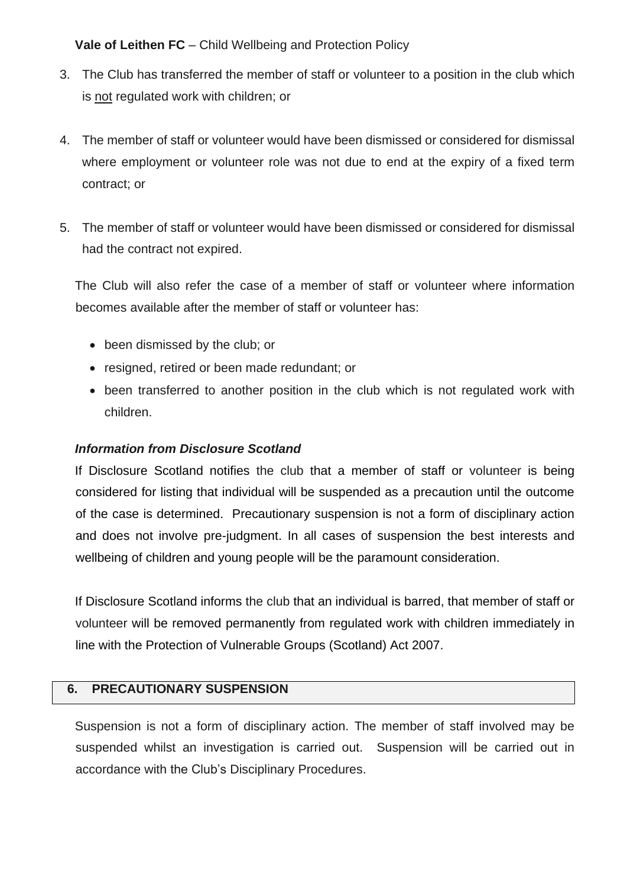- 3. The Club has transferred the member of staff or volunteer to a position in the club which is not regulated work with children; or
- 4. The member of staff or volunteer would have been dismissed or considered for dismissal where employment or volunteer role was not due to end at the expiry of a fixed term contract; or
- 5. The member of staff or volunteer would have been dismissed or considered for dismissal had the contract not expired.

The Club will also refer the case of a member of staff or volunteer where information becomes available after the member of staff or volunteer has:

- been dismissed by the club; or
- resigned, retired or been made redundant; or
- been transferred to another position in the club which is not regulated work with children.

## *Information from Disclosure Scotland*

If Disclosure Scotland notifies the club that a member of staff or volunteer is being considered for listing that individual will be suspended as a precaution until the outcome of the case is determined. Precautionary suspension is not a form of disciplinary action and does not involve pre-judgment. In all cases of suspension the best interests and wellbeing of children and young people will be the paramount consideration.

If Disclosure Scotland informs the club that an individual is barred, that member of staff or volunteer will be removed permanently from regulated work with children immediately in line with the Protection of Vulnerable Groups (Scotland) Act 2007.

## **6. PRECAUTIONARY SUSPENSION**

Suspension is not a form of disciplinary action. The member of staff involved may be suspended whilst an investigation is carried out. Suspension will be carried out in accordance with the Club's Disciplinary Procedures.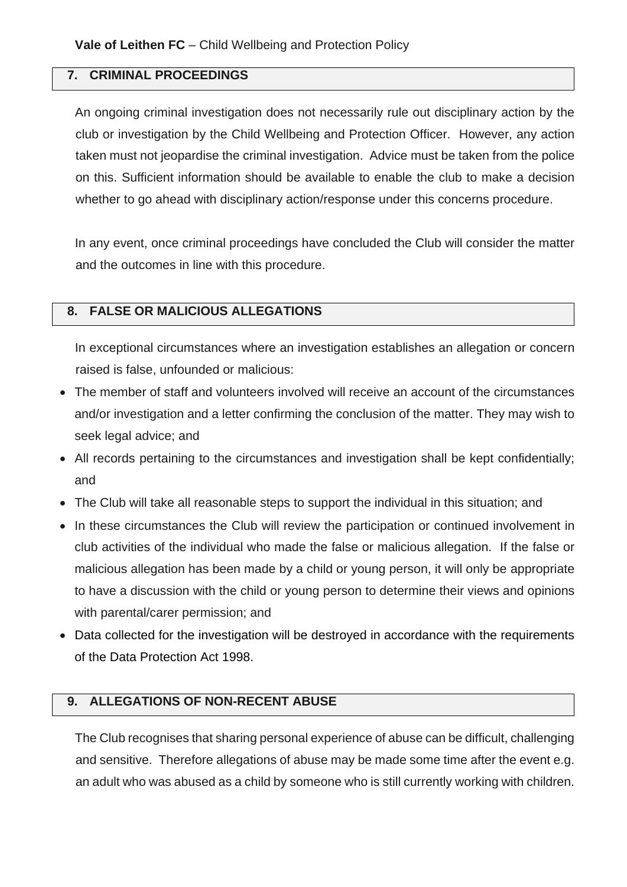## **7. CRIMINAL PROCEEDINGS**

An ongoing criminal investigation does not necessarily rule out disciplinary action by the club or investigation by the Child Wellbeing and Protection Officer. However, any action taken must not jeopardise the criminal investigation. Advice must be taken from the police on this. Sufficient information should be available to enable the club to make a decision whether to go ahead with disciplinary action/response under this concerns procedure.

In any event, once criminal proceedings have concluded the Club will consider the matter and the outcomes in line with this procedure.

## **8. FALSE OR MALICIOUS ALLEGATIONS**

In exceptional circumstances where an investigation establishes an allegation or concern raised is false, unfounded or malicious:

- The member of staff and volunteers involved will receive an account of the circumstances and/or investigation and a letter confirming the conclusion of the matter. They may wish to seek legal advice; and
- All records pertaining to the circumstances and investigation shall be kept confidentially; and
- The Club will take all reasonable steps to support the individual in this situation; and
- In these circumstances the Club will review the participation or continued involvement in club activities of the individual who made the false or malicious allegation. If the false or malicious allegation has been made by a child or young person, it will only be appropriate to have a discussion with the child or young person to determine their views and opinions with parental/carer permission; and
- Data collected for the investigation will be destroyed in accordance with the requirements of the Data Protection Act 1998.

## **9. ALLEGATIONS OF NON-RECENT ABUSE**

The Club recognises that sharing personal experience of abuse can be difficult, challenging and sensitive. Therefore allegations of abuse may be made some time after the event e.g. an adult who was abused as a child by someone who is still currently working with children.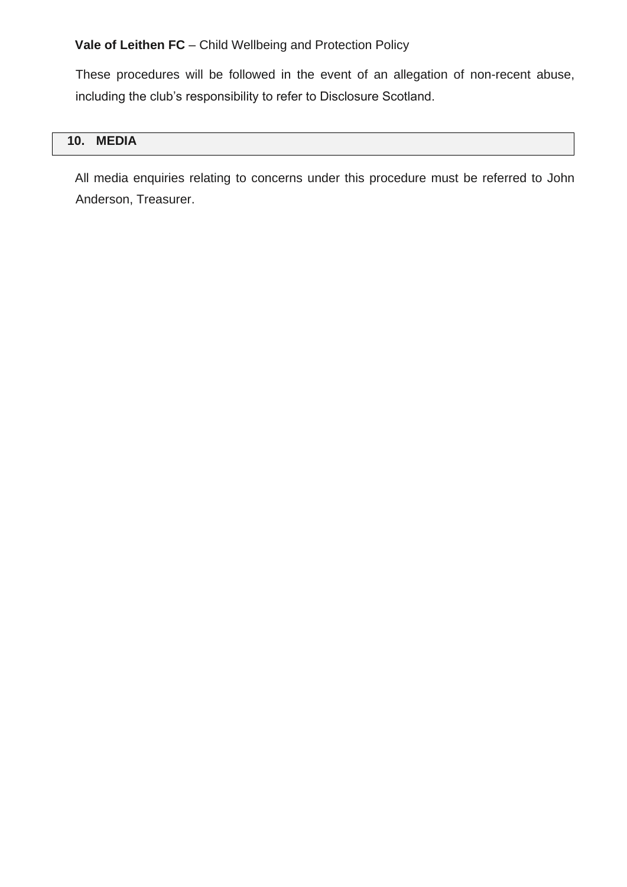These procedures will be followed in the event of an allegation of non-recent abuse, including the club's responsibility to refer to Disclosure Scotland.

## **10. MEDIA**

All media enquiries relating to concerns under this procedure must be referred to John Anderson, Treasurer.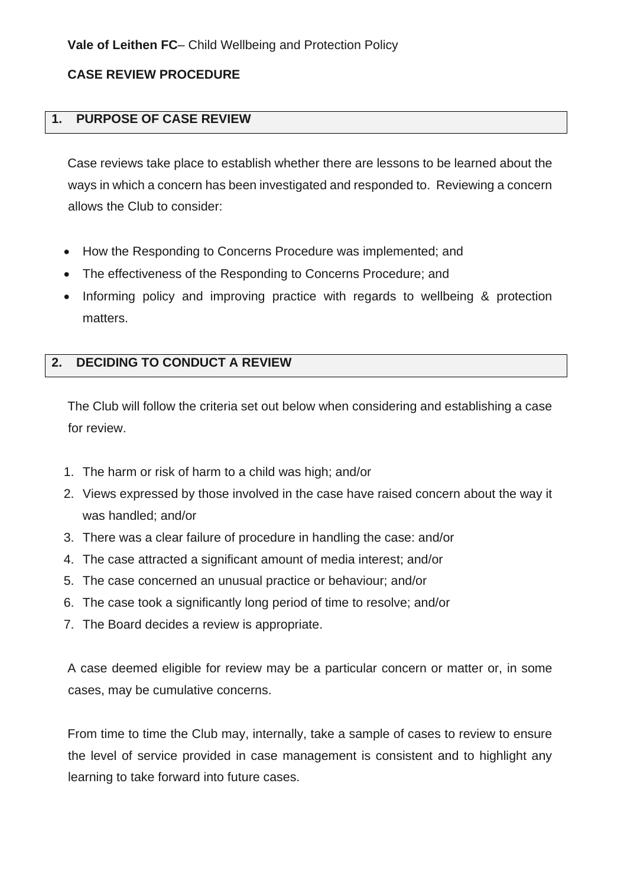## **CASE REVIEW PROCEDURE**

## **1. PURPOSE OF CASE REVIEW**

Case reviews take place to establish whether there are lessons to be learned about the ways in which a concern has been investigated and responded to. Reviewing a concern allows the Club to consider:

- How the Responding to Concerns Procedure was implemented; and
- The effectiveness of the Responding to Concerns Procedure; and
- Informing policy and improving practice with regards to wellbeing & protection matters.

## **2. DECIDING TO CONDUCT A REVIEW**

The Club will follow the criteria set out below when considering and establishing a case for review.

- 1. The harm or risk of harm to a child was high; and/or
- 2. Views expressed by those involved in the case have raised concern about the way it was handled; and/or
- 3. There was a clear failure of procedure in handling the case: and/or
- 4. The case attracted a significant amount of media interest; and/or
- 5. The case concerned an unusual practice or behaviour; and/or
- 6. The case took a significantly long period of time to resolve; and/or
- 7. The Board decides a review is appropriate.

A case deemed eligible for review may be a particular concern or matter or, in some cases, may be cumulative concerns.

From time to time the Club may, internally, take a sample of cases to review to ensure the level of service provided in case management is consistent and to highlight any learning to take forward into future cases.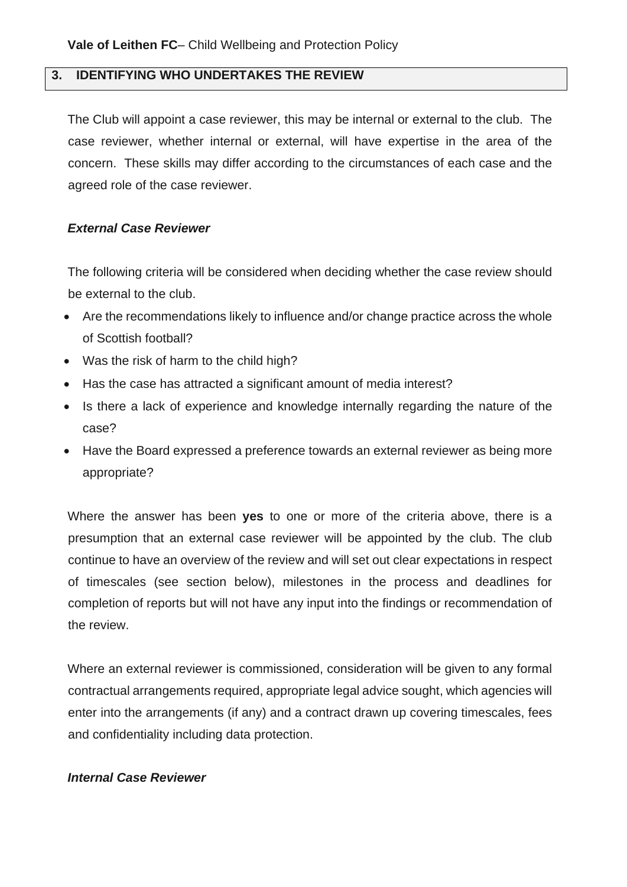# **3. IDENTIFYING WHO UNDERTAKES THE REVIEW**

The Club will appoint a case reviewer, this may be internal or external to the club. The case reviewer, whether internal or external, will have expertise in the area of the concern. These skills may differ according to the circumstances of each case and the agreed role of the case reviewer.

### *External Case Reviewer*

The following criteria will be considered when deciding whether the case review should be external to the club.

- Are the recommendations likely to influence and/or change practice across the whole of Scottish football?
- Was the risk of harm to the child high?
- Has the case has attracted a significant amount of media interest?
- Is there a lack of experience and knowledge internally regarding the nature of the case?
- Have the Board expressed a preference towards an external reviewer as being more appropriate?

Where the answer has been **yes** to one or more of the criteria above, there is a presumption that an external case reviewer will be appointed by the club. The club continue to have an overview of the review and will set out clear expectations in respect of timescales (see section below), milestones in the process and deadlines for completion of reports but will not have any input into the findings or recommendation of the review.

Where an external reviewer is commissioned, consideration will be given to any formal contractual arrangements required, appropriate legal advice sought, which agencies will enter into the arrangements (if any) and a contract drawn up covering timescales, fees and confidentiality including data protection.

### *Internal Case Reviewer*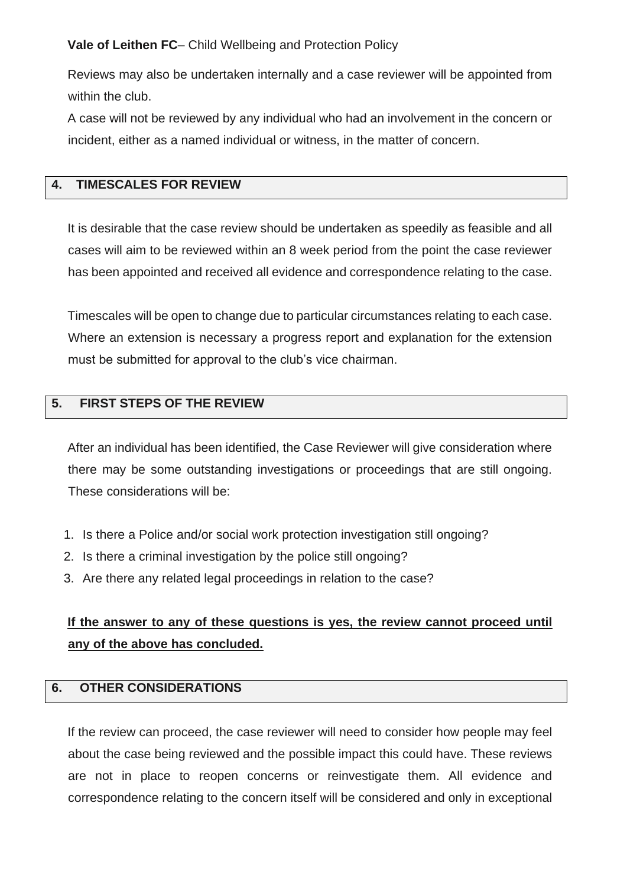Reviews may also be undertaken internally and a case reviewer will be appointed from within the club.

A case will not be reviewed by any individual who had an involvement in the concern or incident, either as a named individual or witness, in the matter of concern.

# **4. TIMESCALES FOR REVIEW**

It is desirable that the case review should be undertaken as speedily as feasible and all cases will aim to be reviewed within an 8 week period from the point the case reviewer has been appointed and received all evidence and correspondence relating to the case.

Timescales will be open to change due to particular circumstances relating to each case. Where an extension is necessary a progress report and explanation for the extension must be submitted for approval to the club's vice chairman.

# **5. FIRST STEPS OF THE REVIEW**

After an individual has been identified, the Case Reviewer will give consideration where there may be some outstanding investigations or proceedings that are still ongoing. These considerations will be:

- 1. Is there a Police and/or social work protection investigation still ongoing?
- 2. Is there a criminal investigation by the police still ongoing?
- 3. Are there any related legal proceedings in relation to the case?

# **If the answer to any of these questions is yes, the review cannot proceed until any of the above has concluded.**

# **6. OTHER CONSIDERATIONS**

If the review can proceed, the case reviewer will need to consider how people may feel about the case being reviewed and the possible impact this could have. These reviews are not in place to reopen concerns or reinvestigate them. All evidence and correspondence relating to the concern itself will be considered and only in exceptional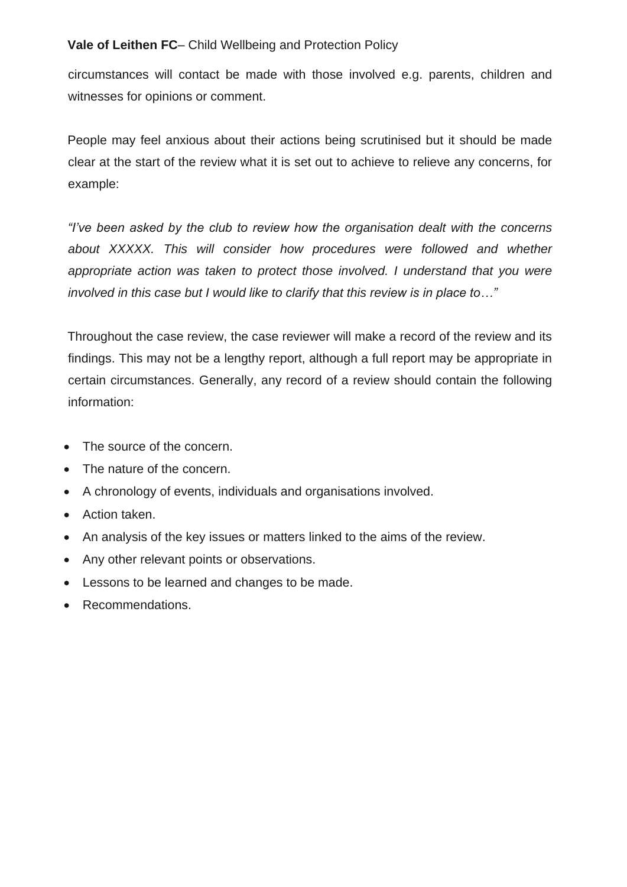circumstances will contact be made with those involved e.g. parents, children and witnesses for opinions or comment.

People may feel anxious about their actions being scrutinised but it should be made clear at the start of the review what it is set out to achieve to relieve any concerns, for example:

*"I've been asked by the club to review how the organisation dealt with the concerns about XXXXX. This will consider how procedures were followed and whether*  appropriate action was taken to protect those involved. I understand that you were *involved in this case but I would like to clarify that this review is in place to…"*

Throughout the case review, the case reviewer will make a record of the review and its findings. This may not be a lengthy report, although a full report may be appropriate in certain circumstances. Generally, any record of a review should contain the following information:

- The source of the concern.
- The nature of the concern.
- A chronology of events, individuals and organisations involved.
- Action taken.
- An analysis of the key issues or matters linked to the aims of the review.
- Any other relevant points or observations.
- Lessons to be learned and changes to be made.
- Recommendations.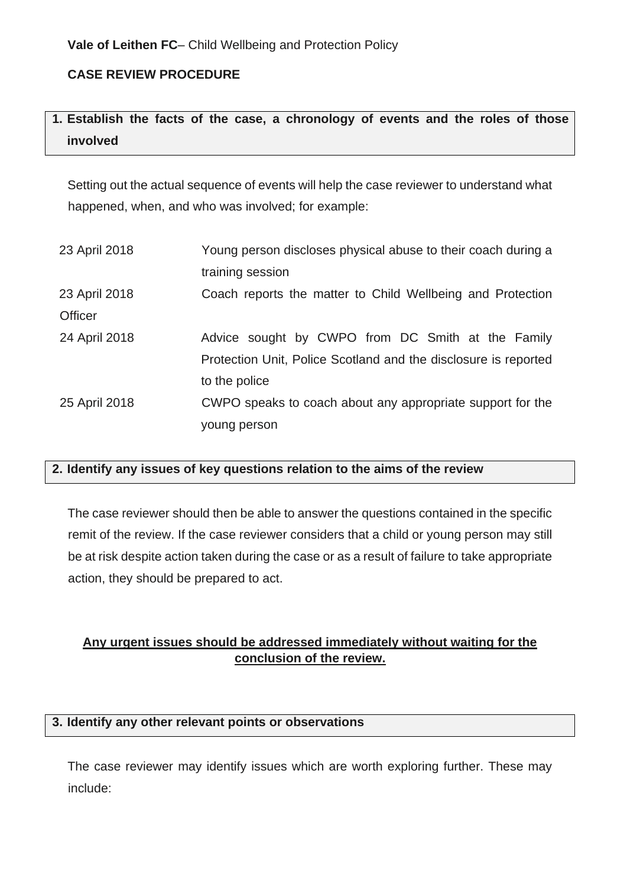# **CASE REVIEW PROCEDURE**

# **1. Establish the facts of the case, a chronology of events and the roles of those involved**

Setting out the actual sequence of events will help the case reviewer to understand what happened, when, and who was involved; for example:

| 23 April 2018  | Young person discloses physical abuse to their coach during a   |
|----------------|-----------------------------------------------------------------|
|                | training session                                                |
| 23 April 2018  | Coach reports the matter to Child Wellbeing and Protection      |
| <b>Officer</b> |                                                                 |
| 24 April 2018  | Advice sought by CWPO from DC Smith at the Family               |
|                | Protection Unit, Police Scotland and the disclosure is reported |
|                | to the police                                                   |
| 25 April 2018  | CWPO speaks to coach about any appropriate support for the      |
|                | young person                                                    |
|                |                                                                 |

# **2. Identify any issues of key questions relation to the aims of the review**

The case reviewer should then be able to answer the questions contained in the specific remit of the review. If the case reviewer considers that a child or young person may still be at risk despite action taken during the case or as a result of failure to take appropriate action, they should be prepared to act.

# **Any urgent issues should be addressed immediately without waiting for the conclusion of the review.**

# **3. Identify any other relevant points or observations**

The case reviewer may identify issues which are worth exploring further. These may include: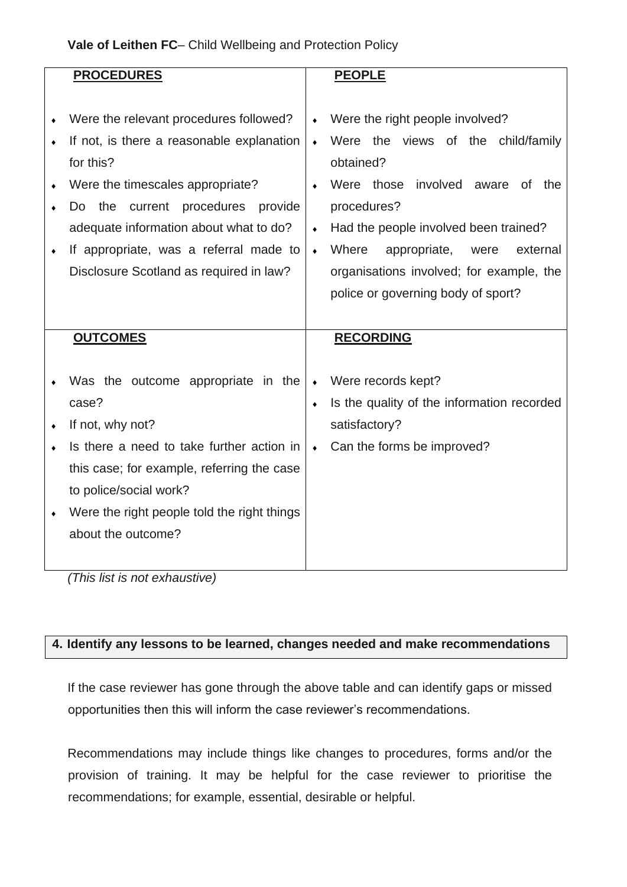| <b>PROCEDURES</b>                           |                 | <b>PEOPLE</b>                              |
|---------------------------------------------|-----------------|--------------------------------------------|
|                                             |                 |                                            |
|                                             |                 |                                            |
| Were the relevant procedures followed?      | $\bullet$       | Were the right people involved?            |
| If not, is there a reasonable explanation   | $\bullet$       | Were the views of the child/family         |
| for this?                                   |                 | obtained?                                  |
| Were the timescales appropriate?            | $\bullet$       | Were those involved<br>aware<br>0f<br>the  |
| the<br>current procedures<br>provide<br>Do. |                 | procedures?                                |
| adequate information about what to do?      | $\bullet$       | Had the people involved been trained?      |
| If appropriate, was a referral made to      | $\bullet$       | Where<br>appropriate,<br>external<br>were  |
| Disclosure Scotland as required in law?     |                 | organisations involved; for example, the   |
|                                             |                 | police or governing body of sport?         |
|                                             |                 |                                            |
|                                             |                 |                                            |
|                                             |                 |                                            |
| <b>OUTCOMES</b>                             |                 | <b>RECORDING</b>                           |
|                                             |                 |                                            |
| Was the outcome appropriate in the          | $\blacklozenge$ | Were records kept?                         |
| case?                                       | $\bullet$       | Is the quality of the information recorded |
| If not, why not?                            |                 | satisfactory?                              |
| Is there a need to take further action in   | $\bullet$       | Can the forms be improved?                 |
| this case; for example, referring the case  |                 |                                            |
| to police/social work?                      |                 |                                            |
| Were the right people told the right things |                 |                                            |
| about the outcome?                          |                 |                                            |
|                                             |                 |                                            |

*(This list is not exhaustive)*

# **4. Identify any lessons to be learned, changes needed and make recommendations**

If the case reviewer has gone through the above table and can identify gaps or missed opportunities then this will inform the case reviewer's recommendations.

Recommendations may include things like changes to procedures, forms and/or the provision of training. It may be helpful for the case reviewer to prioritise the recommendations; for example, essential, desirable or helpful.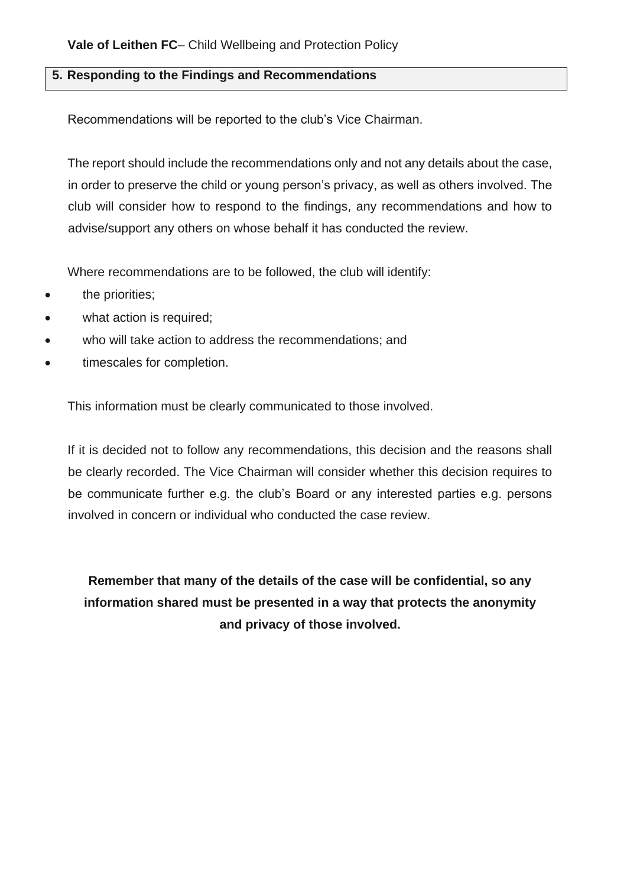# **5. Responding to the Findings and Recommendations**

Recommendations will be reported to the club's Vice Chairman.

The report should include the recommendations only and not any details about the case, in order to preserve the child or young person's privacy, as well as others involved. The club will consider how to respond to the findings, any recommendations and how to advise/support any others on whose behalf it has conducted the review.

Where recommendations are to be followed, the club will identify:

- the priorities;
- what action is required:
- who will take action to address the recommendations; and
- timescales for completion.

This information must be clearly communicated to those involved.

If it is decided not to follow any recommendations, this decision and the reasons shall be clearly recorded. The Vice Chairman will consider whether this decision requires to be communicate further e.g. the club's Board or any interested parties e.g. persons involved in concern or individual who conducted the case review.

**Remember that many of the details of the case will be confidential, so any information shared must be presented in a way that protects the anonymity and privacy of those involved.**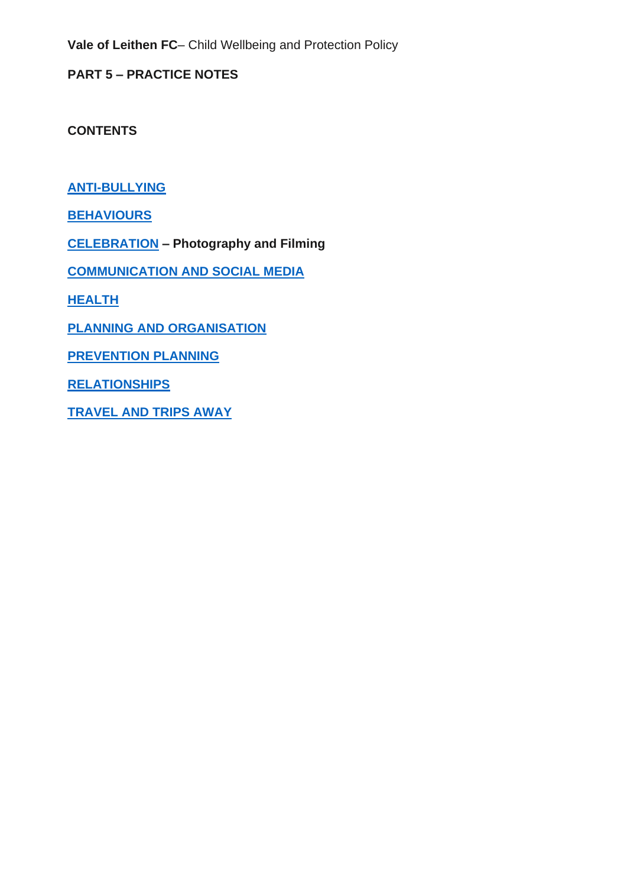**PART 5 – PRACTICE NOTES** 

**CONTENTS**

**[ANTI-BULLYING](#page-43-0)**

**[BEHAVIOURS](#page-47-0)**

**[CELEBRATION](#page-54-0) – Photography and Filming**

**[COMMUNICATION](#page-60-0) AND SOCIAL MEDIA**

**[HEALTH](#page-64-0)**

**PLANNING AND [ORGANISATION](#page-67-0)**

**[PREVENTION](#page-72-0) PLANNING**

**[RELATIONSHIPS](#page-76-0)**

**[TRAVEL](#page-81-0) AND TRIPS AWAY**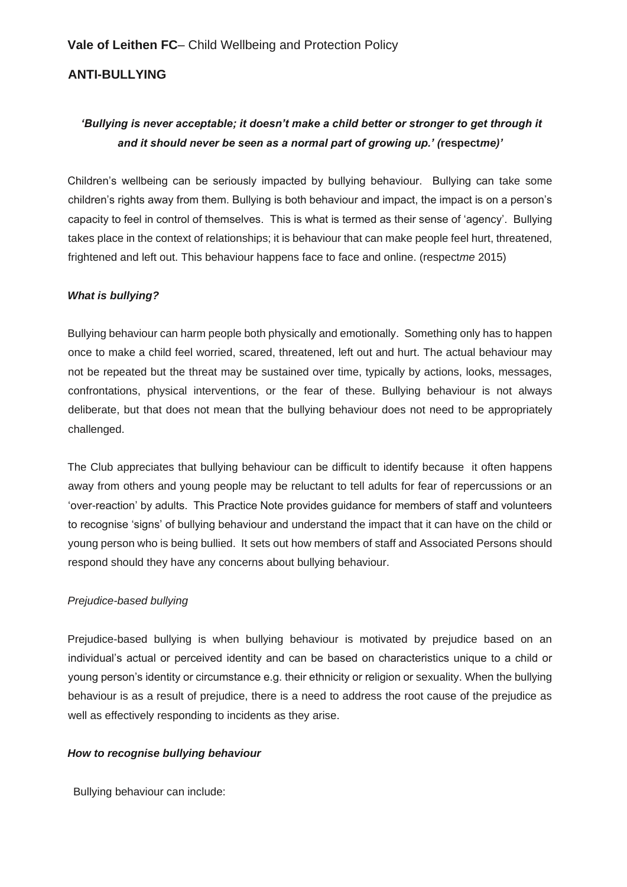# <span id="page-43-0"></span>**ANTI-BULLYING**

# *'Bullying is never acceptable; it doesn't make a child better or stronger to get through it and it should never be seen as a normal part of growing up.' (***respect***me)'*

Children's wellbeing can be seriously impacted by bullying behaviour. Bullying can take some children's rights away from them. Bullying is both behaviour and impact, the impact is on a person's capacity to feel in control of themselves. This is what is termed as their sense of 'agency'. Bullying takes place in the context of relationships; it is behaviour that can make people feel hurt, threatened, frightened and left out. This behaviour happens face to face and online. (respect*me* 2015)

#### *What is bullying?*

Bullying behaviour can harm people both physically and emotionally. Something only has to happen once to make a child feel worried, scared, threatened, left out and hurt. The actual behaviour may not be repeated but the threat may be sustained over time, typically by actions, looks, messages, confrontations, physical interventions, or the fear of these. Bullying behaviour is not always deliberate, but that does not mean that the bullying behaviour does not need to be appropriately challenged.

The Club appreciates that bullying behaviour can be difficult to identify because it often happens away from others and young people may be reluctant to tell adults for fear of repercussions or an 'over-reaction' by adults. This Practice Note provides guidance for members of staff and volunteers to recognise 'signs' of bullying behaviour and understand the impact that it can have on the child or young person who is being bullied. It sets out how members of staff and Associated Persons should respond should they have any concerns about bullying behaviour.

#### *Prejudice-based bullying*

Prejudice-based bullying is when bullying behaviour is motivated by prejudice based on an individual's actual or perceived identity and can be based on characteristics unique to a child or young person's identity or circumstance e.g. their ethnicity or religion or sexuality. When the bullying behaviour is as a result of prejudice, there is a need to address the root cause of the prejudice as well as effectively responding to incidents as they arise.

#### *How to recognise bullying behaviour*

Bullying behaviour can include: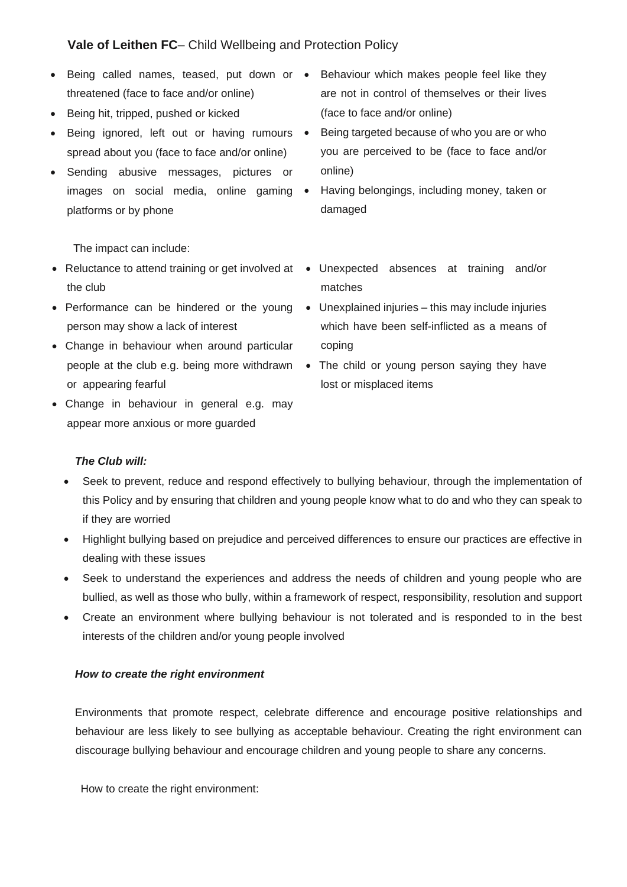- Being called names, teased, put down or Behaviour which makes people feel like they threatened (face to face and/or online)
- Being hit, tripped, pushed or kicked
- Being ignored, left out or having rumours spread about you (face to face and/or online)
- Sending abusive messages, pictures or images on social media, online gaming • platforms or by phone
- are not in control of themselves or their lives (face to face and/or online)
- Being targeted because of who you are or who you are perceived to be (face to face and/or online)
	- Having belongings, including money, taken or damaged

The impact can include:

- the club
- person may show a lack of interest
- Change in behaviour when around particular or appearing fearful
- Change in behaviour in general e.g. may appear more anxious or more guarded
- Reluctance to attend training or get involved at Unexpected absences at training and/or matches
- Performance can be hindered or the young Unexplained injuries this may include injuries which have been self-inflicted as a means of coping
	- people at the club e.g. being more withdrawn The child or young person saying they have lost or misplaced items

### *The Club will:*

- Seek to prevent, reduce and respond effectively to bullying behaviour, through the implementation of this Policy and by ensuring that children and young people know what to do and who they can speak to if they are worried
- Highlight bullying based on prejudice and perceived differences to ensure our practices are effective in dealing with these issues
- Seek to understand the experiences and address the needs of children and young people who are bullied, as well as those who bully, within a framework of respect, responsibility, resolution and support
- Create an environment where bullying behaviour is not tolerated and is responded to in the best interests of the children and/or young people involved

#### *How to create the right environment*

Environments that promote respect, celebrate difference and encourage positive relationships and behaviour are less likely to see bullying as acceptable behaviour. Creating the right environment can discourage bullying behaviour and encourage children and young people to share any concerns.

How to create the right environment: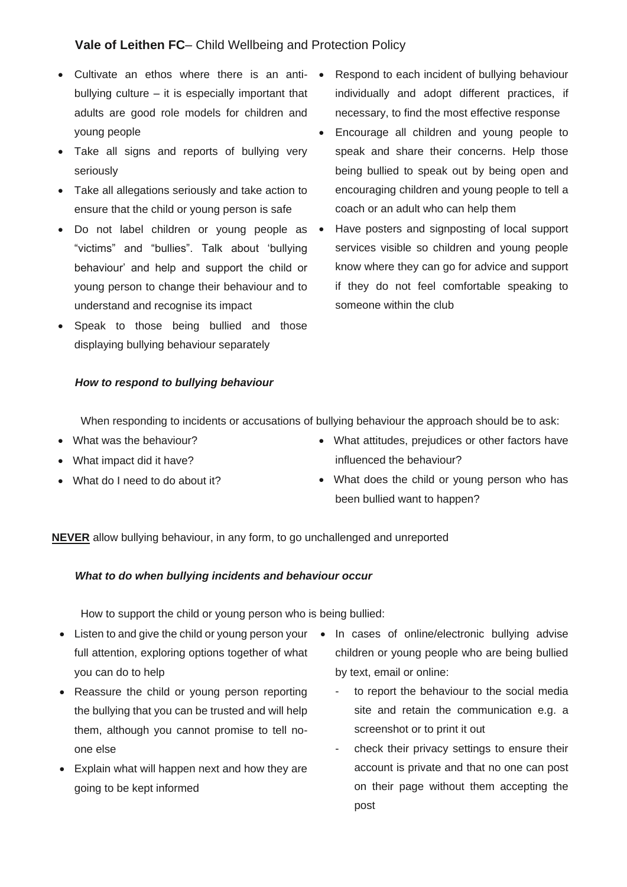- Cultivate an ethos where there is an antibullying culture – it is especially important that adults are good role models for children and young people
- Take all signs and reports of bullying very seriously
- Take all allegations seriously and take action to ensure that the child or young person is safe
- Do not label children or young people as "victims" and "bullies". Talk about 'bullying behaviour' and help and support the child or young person to change their behaviour and to understand and recognise its impact
- Speak to those being bullied and those displaying bullying behaviour separately

#### *How to respond to bullying behaviour*

- Respond to each incident of bullying behaviour individually and adopt different practices, if necessary, to find the most effective response
- Encourage all children and young people to speak and share their concerns. Help those being bullied to speak out by being open and encouraging children and young people to tell a coach or an adult who can help them
- Have posters and signposting of local support services visible so children and young people know where they can go for advice and support if they do not feel comfortable speaking to someone within the club

When responding to incidents or accusations of bullying behaviour the approach should be to ask:

- What was the behaviour?
- What impact did it have?
- What do I need to do about it?
- What attitudes, prejudices or other factors have influenced the behaviour?
- What does the child or young person who has been bullied want to happen?

**NEVER** allow bullying behaviour, in any form, to go unchallenged and unreported

#### *What to do when bullying incidents and behaviour occur*

How to support the child or young person who is being bullied:

- Listen to and give the child or young person your In cases of online/electronic bullying advise full attention, exploring options together of what you can do to help
- Reassure the child or young person reporting the bullying that you can be trusted and will help them, although you cannot promise to tell noone else
- Explain what will happen next and how they are going to be kept informed
- children or young people who are being bullied by text, email or online:
	- to report the behaviour to the social media site and retain the communication e.g. a screenshot or to print it out
	- check their privacy settings to ensure their account is private and that no one can post on their page without them accepting the post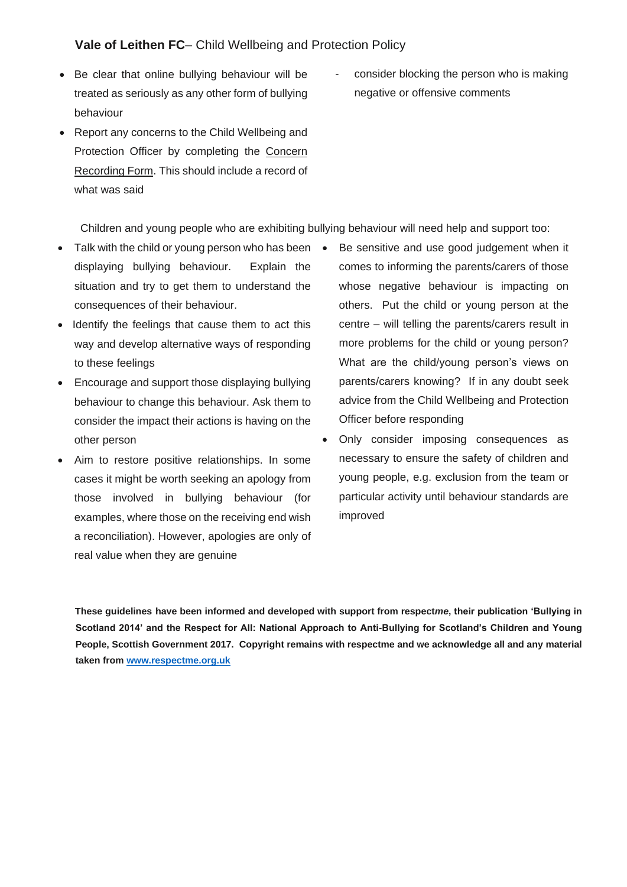- Be clear that online bullying behaviour will be treated as seriously as any other form of bullying behaviour
- Report any concerns to the Child Wellbeing and Protection Officer by completing the Concern Recording Form. This should include a record of what was said
- consider blocking the person who is making negative or offensive comments

Children and young people who are exhibiting bullying behaviour will need help and support too:

- Talk with the child or young person who has been displaying bullying behaviour. Explain the situation and try to get them to understand the consequences of their behaviour.
- Identify the feelings that cause them to act this way and develop alternative ways of responding to these feelings
- Encourage and support those displaying bullying behaviour to change this behaviour. Ask them to consider the impact their actions is having on the other person
- Aim to restore positive relationships. In some cases it might be worth seeking an apology from those involved in bullying behaviour (for examples, where those on the receiving end wish a reconciliation). However, apologies are only of real value when they are genuine
- Be sensitive and use good judgement when it comes to informing the parents/carers of those whose negative behaviour is impacting on others. Put the child or young person at the centre – will telling the parents/carers result in more problems for the child or young person? What are the child/young person's views on parents/carers knowing? If in any doubt seek advice from the Child Wellbeing and Protection Officer before responding
- Only consider imposing consequences as necessary to ensure the safety of children and young people, e.g. exclusion from the team or particular activity until behaviour standards are improved

**These guidelines have been informed and developed with support from respect***me***, their publication 'Bullying in Scotland 2014' and the Respect for All: National Approach to Anti-Bullying for Scotland's Children and Young People, Scottish Government 2017. Copyright remains with respectme and we acknowledge all and any material taken from [www.respectme.org.uk](http://www.respectme.org.uk/)**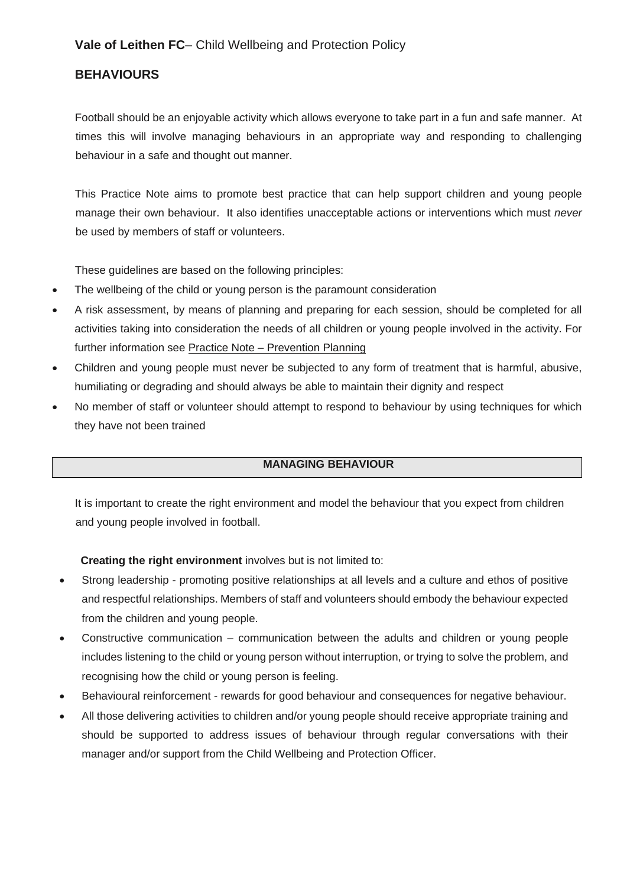# <span id="page-47-0"></span>**BEHAVIOURS**

Football should be an enjoyable activity which allows everyone to take part in a fun and safe manner. At times this will involve managing behaviours in an appropriate way and responding to challenging behaviour in a safe and thought out manner.

This Practice Note aims to promote best practice that can help support children and young people manage their own behaviour. It also identifies unacceptable actions or interventions which must *never*  be used by members of staff or volunteers.

These guidelines are based on the following principles:

- The wellbeing of the child or young person is the paramount consideration
- A risk assessment, by means of planning and preparing for each session, should be completed for all activities taking into consideration the needs of all children or young people involved in the activity. For further information see Practice Note – Prevention Planning
- Children and young people must never be subjected to any form of treatment that is harmful, abusive, humiliating or degrading and should always be able to maintain their dignity and respect
- No member of staff or volunteer should attempt to respond to behaviour by using techniques for which they have not been trained

### **MANAGING BEHAVIOUR**

It is important to create the right environment and model the behaviour that you expect from children and young people involved in football.

### **Creating the right environment** involves but is not limited to:

- Strong leadership promoting positive relationships at all levels and a culture and ethos of positive and respectful relationships. Members of staff and volunteers should embody the behaviour expected from the children and young people.
- Constructive communication communication between the adults and children or young people includes listening to the child or young person without interruption, or trying to solve the problem, and recognising how the child or young person is feeling.
- Behavioural reinforcement rewards for good behaviour and consequences for negative behaviour.
- All those delivering activities to children and/or young people should receive appropriate training and should be supported to address issues of behaviour through regular conversations with their manager and/or support from the Child Wellbeing and Protection Officer.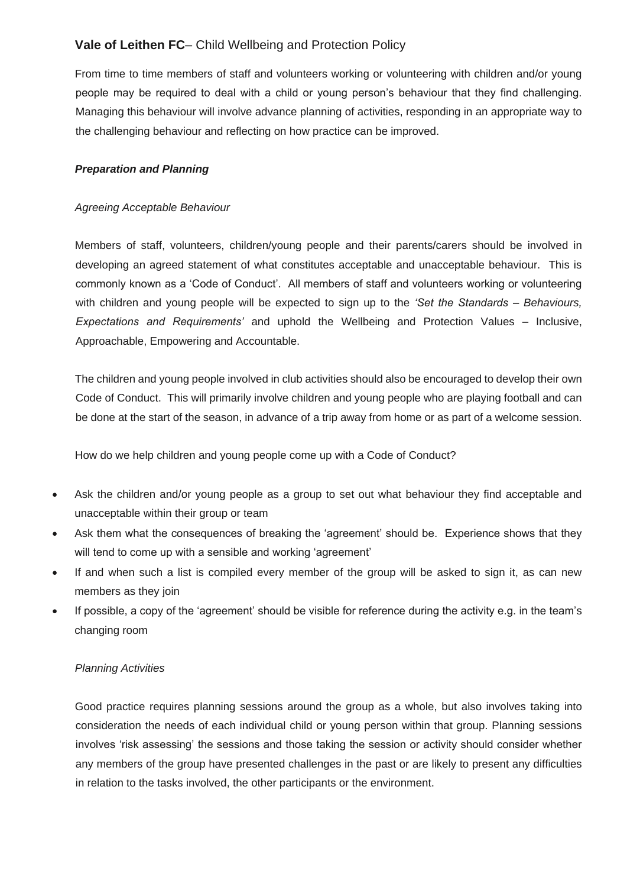From time to time members of staff and volunteers working or volunteering with children and/or young people may be required to deal with a child or young person's behaviour that they find challenging. Managing this behaviour will involve advance planning of activities, responding in an appropriate way to the challenging behaviour and reflecting on how practice can be improved.

#### *Preparation and Planning*

#### *Agreeing Acceptable Behaviour*

Members of staff, volunteers, children/young people and their parents/carers should be involved in developing an agreed statement of what constitutes acceptable and unacceptable behaviour. This is commonly known as a 'Code of Conduct'. All members of staff and volunteers working or volunteering with children and young people will be expected to sign up to the *'Set the Standards – Behaviours, Expectations and Requirements'* and uphold the Wellbeing and Protection Values – Inclusive, Approachable, Empowering and Accountable.

The children and young people involved in club activities should also be encouraged to develop their own Code of Conduct. This will primarily involve children and young people who are playing football and can be done at the start of the season, in advance of a trip away from home or as part of a welcome session.

How do we help children and young people come up with a Code of Conduct?

- Ask the children and/or young people as a group to set out what behaviour they find acceptable and unacceptable within their group or team
- Ask them what the consequences of breaking the 'agreement' should be. Experience shows that they will tend to come up with a sensible and working 'agreement'
- If and when such a list is compiled every member of the group will be asked to sign it, as can new members as they join
- If possible, a copy of the 'agreement' should be visible for reference during the activity e.g. in the team's changing room

#### *Planning Activities*

Good practice requires planning sessions around the group as a whole, but also involves taking into consideration the needs of each individual child or young person within that group. Planning sessions involves 'risk assessing' the sessions and those taking the session or activity should consider whether any members of the group have presented challenges in the past or are likely to present any difficulties in relation to the tasks involved, the other participants or the environment.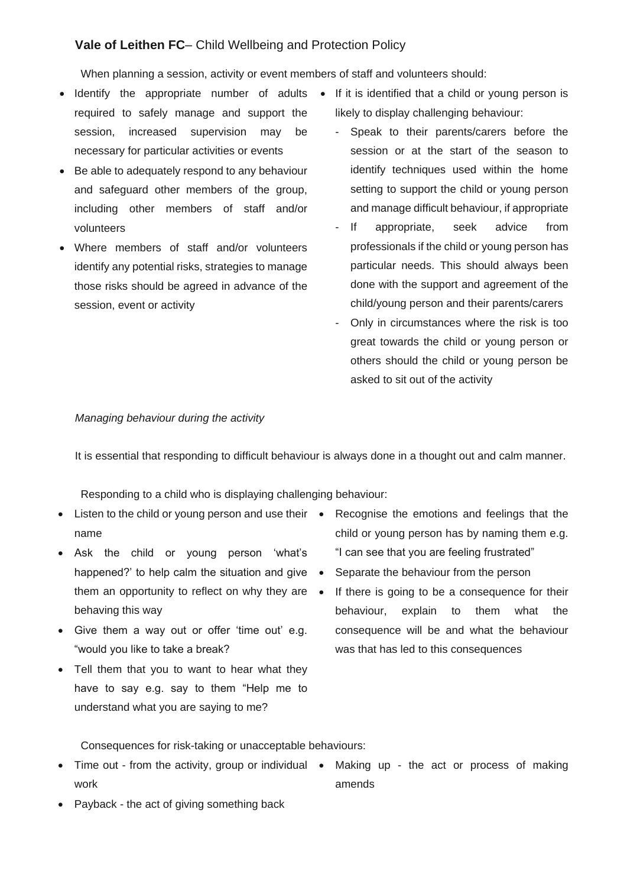When planning a session, activity or event members of staff and volunteers should:

- Identify the appropriate number of adults If it is identified that a child or young person is required to safely manage and support the session, increased supervision may be necessary for particular activities or events
- Be able to adequately respond to any behaviour and safeguard other members of the group, including other members of staff and/or volunteers
- Where members of staff and/or volunteers identify any potential risks, strategies to manage those risks should be agreed in advance of the session, event or activity
- likely to display challenging behaviour:
	- Speak to their parents/carers before the session or at the start of the season to identify techniques used within the home setting to support the child or young person and manage difficult behaviour, if appropriate
	- If appropriate, seek advice from professionals if the child or young person has particular needs. This should always been done with the support and agreement of the child/young person and their parents/carers
	- Only in circumstances where the risk is too great towards the child or young person or others should the child or young person be asked to sit out of the activity

#### *Managing behaviour during the activity*

It is essential that responding to difficult behaviour is always done in a thought out and calm manner.

Responding to a child who is displaying challenging behaviour:

- Listen to the child or young person and use their Recognise the emotions and feelings that the name
- Ask the child or young person 'what's happened?' to help calm the situation and give • them an opportunity to reflect on why they are • behaving this way
- Give them a way out or offer 'time out' e.g. "would you like to take a break?
- Tell them that you to want to hear what they have to say e.g. say to them "Help me to understand what you are saying to me?
- child or young person has by naming them e.g. "I can see that you are feeling frustrated"
- Separate the behaviour from the person
- If there is going to be a consequence for their behaviour, explain to them what the consequence will be and what the behaviour was that has led to this consequences

Consequences for risk-taking or unacceptable behaviours:

- Time out from the activity, group or individual Making up the act or process of making work
	- amends
- Payback the act of giving something back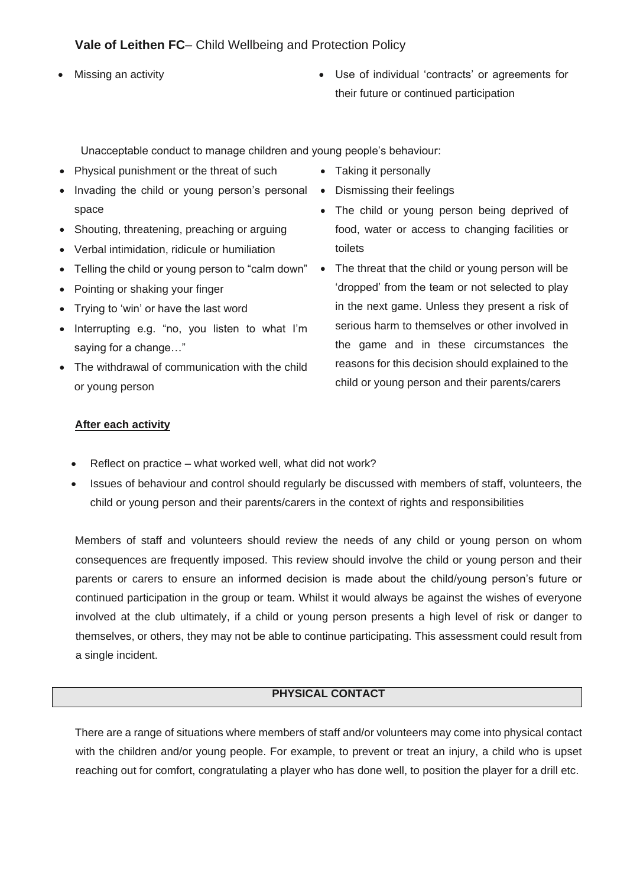- - Missing an activity **EXECUTE:** Use of individual 'contracts' or agreements for their future or continued participation

Unacceptable conduct to manage children and young people's behaviour:

- Physical punishment or the threat of such
- Invading the child or young person's personal Dismissing their feelings space
- Shouting, threatening, preaching or arguing
- Verbal intimidation, ridicule or humiliation
- Telling the child or young person to "calm down"
- Pointing or shaking your finger
- Trying to 'win' or have the last word
- Interrupting e.g. "no, you listen to what I'm saying for a change…"
- The withdrawal of communication with the child or young person
- Taking it personally
- 
- The child or young person being deprived of food, water or access to changing facilities or toilets
- The threat that the child or young person will be 'dropped' from the team or not selected to play in the next game. Unless they present a risk of serious harm to themselves or other involved in the game and in these circumstances the reasons for this decision should explained to the child or young person and their parents/carers

#### **After each activity**

- Reflect on practice what worked well, what did not work?
- Issues of behaviour and control should regularly be discussed with members of staff, volunteers, the child or young person and their parents/carers in the context of rights and responsibilities

Members of staff and volunteers should review the needs of any child or young person on whom consequences are frequently imposed. This review should involve the child or young person and their parents or carers to ensure an informed decision is made about the child/young person's future or continued participation in the group or team. Whilst it would always be against the wishes of everyone involved at the club ultimately, if a child or young person presents a high level of risk or danger to themselves, or others, they may not be able to continue participating. This assessment could result from a single incident.

### **PHYSICAL CONTACT**

There are a range of situations where members of staff and/or volunteers may come into physical contact with the children and/or young people. For example, to prevent or treat an injury, a child who is upset reaching out for comfort, congratulating a player who has done well, to position the player for a drill etc.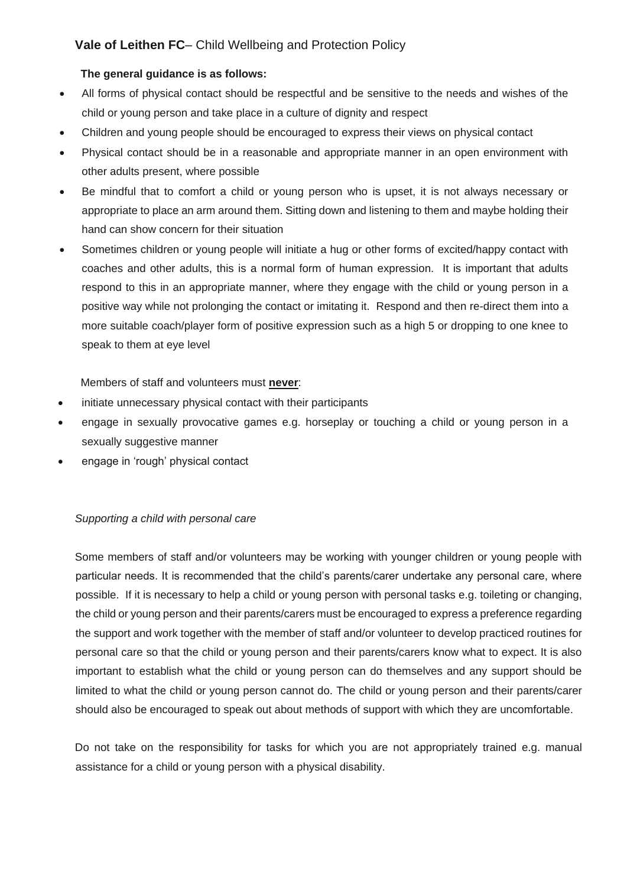### **The general guidance is as follows:**

- All forms of physical contact should be respectful and be sensitive to the needs and wishes of the child or young person and take place in a culture of dignity and respect
- Children and young people should be encouraged to express their views on physical contact
- Physical contact should be in a reasonable and appropriate manner in an open environment with other adults present, where possible
- Be mindful that to comfort a child or young person who is upset, it is not always necessary or appropriate to place an arm around them. Sitting down and listening to them and maybe holding their hand can show concern for their situation
- Sometimes children or young people will initiate a hug or other forms of excited/happy contact with coaches and other adults, this is a normal form of human expression. It is important that adults respond to this in an appropriate manner, where they engage with the child or young person in a positive way while not prolonging the contact or imitating it. Respond and then re-direct them into a more suitable coach/player form of positive expression such as a high 5 or dropping to one knee to speak to them at eye level

Members of staff and volunteers must **never**:

- initiate unnecessary physical contact with their participants
- engage in sexually provocative games e.g. horseplay or touching a child or young person in a sexually suggestive manner
- engage in 'rough' physical contact

### *Supporting a child with personal care*

Some members of staff and/or volunteers may be working with younger children or young people with particular needs. It is recommended that the child's parents/carer undertake any personal care, where possible. If it is necessary to help a child or young person with personal tasks e.g. toileting or changing, the child or young person and their parents/carers must be encouraged to express a preference regarding the support and work together with the member of staff and/or volunteer to develop practiced routines for personal care so that the child or young person and their parents/carers know what to expect. It is also important to establish what the child or young person can do themselves and any support should be limited to what the child or young person cannot do. The child or young person and their parents/carer should also be encouraged to speak out about methods of support with which they are uncomfortable.

Do not take on the responsibility for tasks for which you are not appropriately trained e.g. manual assistance for a child or young person with a physical disability.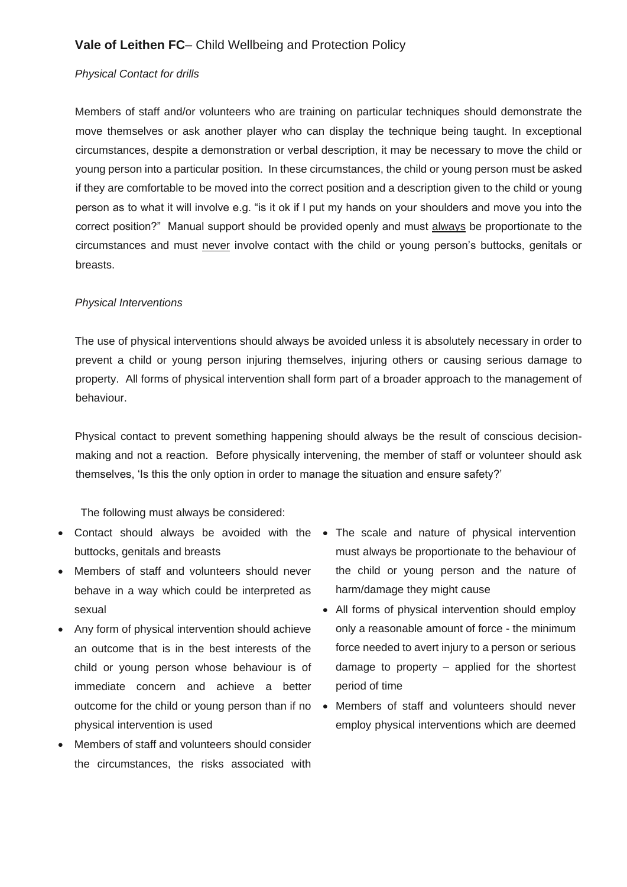#### *Physical Contact for drills*

Members of staff and/or volunteers who are training on particular techniques should demonstrate the move themselves or ask another player who can display the technique being taught. In exceptional circumstances, despite a demonstration or verbal description, it may be necessary to move the child or young person into a particular position. In these circumstances, the child or young person must be asked if they are comfortable to be moved into the correct position and a description given to the child or young person as to what it will involve e.g. "is it ok if I put my hands on your shoulders and move you into the correct position?" Manual support should be provided openly and must always be proportionate to the circumstances and must never involve contact with the child or young person's buttocks, genitals or breasts.

#### *Physical Interventions*

The use of physical interventions should always be avoided unless it is absolutely necessary in order to prevent a child or young person injuring themselves, injuring others or causing serious damage to property. All forms of physical intervention shall form part of a broader approach to the management of behaviour.

Physical contact to prevent something happening should always be the result of conscious decisionmaking and not a reaction. Before physically intervening, the member of staff or volunteer should ask themselves, 'Is this the only option in order to manage the situation and ensure safety?'

The following must always be considered:

- Contact should always be avoided with the The scale and nature of physical intervention buttocks, genitals and breasts
- Members of staff and volunteers should never behave in a way which could be interpreted as sexual
- Any form of physical intervention should achieve an outcome that is in the best interests of the child or young person whose behaviour is of immediate concern and achieve a better physical intervention is used
- Members of staff and volunteers should consider the circumstances, the risks associated with
- must always be proportionate to the behaviour of the child or young person and the nature of harm/damage they might cause
- All forms of physical intervention should employ only a reasonable amount of force - the minimum force needed to avert injury to a person or serious damage to property – applied for the shortest period of time
- outcome for the child or young person than if no Members of staff and volunteers should never employ physical interventions which are deemed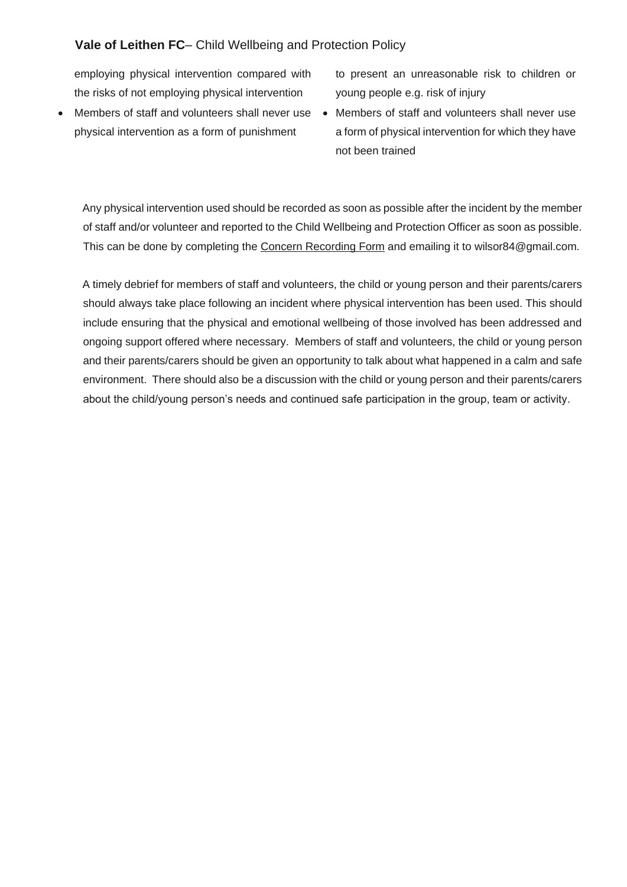employing physical intervention compared with the risks of not employing physical intervention

- physical intervention as a form of punishment
- to present an unreasonable risk to children or young people e.g. risk of injury
- Members of staff and volunteers shall never use Members of staff and volunteers shall never use a form of physical intervention for which they have not been trained

Any physical intervention used should be recorded as soon as possible after the incident by the member of staff and/or volunteer and reported to the Child Wellbeing and Protection Officer as soon as possible. This can be done by completing the Concern Recording Form and emailing it to wilsor84@gmail.com.

A timely debrief for members of staff and volunteers, the child or young person and their parents/carers should always take place following an incident where physical intervention has been used. This should include ensuring that the physical and emotional wellbeing of those involved has been addressed and ongoing support offered where necessary. Members of staff and volunteers, the child or young person and their parents/carers should be given an opportunity to talk about what happened in a calm and safe environment. There should also be a discussion with the child or young person and their parents/carers about the child/young person's needs and continued safe participation in the group, team or activity.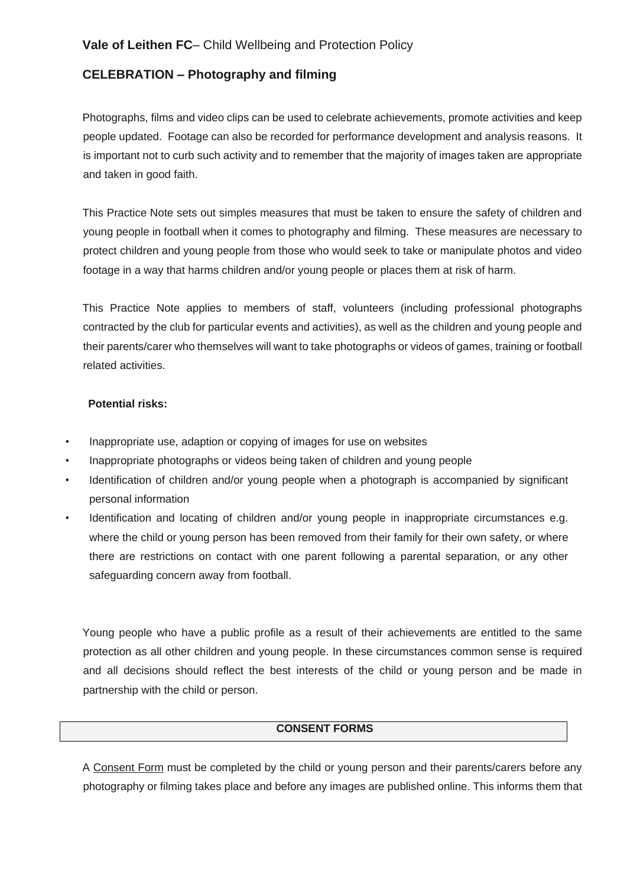## <span id="page-54-0"></span>**CELEBRATION – Photography and filming**

Photographs, films and video clips can be used to celebrate achievements, promote activities and keep people updated. Footage can also be recorded for performance development and analysis reasons. It is important not to curb such activity and to remember that the majority of images taken are appropriate and taken in good faith.

This Practice Note sets out simples measures that must be taken to ensure the safety of children and young people in football when it comes to photography and filming. These measures are necessary to protect children and young people from those who would seek to take or manipulate photos and video footage in a way that harms children and/or young people or places them at risk of harm.

This Practice Note applies to members of staff, volunteers (including professional photographs contracted by the club for particular events and activities), as well as the children and young people and their parents/carer who themselves will want to take photographs or videos of games, training or football related activities.

#### **Potential risks:**

- Inappropriate use, adaption or copying of images for use on websites
- Inappropriate photographs or videos being taken of children and young people
- Identification of children and/or young people when a photograph is accompanied by significant personal information
- Identification and locating of children and/or young people in inappropriate circumstances e.g. where the child or young person has been removed from their family for their own safety, or where there are restrictions on contact with one parent following a parental separation, or any other safeguarding concern away from football.

Young people who have a public profile as a result of their achievements are entitled to the same protection as all other children and young people. In these circumstances common sense is required and all decisions should reflect the best interests of the child or young person and be made in partnership with the child or person.

#### **CONSENT FORMS**

A Consent Form must be completed by the child or young person and their parents/carers before any photography or filming takes place and before any images are published online. This informs them that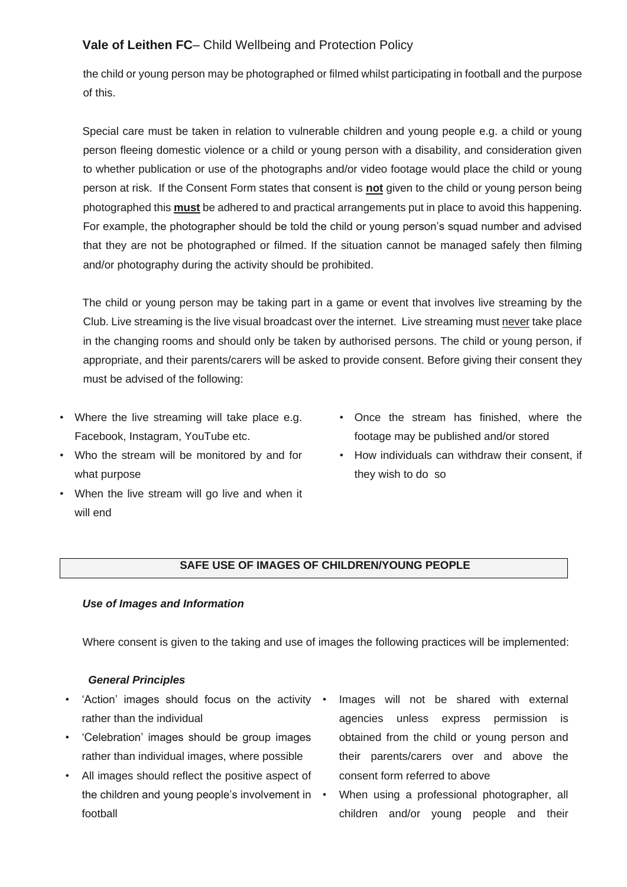the child or young person may be photographed or filmed whilst participating in football and the purpose of this.

Special care must be taken in relation to vulnerable children and young people e.g. a child or young person fleeing domestic violence or a child or young person with a disability, and consideration given to whether publication or use of the photographs and/or video footage would place the child or young person at risk. If the Consent Form states that consent is **not** given to the child or young person being photographed this **must** be adhered to and practical arrangements put in place to avoid this happening. For example, the photographer should be told the child or young person's squad number and advised that they are not be photographed or filmed. If the situation cannot be managed safely then filming and/or photography during the activity should be prohibited.

The child or young person may be taking part in a game or event that involves live streaming by the Club. Live streaming is the live visual broadcast over the internet. Live streaming must never take place in the changing rooms and should only be taken by authorised persons. The child or young person, if appropriate, and their parents/carers will be asked to provide consent. Before giving their consent they must be advised of the following:

- Where the live streaming will take place e.g. Facebook, Instagram, YouTube etc.
- Who the stream will be monitored by and for what purpose
- When the live stream will go live and when it will end
- Once the stream has finished, where the footage may be published and/or stored
- How individuals can withdraw their consent, if they wish to do so

### **SAFE USE OF IMAGES OF CHILDREN/YOUNG PEOPLE**

### *Use of Images and Information*

Where consent is given to the taking and use of images the following practices will be implemented:

### *General Principles*

- 'Action' images should focus on the activity rather than the individual
- 'Celebration' images should be group images rather than individual images, where possible
- All images should reflect the positive aspect of the children and young people's involvement in • football
- Images will not be shared with external agencies unless express permission is obtained from the child or young person and their parents/carers over and above the consent form referred to above
- When using a professional photographer, all children and/or young people and their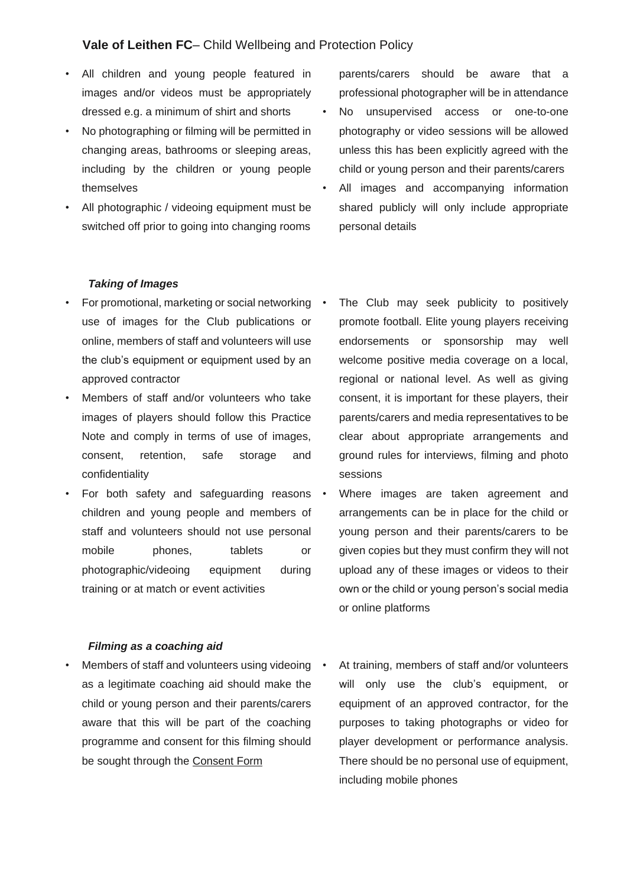- All children and young people featured in images and/or videos must be appropriately dressed e.g. a minimum of shirt and shorts
- No photographing or filming will be permitted in changing areas, bathrooms or sleeping areas, including by the children or young people themselves
- All photographic / videoing equipment must be switched off prior to going into changing rooms

parents/carers should be aware that a professional photographer will be in attendance

- No unsupervised access or one-to-one photography or video sessions will be allowed unless this has been explicitly agreed with the child or young person and their parents/carers
- All images and accompanying information shared publicly will only include appropriate personal details

#### *Taking of Images*

- For promotional, marketing or social networking use of images for the Club publications or online, members of staff and volunteers will use the club's equipment or equipment used by an approved contractor
- Members of staff and/or volunteers who take images of players should follow this Practice Note and comply in terms of use of images, consent, retention, safe storage and confidentiality
- For both safety and safeguarding reasons children and young people and members of staff and volunteers should not use personal mobile phones, tablets or photographic/videoing equipment during training or at match or event activities

### *Filming as a coaching aid*

**Members of staff and volunteers using videoing •** as a legitimate coaching aid should make the child or young person and their parents/carers aware that this will be part of the coaching programme and consent for this filming should be sought through the Consent Form

- The Club may seek publicity to positively promote football. Elite young players receiving endorsements or sponsorship may well welcome positive media coverage on a local, regional or national level. As well as giving consent, it is important for these players, their parents/carers and media representatives to be clear about appropriate arrangements and ground rules for interviews, filming and photo sessions
- Where images are taken agreement and arrangements can be in place for the child or young person and their parents/carers to be given copies but they must confirm they will not upload any of these images or videos to their own or the child or young person's social media or online platforms
- At training, members of staff and/or volunteers will only use the club's equipment, or equipment of an approved contractor, for the purposes to taking photographs or video for player development or performance analysis. There should be no personal use of equipment, including mobile phones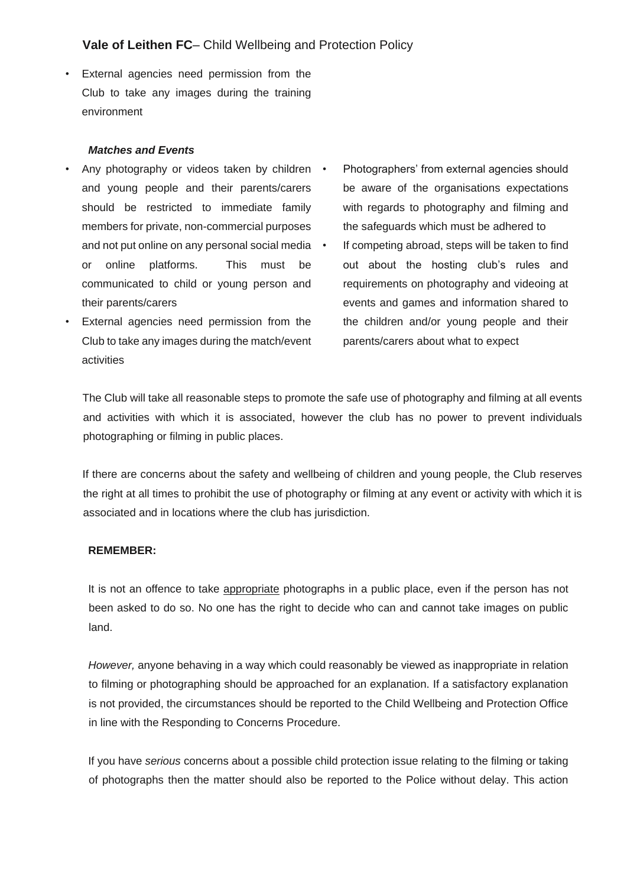External agencies need permission from the Club to take any images during the training environment

#### *Matches and Events*

- Any photography or videos taken by children and young people and their parents/carers should be restricted to immediate family members for private, non-commercial purposes and not put online on any personal social media • or online platforms. This must be communicated to child or young person and their parents/carers
- External agencies need permission from the Club to take any images during the match/event activities
- Photographers' from external agencies should be aware of the organisations expectations with regards to photography and filming and the safeguards which must be adhered to
- If competing abroad, steps will be taken to find out about the hosting club's rules and requirements on photography and videoing at events and games and information shared to the children and/or young people and their parents/carers about what to expect

The Club will take all reasonable steps to promote the safe use of photography and filming at all events and activities with which it is associated, however the club has no power to prevent individuals photographing or filming in public places.

If there are concerns about the safety and wellbeing of children and young people, the Club reserves the right at all times to prohibit the use of photography or filming at any event or activity with which it is associated and in locations where the club has jurisdiction.

#### **REMEMBER:**

It is not an offence to take appropriate photographs in a public place, even if the person has not been asked to do so. No one has the right to decide who can and cannot take images on public land.

*However,* anyone behaving in a way which could reasonably be viewed as inappropriate in relation to filming or photographing should be approached for an explanation. If a satisfactory explanation is not provided, the circumstances should be reported to the Child Wellbeing and Protection Office in line with the Responding to Concerns Procedure.

If you have *serious* concerns about a possible child protection issue relating to the filming or taking of photographs then the matter should also be reported to the Police without delay. This action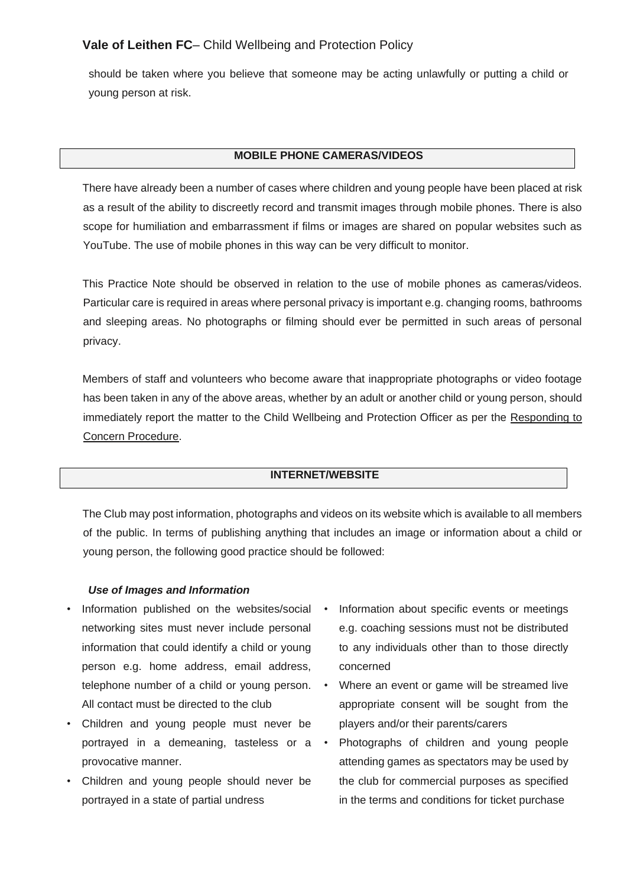should be taken where you believe that someone may be acting unlawfully or putting a child or young person at risk.

#### **MOBILE PHONE CAMERAS/VIDEOS**

There have already been a number of cases where children and young people have been placed at risk as a result of the ability to discreetly record and transmit images through mobile phones. There is also scope for humiliation and embarrassment if films or images are shared on popular websites such as YouTube. The use of mobile phones in this way can be very difficult to monitor.

This Practice Note should be observed in relation to the use of mobile phones as cameras/videos. Particular care is required in areas where personal privacy is important e.g. changing rooms, bathrooms and sleeping areas. No photographs or filming should ever be permitted in such areas of personal privacy.

Members of staff and volunteers who become aware that inappropriate photographs or video footage has been taken in any of the above areas, whether by an adult or another child or young person, should immediately report the matter to the Child Wellbeing and Protection Officer as per the Responding to Concern Procedure.

#### **INTERNET/WEBSITE**

The Club may post information, photographs and videos on its website which is available to all members of the public. In terms of publishing anything that includes an image or information about a child or young person, the following good practice should be followed:

#### *Use of Images and Information*

- Information published on the websites/social networking sites must never include personal information that could identify a child or young person e.g. home address, email address, telephone number of a child or young person. All contact must be directed to the club
- Children and young people must never be portrayed in a demeaning, tasteless or a  $\cdot$ provocative manner.
- Children and young people should never be portrayed in a state of partial undress
- Information about specific events or meetings e.g. coaching sessions must not be distributed to any individuals other than to those directly concerned
- Where an event or game will be streamed live appropriate consent will be sought from the players and/or their parents/carers
- Photographs of children and young people attending games as spectators may be used by the club for commercial purposes as specified in the terms and conditions for ticket purchase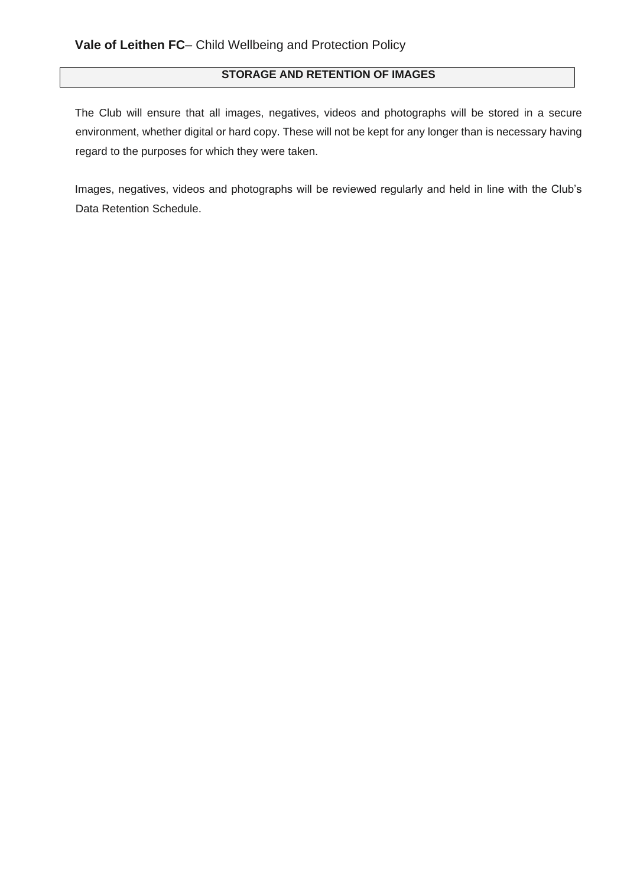# **STORAGE AND RETENTION OF IMAGES**

The Club will ensure that all images, negatives, videos and photographs will be stored in a secure environment, whether digital or hard copy. These will not be kept for any longer than is necessary having regard to the purposes for which they were taken.

Images, negatives, videos and photographs will be reviewed regularly and held in line with the Club's Data Retention Schedule.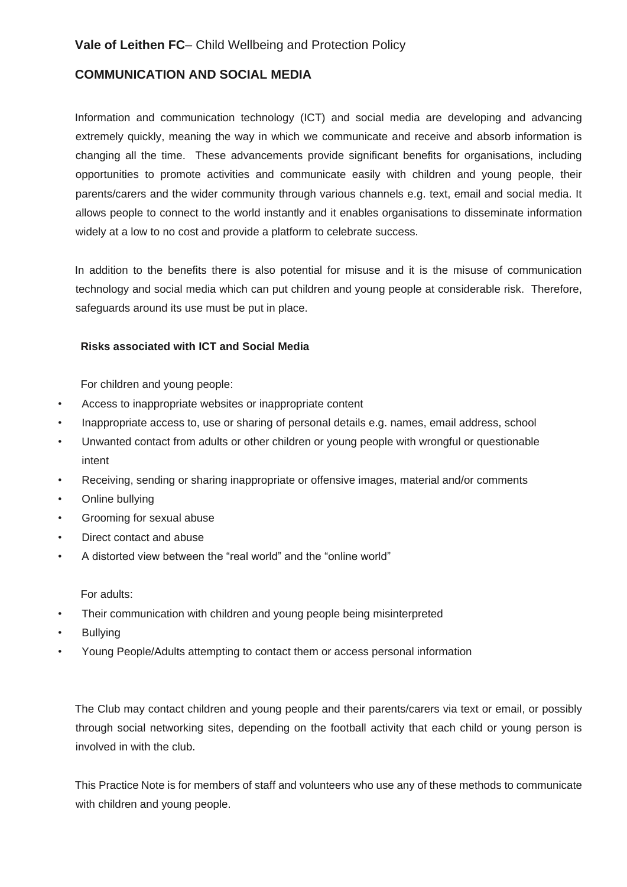### <span id="page-60-0"></span>**COMMUNICATION AND SOCIAL MEDIA**

Information and communication technology (ICT) and social media are developing and advancing extremely quickly, meaning the way in which we communicate and receive and absorb information is changing all the time. These advancements provide significant benefits for organisations, including opportunities to promote activities and communicate easily with children and young people, their parents/carers and the wider community through various channels e.g. text, email and social media. It allows people to connect to the world instantly and it enables organisations to disseminate information widely at a low to no cost and provide a platform to celebrate success.

In addition to the benefits there is also potential for misuse and it is the misuse of communication technology and social media which can put children and young people at considerable risk. Therefore, safeguards around its use must be put in place.

#### **Risks associated with ICT and Social Media**

For children and young people:

- Access to inappropriate websites or inappropriate content
- Inappropriate access to, use or sharing of personal details e.g. names, email address, school
- Unwanted contact from adults or other children or young people with wrongful or questionable intent
- Receiving, sending or sharing inappropriate or offensive images, material and/or comments
- Online bullying
- Grooming for sexual abuse
- Direct contact and abuse
- A distorted view between the "real world" and the "online world"

For adults:

- Their communication with children and young people being misinterpreted
- **Bullying**
- Young People/Adults attempting to contact them or access personal information

The Club may contact children and young people and their parents/carers via text or email, or possibly through social networking sites, depending on the football activity that each child or young person is involved in with the club.

This Practice Note is for members of staff and volunteers who use any of these methods to communicate with children and young people.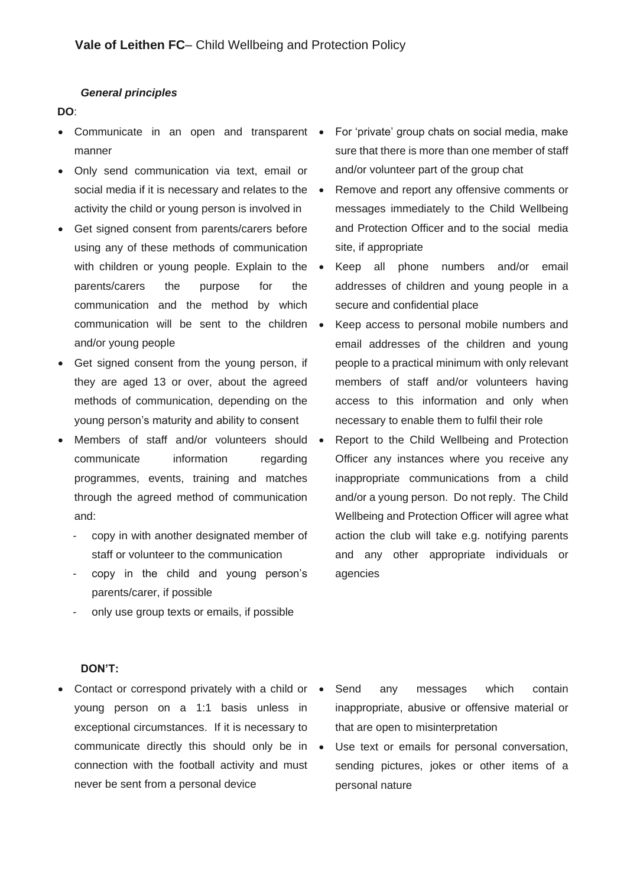#### *General principles*

#### **DO**:

- Communicate in an open and transparent For 'private' group chats on social media, make manner
- Only send communication via text, email or social media if it is necessary and relates to the  $\bullet$ activity the child or young person is involved in
- Get signed consent from parents/carers before using any of these methods of communication with children or young people. Explain to the . parents/carers the purpose for the communication and the method by which communication will be sent to the children and/or young people
- Get signed consent from the young person, if they are aged 13 or over, about the agreed methods of communication, depending on the young person's maturity and ability to consent
- Members of staff and/or volunteers should communicate information regarding programmes, events, training and matches through the agreed method of communication and:
	- copy in with another designated member of staff or volunteer to the communication
	- copy in the child and young person's parents/carer, if possible
	- only use group texts or emails, if possible
- sure that there is more than one member of staff and/or volunteer part of the group chat
- Remove and report any offensive comments or messages immediately to the Child Wellbeing and Protection Officer and to the social media site, if appropriate
- Keep all phone numbers and/or email addresses of children and young people in a secure and confidential place
- Keep access to personal mobile numbers and email addresses of the children and young people to a practical minimum with only relevant members of staff and/or volunteers having access to this information and only when necessary to enable them to fulfil their role
- Report to the Child Wellbeing and Protection Officer any instances where you receive any inappropriate communications from a child and/or a young person. Do not reply. The Child Wellbeing and Protection Officer will agree what action the club will take e.g. notifying parents and any other appropriate individuals or agencies

#### **DON'T:**

- Contact or correspond privately with a child or young person on a 1:1 basis unless in exceptional circumstances. If it is necessary to communicate directly this should only be in • connection with the football activity and must never be sent from a personal device
	- Send any messages which contain inappropriate, abusive or offensive material or that are open to misinterpretation
	- Use text or emails for personal conversation, sending pictures, jokes or other items of a personal nature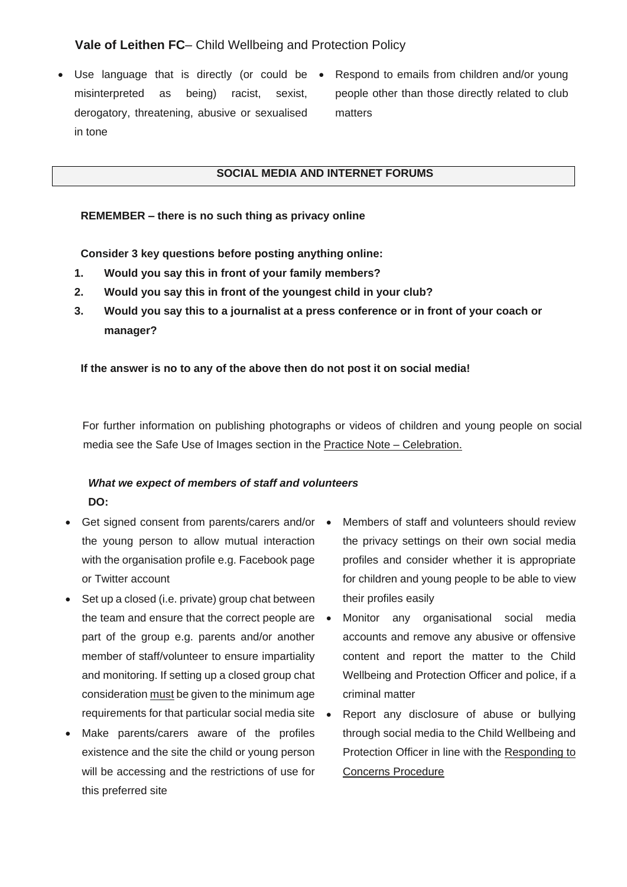- Use language that is directly (or could be  $\bullet$ misinterpreted as being) racist, sexist, derogatory, threatening, abusive or sexualised in tone
- Respond to emails from children and/or young people other than those directly related to club matters

#### **SOCIAL MEDIA AND INTERNET FORUMS**

#### **REMEMBER – there is no such thing as privacy online**

**Consider 3 key questions before posting anything online:** 

- **1. Would you say this in front of your family members?**
- **2. Would you say this in front of the youngest child in your club?**
- **3. Would you say this to a journalist at a press conference or in front of your coach or manager?**

**If the answer is no to any of the above then do not post it on social media!**

For further information on publishing photographs or videos of children and young people on social media see the Safe Use of Images section in the Practice Note – Celebration.

# *What we expect of members of staff and volunteers* **DO:**

- Get signed consent from parents/carers and/or the young person to allow mutual interaction with the organisation profile e.g. Facebook page or Twitter account
- Set up a closed (i.e. private) group chat between the team and ensure that the correct people are part of the group e.g. parents and/or another member of staff/volunteer to ensure impartiality and monitoring. If setting up a closed group chat consideration must be given to the minimum age requirements for that particular social media site
- Make parents/carers aware of the profiles existence and the site the child or young person will be accessing and the restrictions of use for this preferred site
- Members of staff and volunteers should review the privacy settings on their own social media profiles and consider whether it is appropriate for children and young people to be able to view their profiles easily
- Monitor any organisational social media accounts and remove any abusive or offensive content and report the matter to the Child Wellbeing and Protection Officer and police, if a criminal matter
- Report any disclosure of abuse or bullying through social media to the Child Wellbeing and Protection Officer in line with the Responding to Concerns Procedure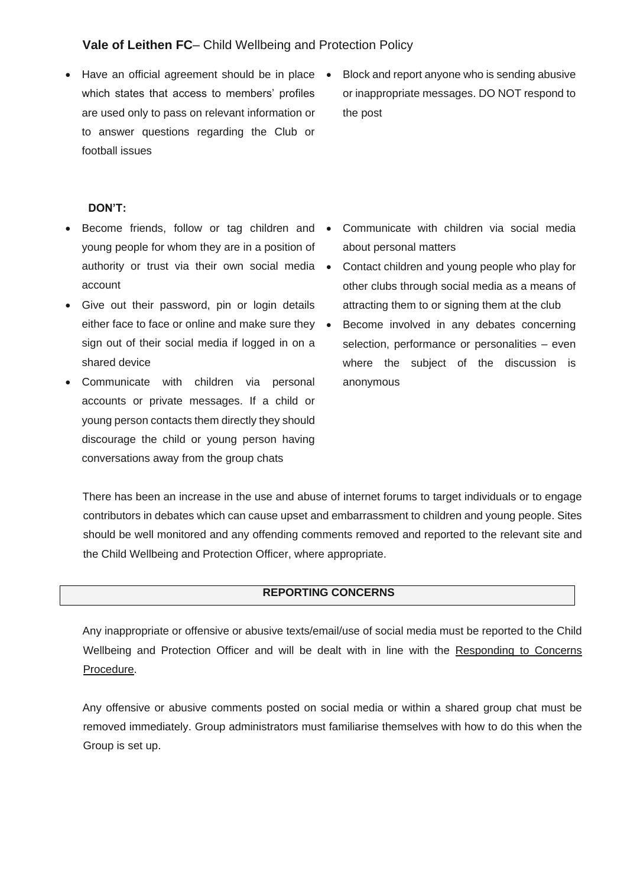- Have an official agreement should be in place which states that access to members' profiles are used only to pass on relevant information or to answer questions regarding the Club or football issues
- Block and report anyone who is sending abusive or inappropriate messages. DO NOT respond to the post

#### **DON'T:**

- Become friends, follow or tag children and young people for whom they are in a position of authority or trust via their own social media . account
- Give out their password, pin or login details either face to face or online and make sure they • sign out of their social media if logged in on a shared device
- Communicate with children via personal accounts or private messages. If a child or young person contacts them directly they should discourage the child or young person having conversations away from the group chats
- Communicate with children via social media about personal matters
- Contact children and young people who play for other clubs through social media as a means of attracting them to or signing them at the club
- Become involved in any debates concerning selection, performance or personalities – even where the subject of the discussion is anonymous

There has been an increase in the use and abuse of internet forums to target individuals or to engage contributors in debates which can cause upset and embarrassment to children and young people. Sites should be well monitored and any offending comments removed and reported to the relevant site and the Child Wellbeing and Protection Officer, where appropriate.

#### **REPORTING CONCERNS**

Any inappropriate or offensive or abusive texts/email/use of social media must be reported to the Child Wellbeing and Protection Officer and will be dealt with in line with the Responding to Concerns Procedure.

Any offensive or abusive comments posted on social media or within a shared group chat must be removed immediately. Group administrators must familiarise themselves with how to do this when the Group is set up.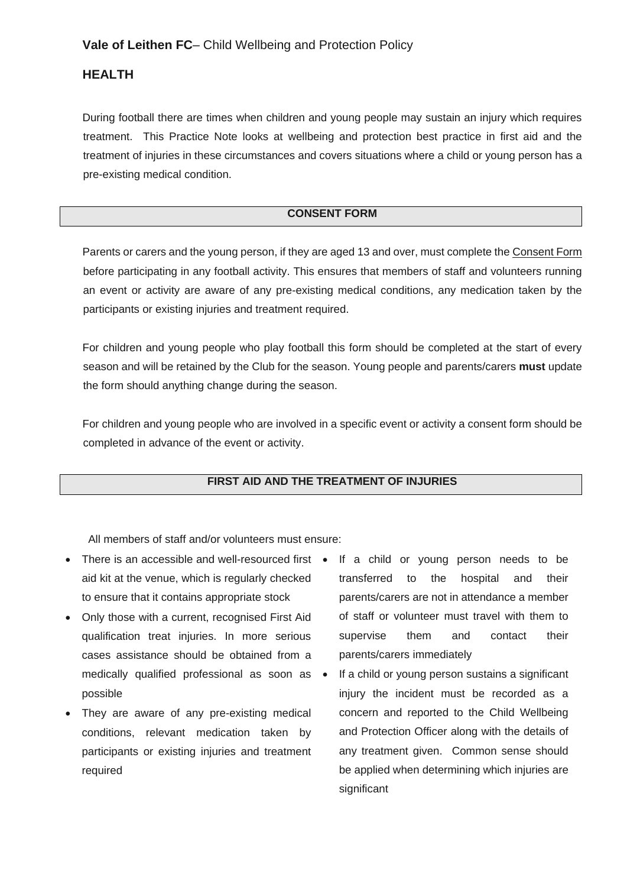## <span id="page-64-0"></span>**HEALTH**

During football there are times when children and young people may sustain an injury which requires treatment. This Practice Note looks at wellbeing and protection best practice in first aid and the treatment of injuries in these circumstances and covers situations where a child or young person has a pre-existing medical condition.

### **CONSENT FORM**

Parents or carers and the young person, if they are aged 13 and over, must complete the Consent Form before participating in any football activity. This ensures that members of staff and volunteers running an event or activity are aware of any pre-existing medical conditions, any medication taken by the participants or existing injuries and treatment required.

For children and young people who play football this form should be completed at the start of every season and will be retained by the Club for the season. Young people and parents/carers **must** update the form should anything change during the season.

For children and young people who are involved in a specific event or activity a consent form should be completed in advance of the event or activity.

### **FIRST AID AND THE TREATMENT OF INJURIES**

All members of staff and/or volunteers must ensure:

- There is an accessible and well-resourced first If a child or young person needs to be aid kit at the venue, which is regularly checked to ensure that it contains appropriate stock
- Only those with a current, recognised First Aid qualification treat injuries. In more serious cases assistance should be obtained from a medically qualified professional as soon as • possible
- They are aware of any pre-existing medical conditions, relevant medication taken by participants or existing injuries and treatment required
- transferred to the hospital and their parents/carers are not in attendance a member of staff or volunteer must travel with them to supervise them and contact their parents/carers immediately
- If a child or young person sustains a significant injury the incident must be recorded as a concern and reported to the Child Wellbeing and Protection Officer along with the details of any treatment given. Common sense should be applied when determining which injuries are significant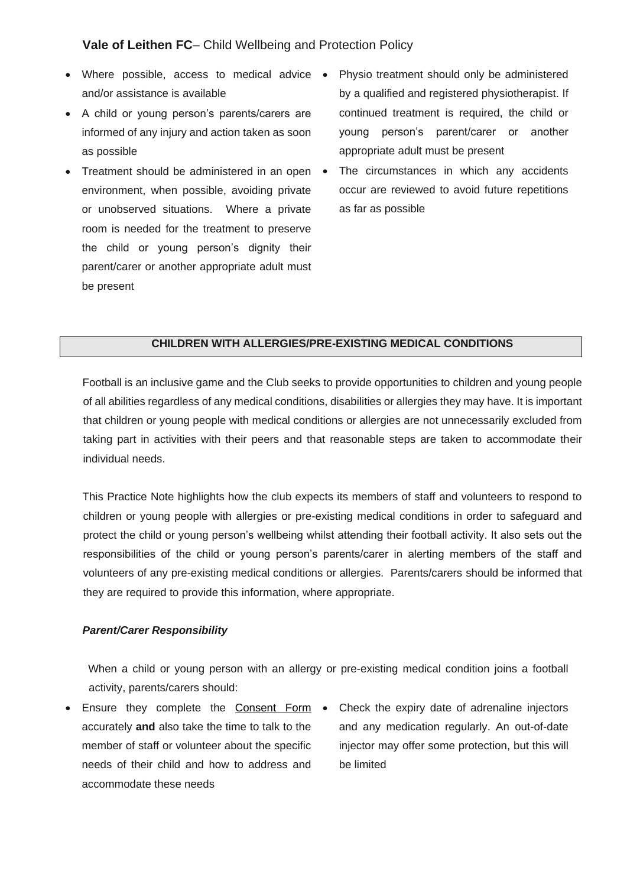- Where possible, access to medical advice and/or assistance is available
- A child or young person's parents/carers are informed of any injury and action taken as soon as possible
- Treatment should be administered in an open environment, when possible, avoiding private or unobserved situations. Where a private room is needed for the treatment to preserve the child or young person's dignity their parent/carer or another appropriate adult must be present
- Physio treatment should only be administered by a qualified and registered physiotherapist. If continued treatment is required, the child or young person's parent/carer or another appropriate adult must be present
- The circumstances in which any accidents occur are reviewed to avoid future repetitions as far as possible

### **CHILDREN WITH ALLERGIES/PRE-EXISTING MEDICAL CONDITIONS**

Football is an inclusive game and the Club seeks to provide opportunities to children and young people of all abilities regardless of any medical conditions, disabilities or allergies they may have. It is important that children or young people with medical conditions or allergies are not unnecessarily excluded from taking part in activities with their peers and that reasonable steps are taken to accommodate their individual needs.

This Practice Note highlights how the club expects its members of staff and volunteers to respond to children or young people with allergies or pre-existing medical conditions in order to safeguard and protect the child or young person's wellbeing whilst attending their football activity. It also sets out the responsibilities of the child or young person's parents/carer in alerting members of the staff and volunteers of any pre-existing medical conditions or allergies. Parents/carers should be informed that they are required to provide this information, where appropriate.

#### *Parent/Carer Responsibility*

When a child or young person with an allergy or pre-existing medical condition joins a football activity, parents/carers should:

- Ensure they complete the Consent Form . accurately **and** also take the time to talk to the member of staff or volunteer about the specific needs of their child and how to address and accommodate these needs
- Check the expiry date of adrenaline injectors and any medication regularly. An out-of-date injector may offer some protection, but this will be limited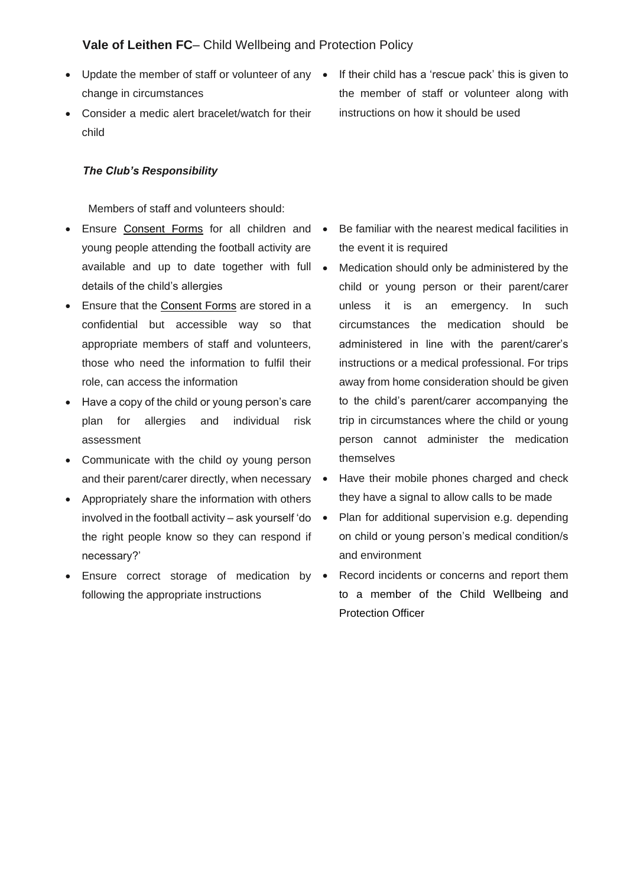- change in circumstances
- Consider a medic alert bracelet/watch for their child

#### *The Club's Responsibility*

Members of staff and volunteers should:

- Ensure Consent Forms for all children and young people attending the football activity are available and up to date together with full details of the child's allergies
- Ensure that the Consent Forms are stored in a confidential but accessible way so that appropriate members of staff and volunteers, those who need the information to fulfil their role, can access the information
- Have a copy of the child or young person's care plan for allergies and individual risk assessment
- Communicate with the child oy young person and their parent/carer directly, when necessary •
- Appropriately share the information with others involved in the football activity – ask yourself 'do  $\bullet$ the right people know so they can respond if necessary?'
- Ensure correct storage of medication by  $\bullet$ following the appropriate instructions

• Update the member of staff or volunteer of any • If their child has a 'rescue pack' this is given to the member of staff or volunteer along with instructions on how it should be used

- Be familiar with the nearest medical facilities in the event it is required
- Medication should only be administered by the child or young person or their parent/carer unless it is an emergency. In such circumstances the medication should be administered in line with the parent/carer's instructions or a medical professional. For trips away from home consideration should be given to the child's parent/carer accompanying the trip in circumstances where the child or young person cannot administer the medication themselves
- Have their mobile phones charged and check they have a signal to allow calls to be made
- Plan for additional supervision e.g. depending on child or young person's medical condition/s and environment
- Record incidents or concerns and report them to a member of the Child Wellbeing and Protection Officer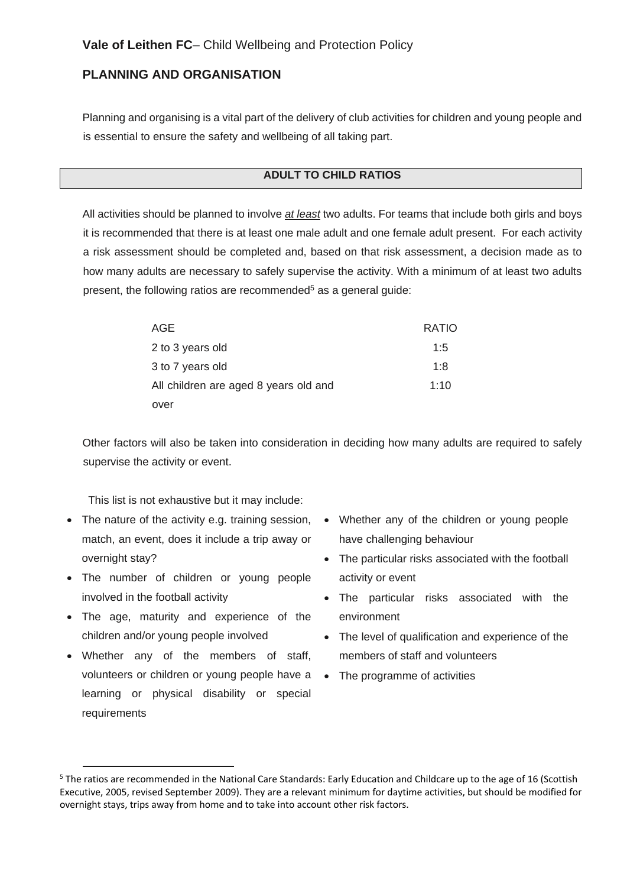# <span id="page-67-0"></span>**PLANNING AND ORGANISATION**

Planning and organising is a vital part of the delivery of club activities for children and young people and is essential to ensure the safety and wellbeing of all taking part.

#### **ADULT TO CHILD RATIOS**

All activities should be planned to involve *at least* two adults. For teams that include both girls and boys it is recommended that there is at least one male adult and one female adult present. For each activity a risk assessment should be completed and, based on that risk assessment, a decision made as to how many adults are necessary to safely supervise the activity. With a minimum of at least two adults present, the following ratios are recommended $5$  as a general guide:

| AGE                                   | <b>RATIO</b> |
|---------------------------------------|--------------|
| 2 to 3 years old                      | 1:5          |
| 3 to 7 years old                      | 1:8          |
| All children are aged 8 years old and | 1:10         |
| over                                  |              |

Other factors will also be taken into consideration in deciding how many adults are required to safely supervise the activity or event.

This list is not exhaustive but it may include:

- The nature of the activity e.g. training session, match, an event, does it include a trip away or overnight stay?
- The number of children or young people involved in the football activity
- The age, maturity and experience of the children and/or young people involved
- Whether any of the members of staff, volunteers or children or young people have a • The programme of activities learning or physical disability or special requirements
- Whether any of the children or young people have challenging behaviour
- The particular risks associated with the football activity or event
- The particular risks associated with the environment
- The level of qualification and experience of the members of staff and volunteers
- 

<sup>5</sup> The ratios are recommended in the National Care Standards: Early Education and Childcare up to the age of 16 (Scottish Executive, 2005, revised September 2009). They are a relevant minimum for daytime activities, but should be modified for overnight stays, trips away from home and to take into account other risk factors.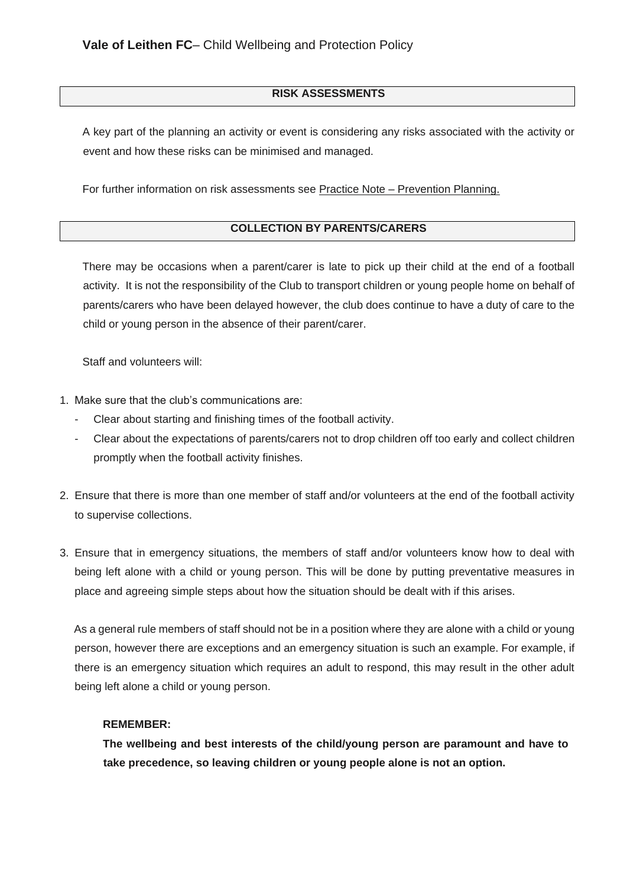### **RISK ASSESSMENTS**

A key part of the planning an activity or event is considering any risks associated with the activity or event and how these risks can be minimised and managed.

For further information on risk assessments see Practice Note – Prevention Planning.

### **COLLECTION BY PARENTS/CARERS**

There may be occasions when a parent/carer is late to pick up their child at the end of a football activity. It is not the responsibility of the Club to transport children or young people home on behalf of parents/carers who have been delayed however, the club does continue to have a duty of care to the child or young person in the absence of their parent/carer.

Staff and volunteers will:

- 1. Make sure that the club's communications are:
	- Clear about starting and finishing times of the football activity.
	- Clear about the expectations of parents/carers not to drop children off too early and collect children promptly when the football activity finishes.
- 2. Ensure that there is more than one member of staff and/or volunteers at the end of the football activity to supervise collections.
- 3. Ensure that in emergency situations, the members of staff and/or volunteers know how to deal with being left alone with a child or young person. This will be done by putting preventative measures in place and agreeing simple steps about how the situation should be dealt with if this arises.

As a general rule members of staff should not be in a position where they are alone with a child or young person, however there are exceptions and an emergency situation is such an example. For example, if there is an emergency situation which requires an adult to respond, this may result in the other adult being left alone a child or young person.

#### **REMEMBER:**

**The wellbeing and best interests of the child/young person are paramount and have to take precedence, so leaving children or young people alone is not an option.**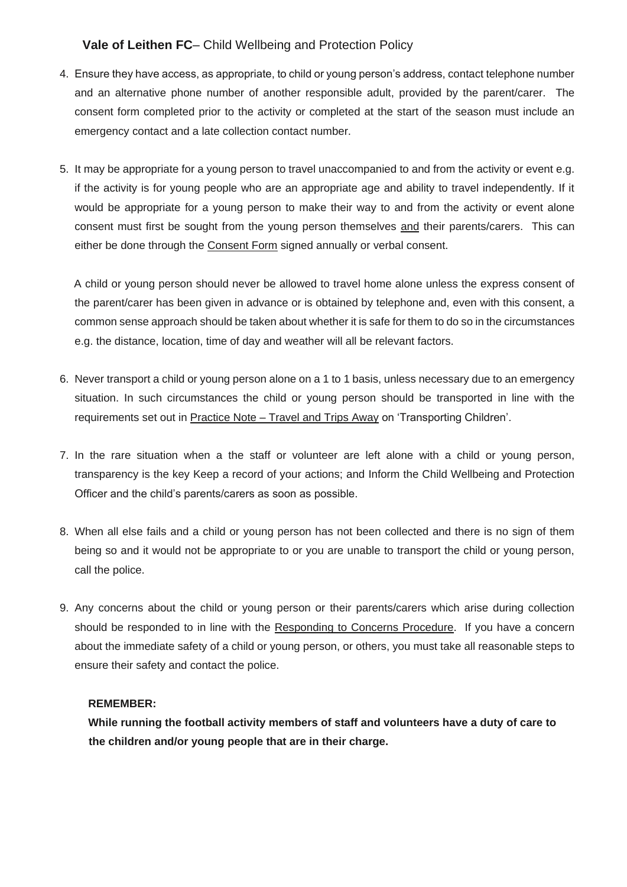- 4. Ensure they have access, as appropriate, to child or young person's address, contact telephone number and an alternative phone number of another responsible adult, provided by the parent/carer. The consent form completed prior to the activity or completed at the start of the season must include an emergency contact and a late collection contact number.
- 5. It may be appropriate for a young person to travel unaccompanied to and from the activity or event e.g. if the activity is for young people who are an appropriate age and ability to travel independently. If it would be appropriate for a young person to make their way to and from the activity or event alone consent must first be sought from the young person themselves and their parents/carers. This can either be done through the Consent Form signed annually or verbal consent.

A child or young person should never be allowed to travel home alone unless the express consent of the parent/carer has been given in advance or is obtained by telephone and, even with this consent, a common sense approach should be taken about whether it is safe for them to do so in the circumstances e.g. the distance, location, time of day and weather will all be relevant factors.

- 6. Never transport a child or young person alone on a 1 to 1 basis, unless necessary due to an emergency situation. In such circumstances the child or young person should be transported in line with the requirements set out in Practice Note – Travel and Trips Away on 'Transporting Children'.
- 7. In the rare situation when a the staff or volunteer are left alone with a child or young person, transparency is the key Keep a record of your actions; and Inform the Child Wellbeing and Protection Officer and the child's parents/carers as soon as possible.
- 8. When all else fails and a child or young person has not been collected and there is no sign of them being so and it would not be appropriate to or you are unable to transport the child or young person, call the police.
- 9. Any concerns about the child or young person or their parents/carers which arise during collection should be responded to in line with the Responding to Concerns Procedure. If you have a concern about the immediate safety of a child or young person, or others, you must take all reasonable steps to ensure their safety and contact the police.

#### **REMEMBER:**

**While running the football activity members of staff and volunteers have a duty of care to the children and/or young people that are in their charge.**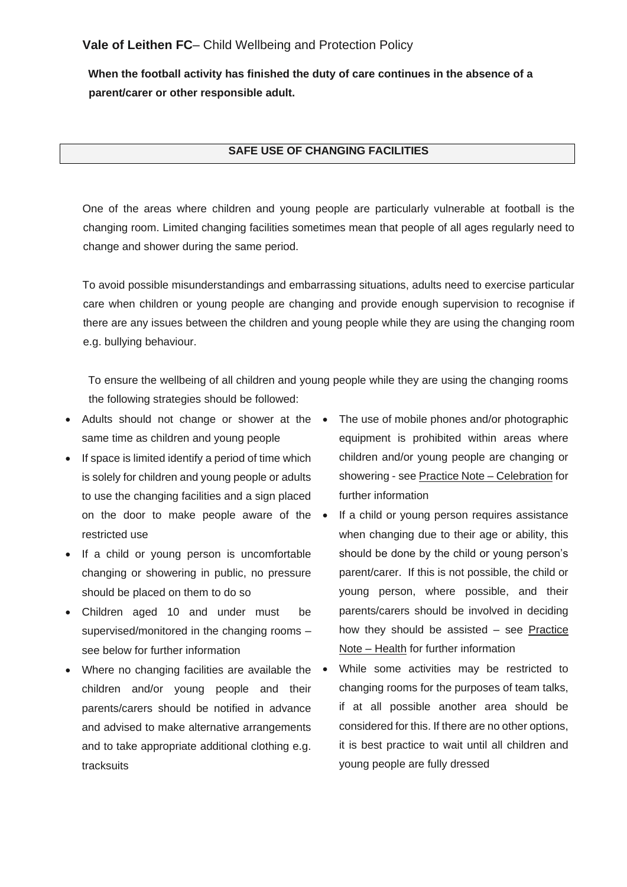**When the football activity has finished the duty of care continues in the absence of a parent/carer or other responsible adult.** 

#### **SAFE USE OF CHANGING FACILITIES**

One of the areas where children and young people are particularly vulnerable at football is the changing room. Limited changing facilities sometimes mean that people of all ages regularly need to change and shower during the same period.

To avoid possible misunderstandings and embarrassing situations, adults need to exercise particular care when children or young people are changing and provide enough supervision to recognise if there are any issues between the children and young people while they are using the changing room e.g. bullying behaviour.

To ensure the wellbeing of all children and young people while they are using the changing rooms the following strategies should be followed:

- Adults should not change or shower at the same time as children and young people
- If space is limited identify a period of time which is solely for children and young people or adults to use the changing facilities and a sign placed on the door to make people aware of the restricted use
- If a child or young person is uncomfortable changing or showering in public, no pressure should be placed on them to do so
- Children aged 10 and under must be supervised/monitored in the changing rooms – see below for further information
- Where no changing facilities are available the children and/or young people and their parents/carers should be notified in advance and advised to make alternative arrangements and to take appropriate additional clothing e.g. tracksuits
- The use of mobile phones and/or photographic equipment is prohibited within areas where children and/or young people are changing or showering - see Practice Note – Celebration for further information
- If a child or young person requires assistance when changing due to their age or ability, this should be done by the child or young person's parent/carer. If this is not possible, the child or young person, where possible, and their parents/carers should be involved in deciding how they should be assisted – see Practice Note – Health for further information
- While some activities may be restricted to changing rooms for the purposes of team talks, if at all possible another area should be considered for this. If there are no other options, it is best practice to wait until all children and young people are fully dressed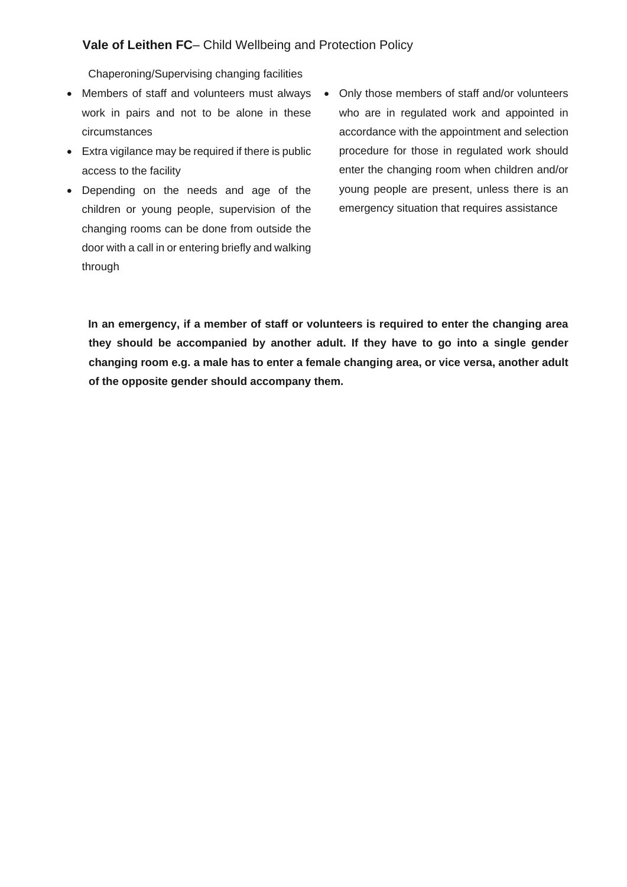Chaperoning/Supervising changing facilities

- Members of staff and volunteers must always Only those members of staff and/or volunteers work in pairs and not to be alone in these circumstances
- Extra vigilance may be required if there is public access to the facility
- Depending on the needs and age of the children or young people, supervision of the changing rooms can be done from outside the door with a call in or entering briefly and walking through
- who are in regulated work and appointed in accordance with the appointment and selection procedure for those in regulated work should enter the changing room when children and/or young people are present, unless there is an emergency situation that requires assistance

**In an emergency, if a member of staff or volunteers is required to enter the changing area they should be accompanied by another adult. If they have to go into a single gender changing room e.g. a male has to enter a female changing area, or vice versa, another adult of the opposite gender should accompany them.**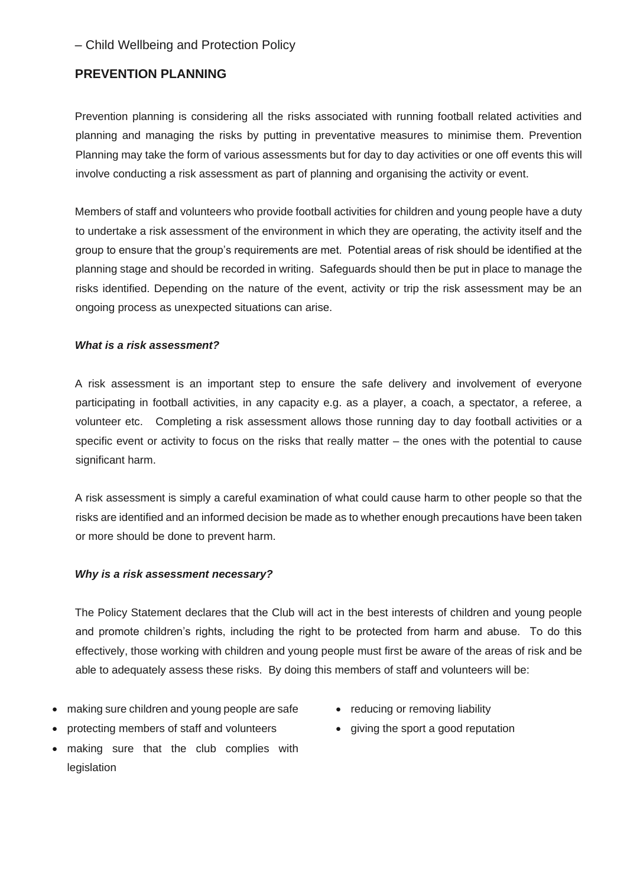# **PREVENTION PLANNING**

Prevention planning is considering all the risks associated with running football related activities and planning and managing the risks by putting in preventative measures to minimise them. Prevention Planning may take the form of various assessments but for day to day activities or one off events this will involve conducting a risk assessment as part of planning and organising the activity or event.

Members of staff and volunteers who provide football activities for children and young people have a duty to undertake a risk assessment of the environment in which they are operating, the activity itself and the group to ensure that the group's requirements are met. Potential areas of risk should be identified at the planning stage and should be recorded in writing. Safeguards should then be put in place to manage the risks identified. Depending on the nature of the event, activity or trip the risk assessment may be an ongoing process as unexpected situations can arise.

## *What is a risk assessment?*

A risk assessment is an important step to ensure the safe delivery and involvement of everyone participating in football activities, in any capacity e.g. as a player, a coach, a spectator, a referee, a volunteer etc. Completing a risk assessment allows those running day to day football activities or a specific event or activity to focus on the risks that really matter – the ones with the potential to cause significant harm.

A risk assessment is simply a careful examination of what could cause harm to other people so that the risks are identified and an informed decision be made as to whether enough precautions have been taken or more should be done to prevent harm.

### *Why is a risk assessment necessary?*

The Policy Statement declares that the Club will act in the best interests of children and young people and promote children's rights, including the right to be protected from harm and abuse. To do this effectively, those working with children and young people must first be aware of the areas of risk and be able to adequately assess these risks. By doing this members of staff and volunteers will be:

- making sure children and young people are safe
- protecting members of staff and volunteers
- making sure that the club complies with legislation
- reducing or removing liability
- giving the sport a good reputation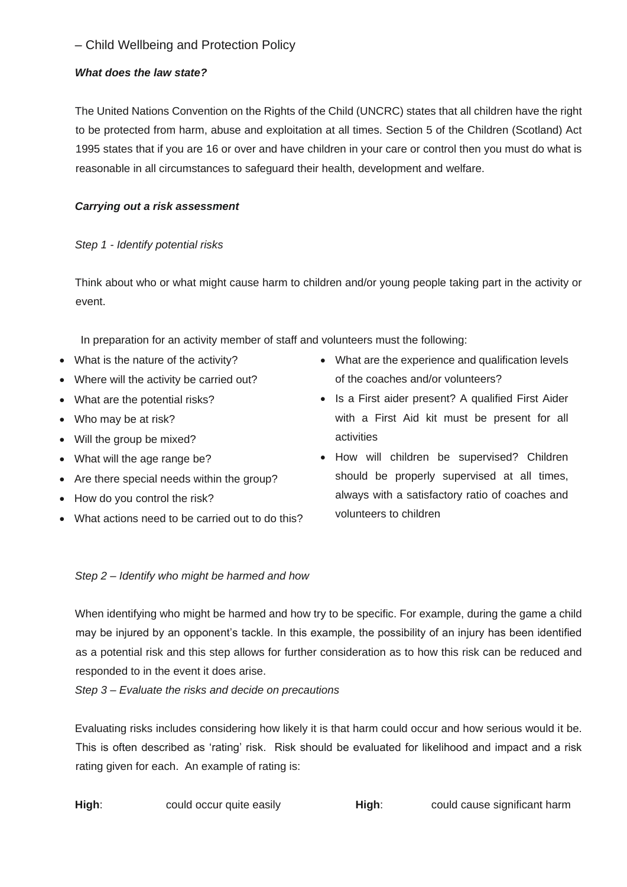## *What does the law state?*

The United Nations Convention on the Rights of the Child (UNCRC) states that all children have the right to be protected from harm, abuse and exploitation at all times. Section 5 of the Children (Scotland) Act 1995 states that if you are 16 or over and have children in your care or control then you must do what is reasonable in all circumstances to safeguard their health, development and welfare.

# *Carrying out a risk assessment*

## *Step 1 - Identify potential risks*

Think about who or what might cause harm to children and/or young people taking part in the activity or event.

In preparation for an activity member of staff and volunteers must the following:

- What is the nature of the activity?
- Where will the activity be carried out?
- What are the potential risks?
- Who may be at risk?
- Will the group be mixed?
- What will the age range be?
- Are there special needs within the group?
- How do you control the risk?
- What actions need to be carried out to do this?
- What are the experience and qualification levels of the coaches and/or volunteers?
- Is a First aider present? A qualified First Aider with a First Aid kit must be present for all activities
- How will children be supervised? Children should be properly supervised at all times, always with a satisfactory ratio of coaches and volunteers to children

## *Step 2 – Identify who might be harmed and how*

When identifying who might be harmed and how try to be specific. For example, during the game a child may be injured by an opponent's tackle. In this example, the possibility of an injury has been identified as a potential risk and this step allows for further consideration as to how this risk can be reduced and responded to in the event it does arise.

*Step 3 – Evaluate the risks and decide on precautions* 

Evaluating risks includes considering how likely it is that harm could occur and how serious would it be. This is often described as 'rating' risk. Risk should be evaluated for likelihood and impact and a risk rating given for each. An example of rating is:

**High:** could occur quite easily **High:** could cause significant harm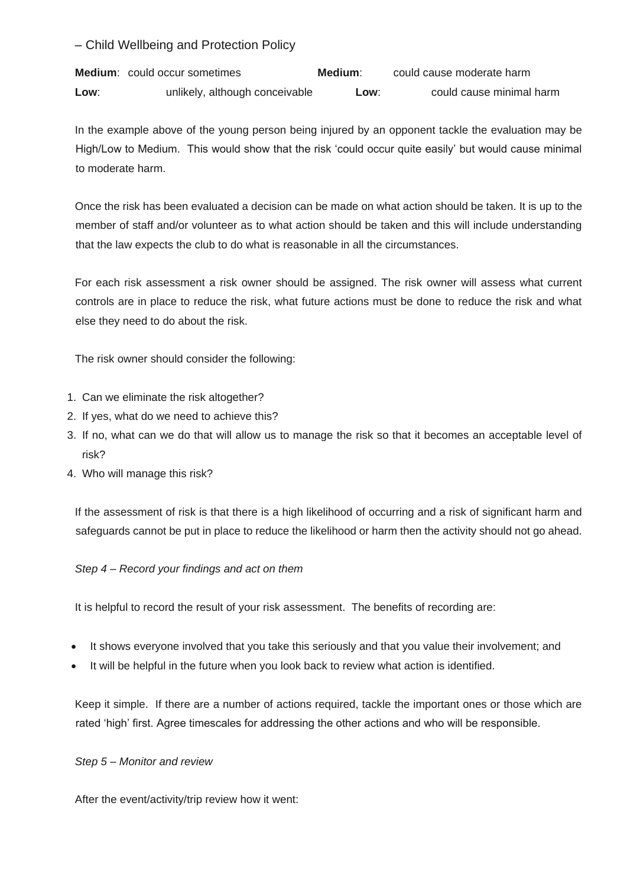**Medium**: could occur sometimes **Medium**: could cause moderate harm **Low**: unlikely, although conceivable **Low**: could cause minimal harm

In the example above of the young person being injured by an opponent tackle the evaluation may be High/Low to Medium. This would show that the risk 'could occur quite easily' but would cause minimal to moderate harm.

Once the risk has been evaluated a decision can be made on what action should be taken. It is up to the member of staff and/or volunteer as to what action should be taken and this will include understanding that the law expects the club to do what is reasonable in all the circumstances.

For each risk assessment a risk owner should be assigned. The risk owner will assess what current controls are in place to reduce the risk, what future actions must be done to reduce the risk and what else they need to do about the risk.

The risk owner should consider the following:

- 1. Can we eliminate the risk altogether?
- 2. If yes, what do we need to achieve this?
- 3. If no, what can we do that will allow us to manage the risk so that it becomes an acceptable level of risk?
- 4. Who will manage this risk?

If the assessment of risk is that there is a high likelihood of occurring and a risk of significant harm and safeguards cannot be put in place to reduce the likelihood or harm then the activity should not go ahead.

## *Step 4 – Record your findings and act on them*

It is helpful to record the result of your risk assessment. The benefits of recording are:

- It shows everyone involved that you take this seriously and that you value their involvement; and
- It will be helpful in the future when you look back to review what action is identified.

Keep it simple. If there are a number of actions required, tackle the important ones or those which are rated 'high' first. Agree timescales for addressing the other actions and who will be responsible.

## *Step 5 – Monitor and review*

After the event/activity/trip review how it went: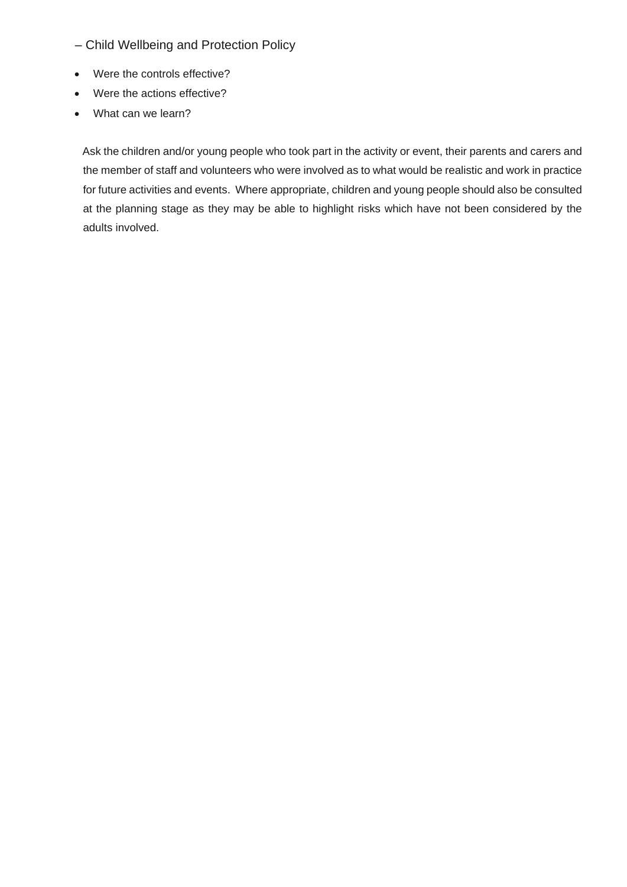- Child Wellbeing and Protection Policy
- Were the controls effective?
- Were the actions effective?
- What can we learn?

Ask the children and/or young people who took part in the activity or event, their parents and carers and the member of staff and volunteers who were involved as to what would be realistic and work in practice for future activities and events. Where appropriate, children and young people should also be consulted at the planning stage as they may be able to highlight risks which have not been considered by the adults involved.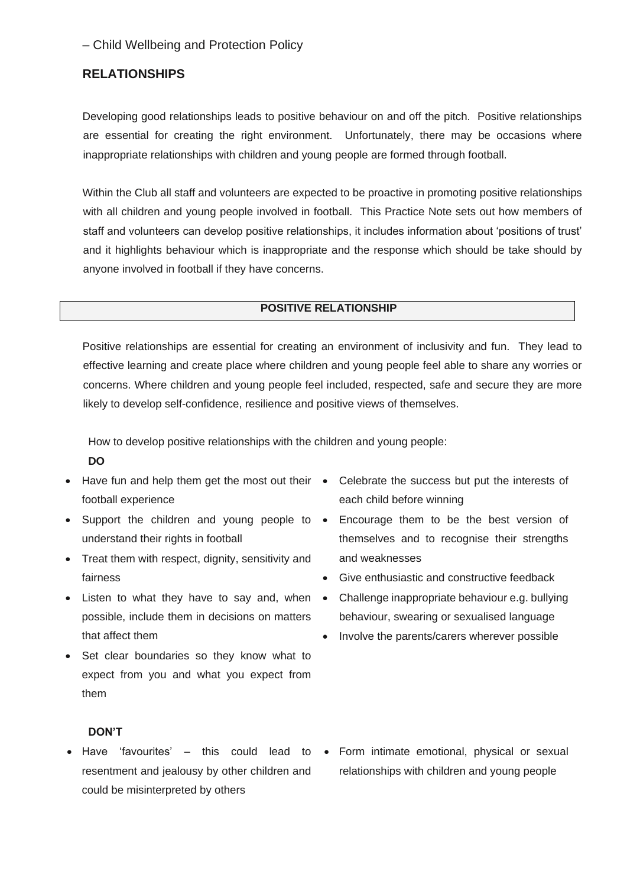# **RELATIONSHIPS**

Developing good relationships leads to positive behaviour on and off the pitch. Positive relationships are essential for creating the right environment. Unfortunately, there may be occasions where inappropriate relationships with children and young people are formed through football.

Within the Club all staff and volunteers are expected to be proactive in promoting positive relationships with all children and young people involved in football. This Practice Note sets out how members of staff and volunteers can develop positive relationships, it includes information about 'positions of trust' and it highlights behaviour which is inappropriate and the response which should be take should by anyone involved in football if they have concerns.

### **POSITIVE RELATIONSHIP**

Positive relationships are essential for creating an environment of inclusivity and fun. They lead to effective learning and create place where children and young people feel able to share any worries or concerns. Where children and young people feel included, respected, safe and secure they are more likely to develop self-confidence, resilience and positive views of themselves.

How to develop positive relationships with the children and young people:

- **DO**
- Have fun and help them get the most out their football experience
- Support the children and young people to understand their rights in football
- Treat them with respect, dignity, sensitivity and fairness
- Listen to what they have to say and, when possible, include them in decisions on matters that affect them
- Set clear boundaries so they know what to expect from you and what you expect from them
- Celebrate the success but put the interests of each child before winning
- Encourage them to be the best version of themselves and to recognise their strengths and weaknesses
- Give enthusiastic and constructive feedback
- Challenge inappropriate behaviour e.g. bullying behaviour, swearing or sexualised language
- Involve the parents/carers wherever possible

### **DON'T**

- Have 'favourites' this could lead to Form intimate emotional, physical or sexual resentment and jealousy by other children and could be misinterpreted by others
	- relationships with children and young people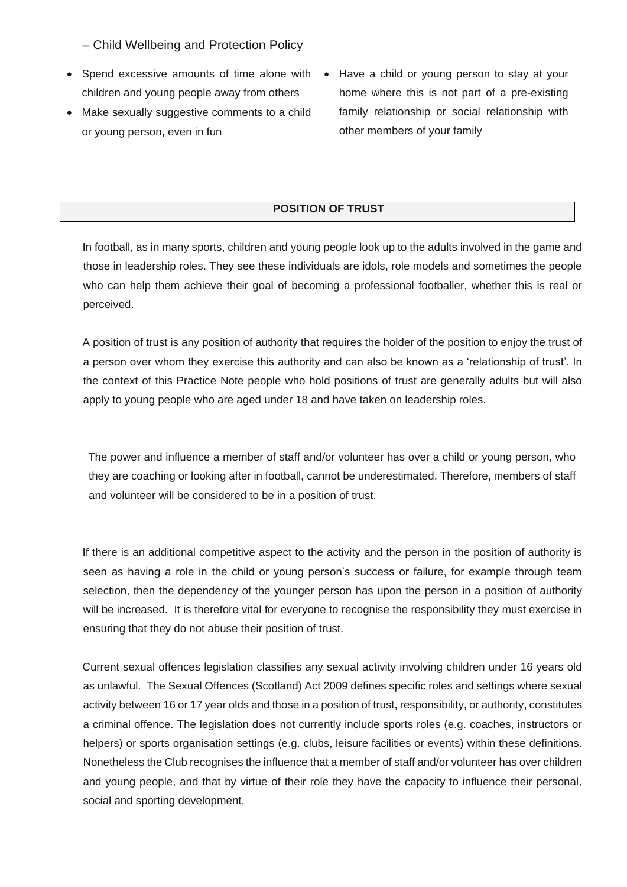- Spend excessive amounts of time alone with Have a child or young person to stay at your children and young people away from others
- Make sexually suggestive comments to a child or young person, even in fun
- home where this is not part of a pre-existing family relationship or social relationship with other members of your family

# **POSITION OF TRUST**

In football, as in many sports, children and young people look up to the adults involved in the game and those in leadership roles. They see these individuals are idols, role models and sometimes the people who can help them achieve their goal of becoming a professional footballer, whether this is real or perceived.

A position of trust is any position of authority that requires the holder of the position to enjoy the trust of a person over whom they exercise this authority and can also be known as a 'relationship of trust'. In the context of this Practice Note people who hold positions of trust are generally adults but will also apply to young people who are aged under 18 and have taken on leadership roles.

The power and influence a member of staff and/or volunteer has over a child or young person, who they are coaching or looking after in football, cannot be underestimated. Therefore, members of staff and volunteer will be considered to be in a position of trust.

If there is an additional competitive aspect to the activity and the person in the position of authority is seen as having a role in the child or young person's success or failure, for example through team selection, then the dependency of the younger person has upon the person in a position of authority will be increased. It is therefore vital for everyone to recognise the responsibility they must exercise in ensuring that they do not abuse their position of trust.

Current sexual offences legislation classifies any sexual activity involving children under 16 years old as unlawful. The Sexual Offences (Scotland) Act 2009 defines specific roles and settings where sexual activity between 16 or 17 year olds and those in a position of trust, responsibility, or authority, constitutes a criminal offence. The legislation does not currently include sports roles (e.g. coaches, instructors or helpers) or sports organisation settings (e.g. clubs, leisure facilities or events) within these definitions. Nonetheless the Club recognises the influence that a member of staff and/or volunteer has over children and young people, and that by virtue of their role they have the capacity to influence their personal, social and sporting development.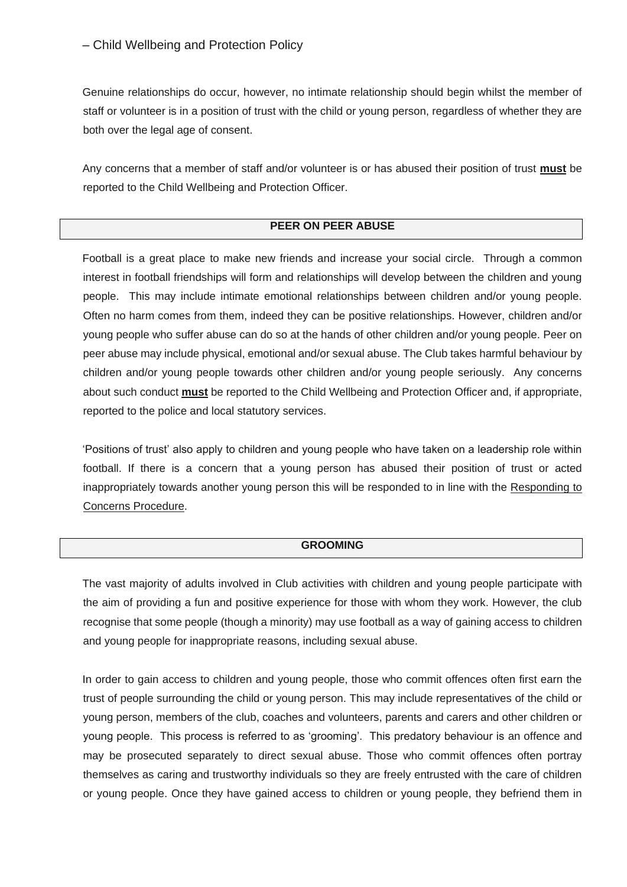Genuine relationships do occur, however, no intimate relationship should begin whilst the member of staff or volunteer is in a position of trust with the child or young person, regardless of whether they are both over the legal age of consent.

Any concerns that a member of staff and/or volunteer is or has abused their position of trust **must** be reported to the Child Wellbeing and Protection Officer.

# **PEER ON PEER ABUSE**

Football is a great place to make new friends and increase your social circle. Through a common interest in football friendships will form and relationships will develop between the children and young people. This may include intimate emotional relationships between children and/or young people. Often no harm comes from them, indeed they can be positive relationships. However, children and/or young people who suffer abuse can do so at the hands of other children and/or young people. Peer on peer abuse may include physical, emotional and/or sexual abuse. The Club takes harmful behaviour by children and/or young people towards other children and/or young people seriously. Any concerns about such conduct **must** be reported to the Child Wellbeing and Protection Officer and, if appropriate, reported to the police and local statutory services.

'Positions of trust' also apply to children and young people who have taken on a leadership role within football. If there is a concern that a young person has abused their position of trust or acted inappropriately towards another young person this will be responded to in line with the Responding to Concerns Procedure.

### **GROOMING**

The vast majority of adults involved in Club activities with children and young people participate with the aim of providing a fun and positive experience for those with whom they work. However, the club recognise that some people (though a minority) may use football as a way of gaining access to children and young people for inappropriate reasons, including sexual abuse.

In order to gain access to children and young people, those who commit offences often first earn the trust of people surrounding the child or young person. This may include representatives of the child or young person, members of the club, coaches and volunteers, parents and carers and other children or young people. This process is referred to as 'grooming'. This predatory behaviour is an offence and may be prosecuted separately to direct sexual abuse. Those who commit offences often portray themselves as caring and trustworthy individuals so they are freely entrusted with the care of children or young people. Once they have gained access to children or young people, they befriend them in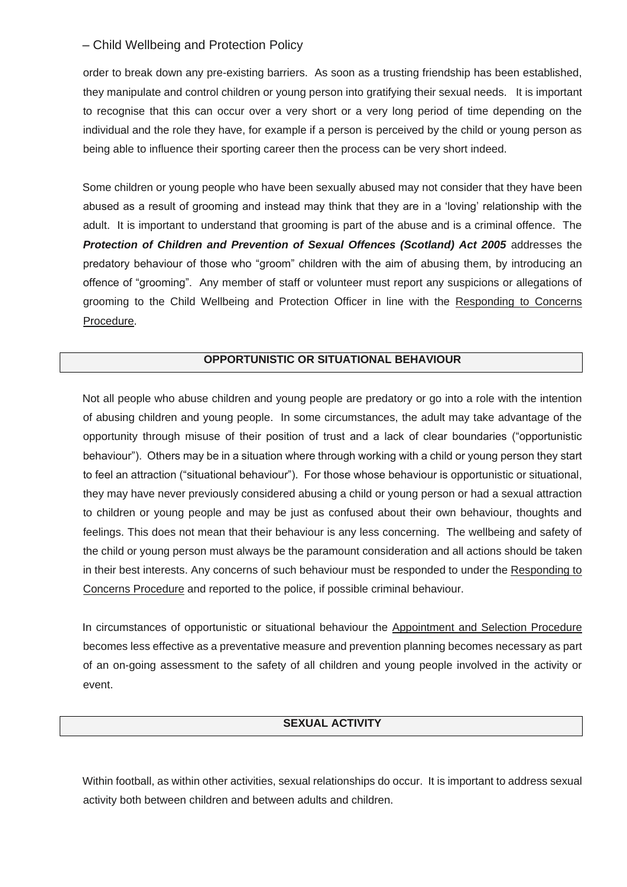order to break down any pre-existing barriers. As soon as a trusting friendship has been established, they manipulate and control children or young person into gratifying their sexual needs. It is important to recognise that this can occur over a very short or a very long period of time depending on the individual and the role they have, for example if a person is perceived by the child or young person as being able to influence their sporting career then the process can be very short indeed.

Some children or young people who have been sexually abused may not consider that they have been abused as a result of grooming and instead may think that they are in a 'loving' relationship with the adult. It is important to understand that grooming is part of the abuse and is a criminal offence. The **Protection of Children and Prevention of Sexual Offences (Scotland) Act 2005** addresses the predatory behaviour of those who "groom" children with the aim of abusing them, by introducing an offence of "grooming". Any member of staff or volunteer must report any suspicions or allegations of grooming to the Child Wellbeing and Protection Officer in line with the Responding to Concerns Procedure.

# **OPPORTUNISTIC OR SITUATIONAL BEHAVIOUR**

Not all people who abuse children and young people are predatory or go into a role with the intention of abusing children and young people. In some circumstances, the adult may take advantage of the opportunity through misuse of their position of trust and a lack of clear boundaries ("opportunistic behaviour"). Others may be in a situation where through working with a child or young person they start to feel an attraction ("situational behaviour"). For those whose behaviour is opportunistic or situational, they may have never previously considered abusing a child or young person or had a sexual attraction to children or young people and may be just as confused about their own behaviour, thoughts and feelings. This does not mean that their behaviour is any less concerning. The wellbeing and safety of the child or young person must always be the paramount consideration and all actions should be taken in their best interests. Any concerns of such behaviour must be responded to under the Responding to Concerns Procedure and reported to the police, if possible criminal behaviour.

In circumstances of opportunistic or situational behaviour the Appointment and Selection Procedure becomes less effective as a preventative measure and prevention planning becomes necessary as part of an on-going assessment to the safety of all children and young people involved in the activity or event.

## **SEXUAL ACTIVITY**

Within football, as within other activities, sexual relationships do occur. It is important to address sexual activity both between children and between adults and children.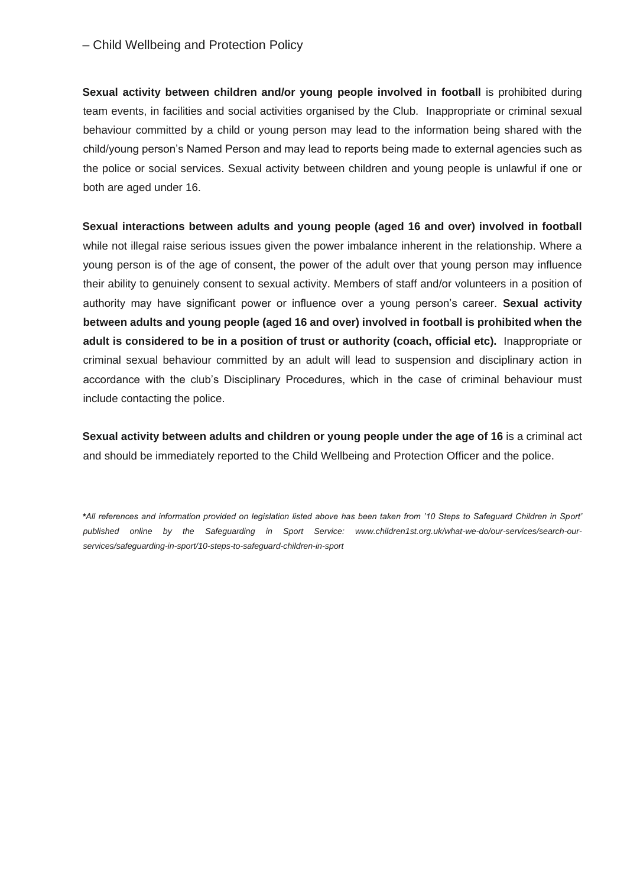**Sexual activity between children and/or young people involved in football** is prohibited during team events, in facilities and social activities organised by the Club. Inappropriate or criminal sexual behaviour committed by a child or young person may lead to the information being shared with the child/young person's Named Person and may lead to reports being made to external agencies such as the police or social services. Sexual activity between children and young people is unlawful if one or both are aged under 16.

**Sexual interactions between adults and young people (aged 16 and over) involved in football** while not illegal raise serious issues given the power imbalance inherent in the relationship. Where a young person is of the age of consent, the power of the adult over that young person may influence their ability to genuinely consent to sexual activity. Members of staff and/or volunteers in a position of authority may have significant power or influence over a young person's career. **Sexual activity between adults and young people (aged 16 and over) involved in football is prohibited when the adult is considered to be in a position of trust or authority (coach, official etc).** Inappropriate or criminal sexual behaviour committed by an adult will lead to suspension and disciplinary action in accordance with the club's Disciplinary Procedures, which in the case of criminal behaviour must include contacting the police.

**Sexual activity between adults and children or young people under the age of 16** is a criminal act and should be immediately reported to the Child Wellbeing and Protection Officer and the police.

*\*All references and information provided on legislation listed above has been taken from '10 Steps to Safeguard Children in Sport' published online by the Safeguarding in Sport Service: www.children1st.org.uk/what-we-do/our-services/search-ourservices/safeguarding-in-sport/10-steps-to-safeguard-children-in-sport*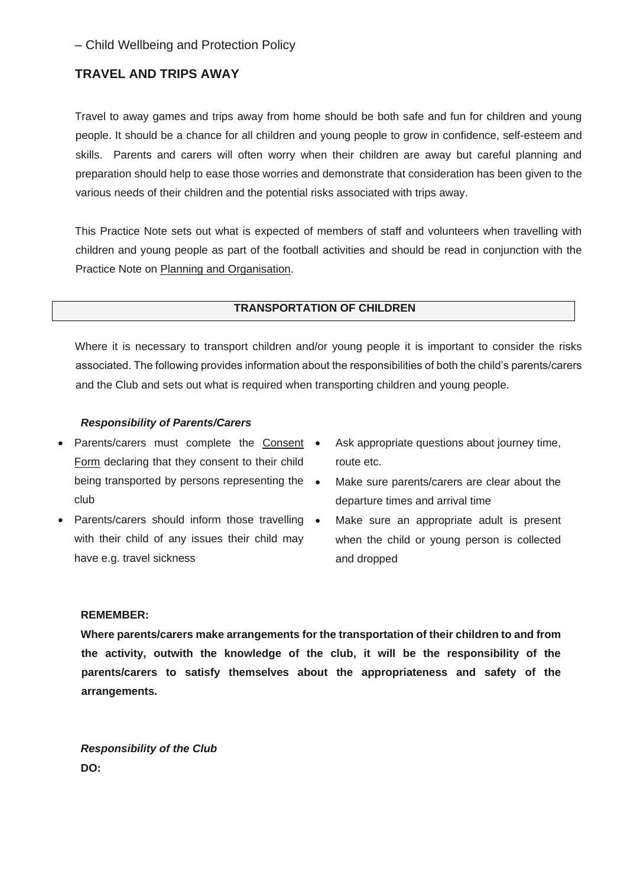# **TRAVEL AND TRIPS AWAY**

Travel to away games and trips away from home should be both safe and fun for children and young people. It should be a chance for all children and young people to grow in confidence, self-esteem and skills. Parents and carers will often worry when their children are away but careful planning and preparation should help to ease those worries and demonstrate that consideration has been given to the various needs of their children and the potential risks associated with trips away.

This Practice Note sets out what is expected of members of staff and volunteers when travelling with children and young people as part of the football activities and should be read in conjunction with the Practice Note on Planning and Organisation.

## **TRANSPORTATION OF CHILDREN**

Where it is necessary to transport children and/or young people it is important to consider the risks associated. The following provides information about the responsibilities of both the child's parents/carers and the Club and sets out what is required when transporting children and young people.

## *Responsibility of Parents/Carers*

- Parents/carers must complete the Consent Form declaring that they consent to their child being transported by persons representing the  $\bullet$ club
- Parents/carers should inform those travelling with their child of any issues their child may have e.g. travel sickness
- Ask appropriate questions about journey time, route etc.
- Make sure parents/carers are clear about the departure times and arrival time
	- Make sure an appropriate adult is present when the child or young person is collected and dropped

### **REMEMBER:**

**Where parents/carers make arrangements for the transportation of their children to and from the activity, outwith the knowledge of the club, it will be the responsibility of the parents/carers to satisfy themselves about the appropriateness and safety of the arrangements.** 

*Responsibility of the Club*  **DO:**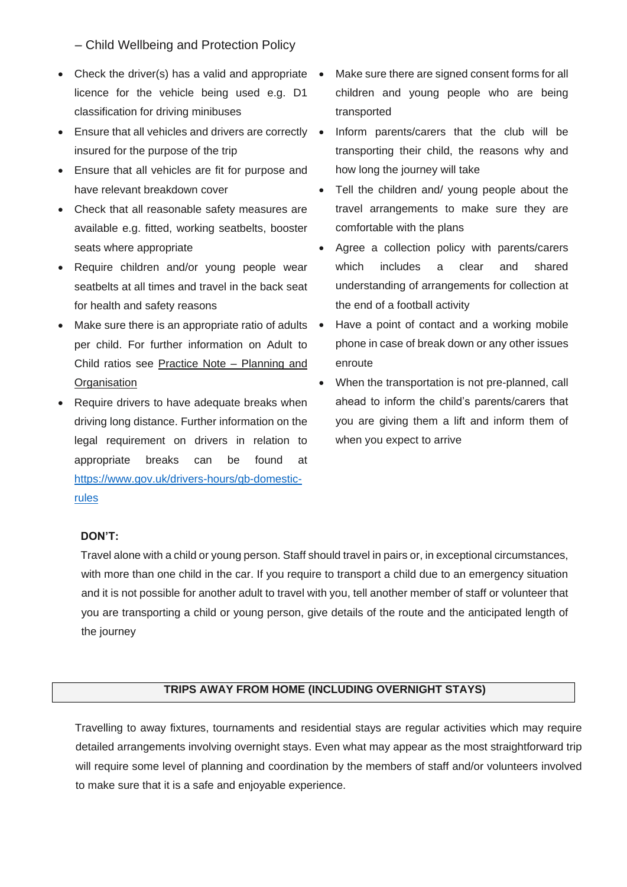- Check the driver(s) has a valid and appropriate  $\bullet$ licence for the vehicle being used e.g. D1 classification for driving minibuses
- Ensure that all vehicles and drivers are correctly insured for the purpose of the trip
- Ensure that all vehicles are fit for purpose and have relevant breakdown cover
- Check that all reasonable safety measures are available e.g. fitted, working seatbelts, booster seats where appropriate
- Require children and/or young people wear seatbelts at all times and travel in the back seat for health and safety reasons
- Make sure there is an appropriate ratio of adults per child. For further information on Adult to Child ratios see Practice Note – Planning and **Organisation**
- Require drivers to have adequate breaks when driving long distance. Further information on the legal requirement on drivers in relation to appropriate breaks can be found at [https://www.gov.uk/drivers-hours/gb-domestic](https://www.gov.uk/drivers-hours/gb-domestic-rules)[rules](https://www.gov.uk/drivers-hours/gb-domestic-rules)
- Make sure there are signed consent forms for all children and young people who are being transported
- Inform parents/carers that the club will be transporting their child, the reasons why and how long the journey will take
	- Tell the children and/ young people about the travel arrangements to make sure they are comfortable with the plans
	- Agree a collection policy with parents/carers which includes a clear and shared understanding of arrangements for collection at the end of a football activity
	- Have a point of contact and a working mobile phone in case of break down or any other issues enroute
- When the transportation is not pre-planned, call ahead to inform the child's parents/carers that you are giving them a lift and inform them of when you expect to arrive

#### **DON'T:**

Travel alone with a child or young person. Staff should travel in pairs or, in exceptional circumstances, with more than one child in the car. If you require to transport a child due to an emergency situation and it is not possible for another adult to travel with you, tell another member of staff or volunteer that you are transporting a child or young person, give details of the route and the anticipated length of the journey

# **TRIPS AWAY FROM HOME (INCLUDING OVERNIGHT STAYS)**

Travelling to away fixtures, tournaments and residential stays are regular activities which may require detailed arrangements involving overnight stays. Even what may appear as the most straightforward trip will require some level of planning and coordination by the members of staff and/or volunteers involved to make sure that it is a safe and enjoyable experience.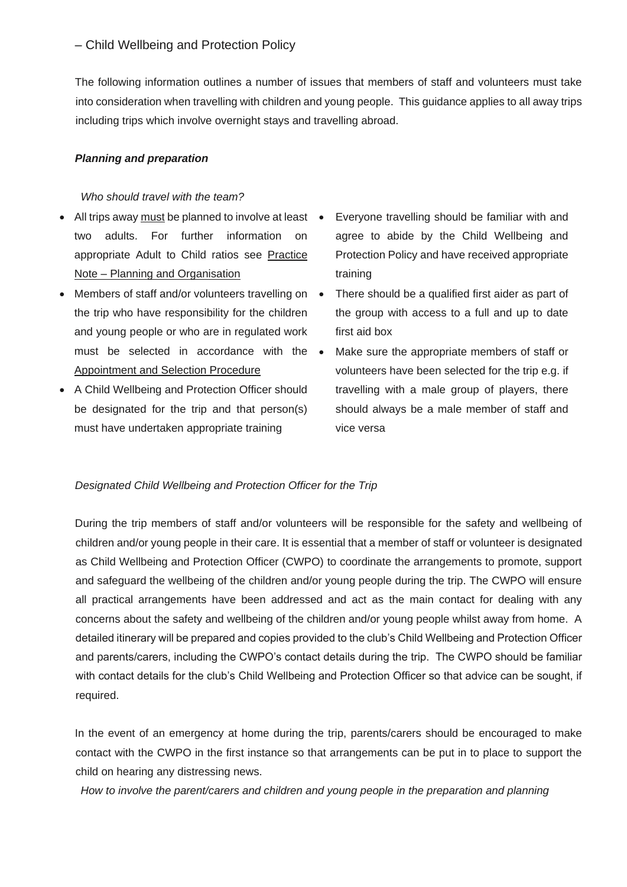The following information outlines a number of issues that members of staff and volunteers must take into consideration when travelling with children and young people. This guidance applies to all away trips including trips which involve overnight stays and travelling abroad.

# *Planning and preparation*

# *Who should travel with the team?*

- All trips away must be planned to involve at least two adults. For further information on appropriate Adult to Child ratios see Practice Note – Planning and Organisation
- Members of staff and/or volunteers travelling on the trip who have responsibility for the children and young people or who are in regulated work must be selected in accordance with the Appointment and Selection Procedure
- A Child Wellbeing and Protection Officer should be designated for the trip and that person(s) must have undertaken appropriate training
- Everyone travelling should be familiar with and agree to abide by the Child Wellbeing and Protection Policy and have received appropriate training
- There should be a qualified first aider as part of the group with access to a full and up to date first aid box
- Make sure the appropriate members of staff or volunteers have been selected for the trip e.g. if travelling with a male group of players, there should always be a male member of staff and vice versa

## *Designated Child Wellbeing and Protection Officer for the Trip*

During the trip members of staff and/or volunteers will be responsible for the safety and wellbeing of children and/or young people in their care. It is essential that a member of staff or volunteer is designated as Child Wellbeing and Protection Officer (CWPO) to coordinate the arrangements to promote, support and safeguard the wellbeing of the children and/or young people during the trip. The CWPO will ensure all practical arrangements have been addressed and act as the main contact for dealing with any concerns about the safety and wellbeing of the children and/or young people whilst away from home. A detailed itinerary will be prepared and copies provided to the club's Child Wellbeing and Protection Officer and parents/carers, including the CWPO's contact details during the trip. The CWPO should be familiar with contact details for the club's Child Wellbeing and Protection Officer so that advice can be sought, if required.

In the event of an emergency at home during the trip, parents/carers should be encouraged to make contact with the CWPO in the first instance so that arrangements can be put in to place to support the child on hearing any distressing news.

*How to involve the parent/carers and children and young people in the preparation and planning*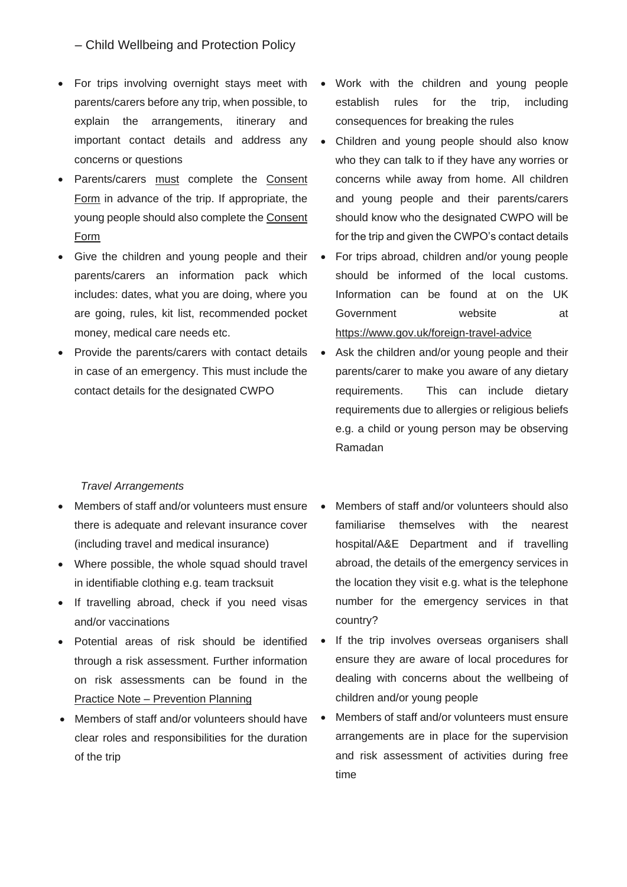- For trips involving overnight stays meet with parents/carers before any trip, when possible, to explain the arrangements, itinerary and important contact details and address any concerns or questions
- Parents/carers must complete the Consent Form in advance of the trip. If appropriate, the young people should also complete the Consent Form
- Give the children and young people and their parents/carers an information pack which includes: dates, what you are doing, where you are going, rules, kit list, recommended pocket money, medical care needs etc.
- Provide the parents/carers with contact details in case of an emergency. This must include the contact details for the designated CWPO
	- *Travel Arrangements*
- Members of staff and/or volunteers must ensure there is adequate and relevant insurance cover (including travel and medical insurance)
- Where possible, the whole squad should travel in identifiable clothing e.g. team tracksuit
- If travelling abroad, check if you need visas and/or vaccinations
- Potential areas of risk should be identified through a risk assessment. Further information on risk assessments can be found in the Practice Note – Prevention Planning
- Members of staff and/or volunteers should have clear roles and responsibilities for the duration of the trip
- Work with the children and young people establish rules for the trip, including consequences for breaking the rules
- Children and young people should also know who they can talk to if they have any worries or concerns while away from home. All children and young people and their parents/carers should know who the designated CWPO will be for the trip and given the CWPO's contact details
- For trips abroad, children and/or young people should be informed of the local customs. Information can be found at on the UK Government website at https://www.gov.uk/foreign-travel-advice
- Ask the children and/or young people and their parents/carer to make you aware of any dietary requirements. This can include dietary requirements due to allergies or religious beliefs e.g. a child or young person may be observing Ramadan
- Members of staff and/or volunteers should also familiarise themselves with the nearest hospital/A&E Department and if travelling abroad, the details of the emergency services in the location they visit e.g. what is the telephone number for the emergency services in that country?
- If the trip involves overseas organisers shall ensure they are aware of local procedures for dealing with concerns about the wellbeing of children and/or young people
- Members of staff and/or volunteers must ensure arrangements are in place for the supervision and risk assessment of activities during free time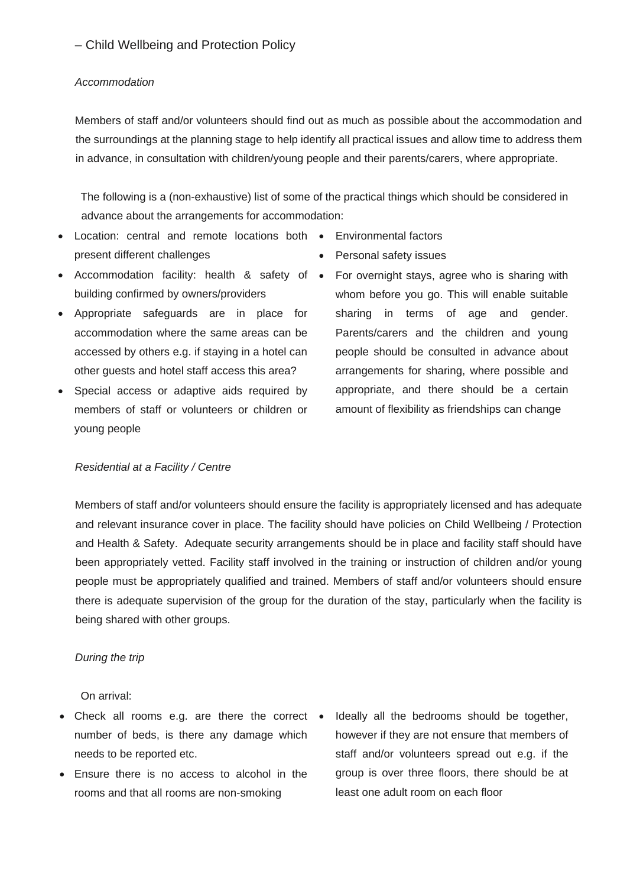### *Accommodation*

Members of staff and/or volunteers should find out as much as possible about the accommodation and the surroundings at the planning stage to help identify all practical issues and allow time to address them in advance, in consultation with children/young people and their parents/carers, where appropriate.

The following is a (non-exhaustive) list of some of the practical things which should be considered in advance about the arrangements for accommodation:

- Location: central and remote locations both Environmental factors present different challenges
- Accommodation facility: health & safety of building confirmed by owners/providers
- Appropriate safeguards are in place for accommodation where the same areas can be accessed by others e.g. if staying in a hotel can other guests and hotel staff access this area?
- Special access or adaptive aids required by members of staff or volunteers or children or young people
- 
- Personal safety issues
- For overnight stays, agree who is sharing with whom before you go. This will enable suitable sharing in terms of age and gender. Parents/carers and the children and young people should be consulted in advance about arrangements for sharing, where possible and appropriate, and there should be a certain amount of flexibility as friendships can change

### *Residential at a Facility / Centre*

Members of staff and/or volunteers should ensure the facility is appropriately licensed and has adequate and relevant insurance cover in place. The facility should have policies on Child Wellbeing / Protection and Health & Safety. Adequate security arrangements should be in place and facility staff should have been appropriately vetted. Facility staff involved in the training or instruction of children and/or young people must be appropriately qualified and trained. Members of staff and/or volunteers should ensure there is adequate supervision of the group for the duration of the stay, particularly when the facility is being shared with other groups.

## *During the trip*

On arrival:

- Check all rooms e.g. are there the correct number of beds, is there any damage which needs to be reported etc.
- Ensure there is no access to alcohol in the rooms and that all rooms are non-smoking
- Ideally all the bedrooms should be together, however if they are not ensure that members of staff and/or volunteers spread out e.g. if the group is over three floors, there should be at least one adult room on each floor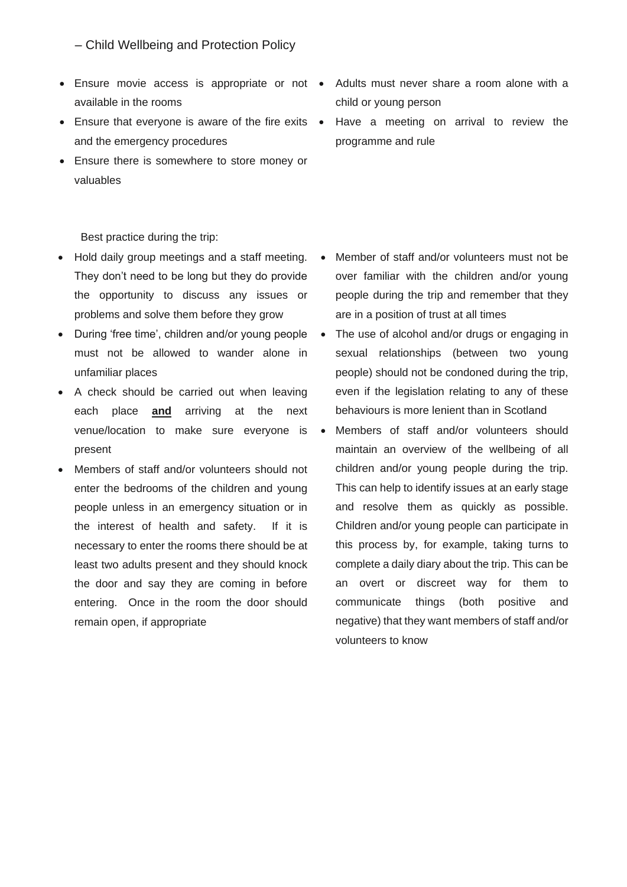- Ensure movie access is appropriate or not available in the rooms
- Ensure that everyone is aware of the fire exits and the emergency procedures
- Ensure there is somewhere to store money or valuables

Best practice during the trip:

- Hold daily group meetings and a staff meeting. They don't need to be long but they do provide the opportunity to discuss any issues or problems and solve them before they grow
- During 'free time', children and/or young people must not be allowed to wander alone in unfamiliar places
- A check should be carried out when leaving each place **and** arriving at the next venue/location to make sure everyone is present
- Members of staff and/or volunteers should not enter the bedrooms of the children and young people unless in an emergency situation or in the interest of health and safety. If it is necessary to enter the rooms there should be at least two adults present and they should knock the door and say they are coming in before entering. Once in the room the door should remain open, if appropriate
- Adults must never share a room alone with a child or young person
- Have a meeting on arrival to review the programme and rule

- Member of staff and/or volunteers must not be over familiar with the children and/or young people during the trip and remember that they are in a position of trust at all times
- The use of alcohol and/or drugs or engaging in sexual relationships (between two young people) should not be condoned during the trip, even if the legislation relating to any of these behaviours is more lenient than in Scotland
- Members of staff and/or volunteers should maintain an overview of the wellbeing of all children and/or young people during the trip. This can help to identify issues at an early stage and resolve them as quickly as possible. Children and/or young people can participate in this process by, for example, taking turns to complete a daily diary about the trip. This can be an overt or discreet way for them to communicate things (both positive and negative) that they want members of staff and/or volunteers to know